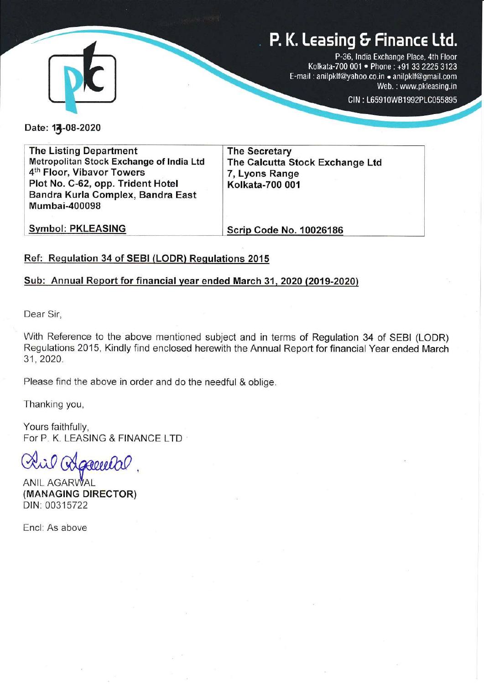# P. K. Leasing & Finance Ltd.



P-36, tndia Exchange Place, 4th Floor Kolkata-7O0 001 e Phone: +91 33 22253123 E-mail: anilpklf@yahoo.co.in . anilpklf@gmail.com Web. : www.pkleasing.in

CIN: L65910WB1992PLC055895

## Date: 14-08-2020

The Listing Department Metropolitan Stock Exchange of lndia Ltd 4th Floor, Vibavor Towers Plot No. C-62, opp. Trident Hotel Bandra Kurla Complex, Bandra East Mumbai-400098 Symbol: PKLEASING The Secretary The Calcutta Stock Exchange Ltd 7, Lyons Range Kolkata-700 001 Scrip Code No. 10026186

## Ref: Regulation 34 of SEBI (LODR) Regulations 2015

## Sub: Annual Report for financial year ended March 31, 2020 (2019-2020)

Dear Sir,

With Reference to the above mentioned subject and in terms of Regulation 34 of SEBI (LODR) Regulations 2015, Kindly find enclosed herewith the Annual Report for financial Year ended March 31,2020.

Please find the above in order and do the needful & oblige

Thanking you,

Yours faithfully, For P. K. LEASING & FINANCE LTD

d^i, georrial

**ANIL AGARWAL** (MANAGING DIRECTOR) DIN: 00315722

Encl: As above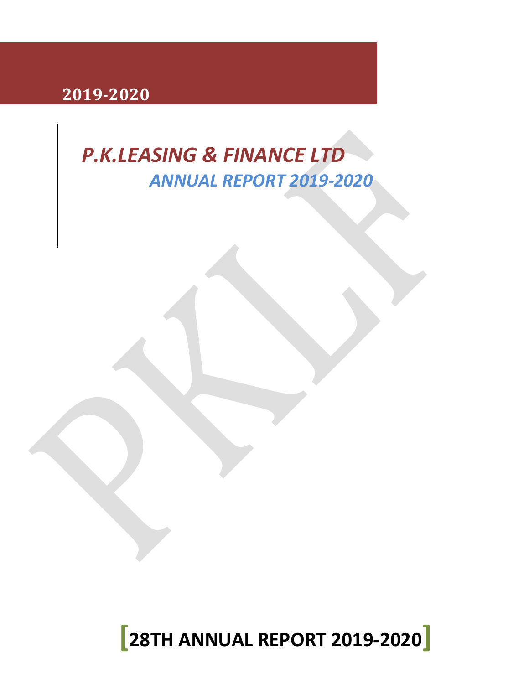# **2019-2020**

# *P.K.LEASING & FINANCE LTD ANNUAL REPORT 2019-2020*

**[28TH ANNUAL REPORT 2019-2020]**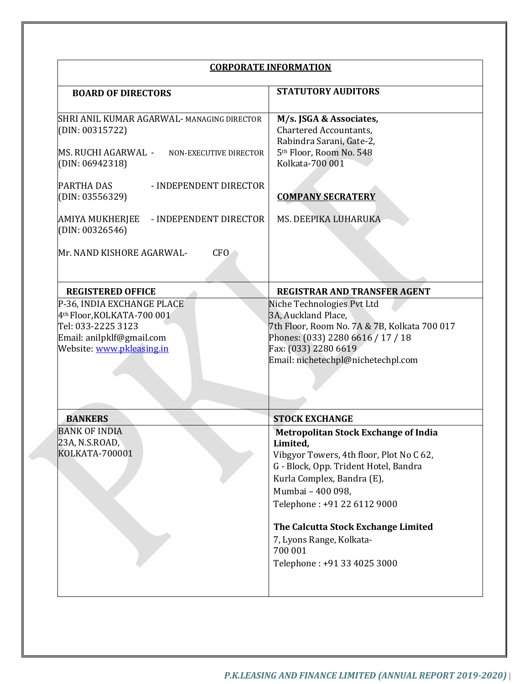## **CORPORATE INFORMATION**

| <b>BOARD OF DIRECTORS</b>                                                                                                                | <b>STATUTORY AUDITORS</b>                                                                                                                                                                                                                                                                                                                   |
|------------------------------------------------------------------------------------------------------------------------------------------|---------------------------------------------------------------------------------------------------------------------------------------------------------------------------------------------------------------------------------------------------------------------------------------------------------------------------------------------|
| SHRI ANIL KUMAR AGARWAL-MANAGING DIRECTOR<br>(DIN: 00315722)                                                                             | M/s. JSGA & Associates,<br><b>Chartered Accountants,</b><br>Rabindra Sarani, Gate-2,                                                                                                                                                                                                                                                        |
| MS. RUCHI AGARWAL -<br>NON-EXECUTIVE DIRECTOR<br>(DIN: 06942318)                                                                         | 5th Floor, Room No. 548<br>Kolkata-700 001                                                                                                                                                                                                                                                                                                  |
| PARTHA DAS<br>- INDEPENDENT DIRECTOR<br>(DIN: 03556329)                                                                                  | <b>COMPANY SECRATERY</b>                                                                                                                                                                                                                                                                                                                    |
| AMIYA MUKHERJEE<br>- INDEPENDENT DIRECTOR<br>(DIN: 00326546)                                                                             | MS. DEEPIKA LUHARUKA                                                                                                                                                                                                                                                                                                                        |
| Mr. NAND KISHORE AGARWAL-<br><b>CFO</b>                                                                                                  |                                                                                                                                                                                                                                                                                                                                             |
| <b>REGISTERED OFFICE</b>                                                                                                                 | <b>REGISTRAR AND TRANSFER AGENT</b>                                                                                                                                                                                                                                                                                                         |
| P-36, INDIA EXCHANGE PLACE<br>4th Floor, KOLKATA-700 001<br>Tel: 033-2225 3123<br>Email: anilpklf@gmail.com<br>Website: www.pkleasing.in | Niche Technologies Pvt Ltd<br>3A, Auckland Place,<br>7th Floor, Room No. 7A & 7B, Kolkata 700 017<br>Phones: (033) 2280 6616 / 17 / 18<br>Fax: (033) 2280 6619<br>Email: nichetechpl@nichetechpl.com                                                                                                                                        |
| <b>BANKERS</b>                                                                                                                           | <b>STOCK EXCHANGE</b>                                                                                                                                                                                                                                                                                                                       |
| <b>BANK OF INDIA</b><br>23A, N.S.ROAD,<br>KOLKATA-700001                                                                                 | <b>Metropolitan Stock Exchange of India</b><br>Limited,<br>Vibgyor Towers, 4th floor, Plot No C 62,<br>G - Block, Opp. Trident Hotel, Bandra<br>Kurla Complex, Bandra (E),<br>Mumbai - 400 098,<br>Telephone: +91 22 6112 9000<br>The Calcutta Stock Exchange Limited<br>7, Lyons Range, Kolkata-<br>700 001<br>Telephone: +91 33 4025 3000 |
|                                                                                                                                          |                                                                                                                                                                                                                                                                                                                                             |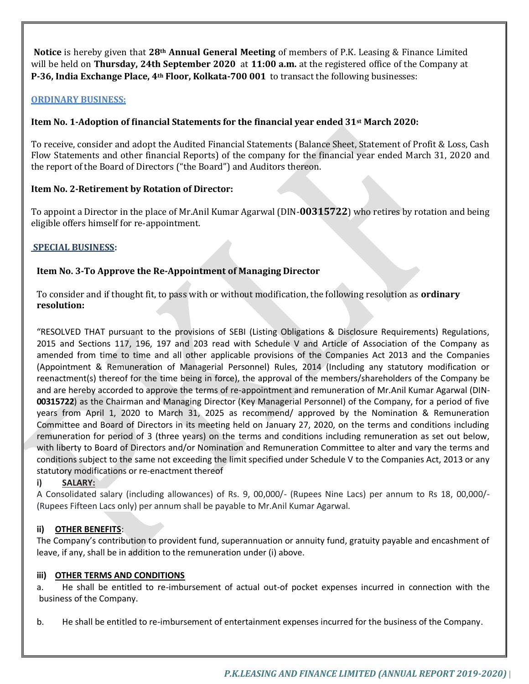**Notice** is hereby given that **28th Annual General Meeting** of members of P.K. Leasing & Finance Limited will be held on **Thursday, 24th September 2020** at **11:00 a.m.** at the registered office of the Company at **P-36, India Exchange Place, 4th Floor, Kolkata-700 001** to transact the following businesses:

#### **ORDINARY BUSINESS:**

#### **Item No. 1-Adoption of financial Statements for the financial year ended 31st March 2020:**

To receive, consider and adopt the Audited Financial Statements (Balance Sheet, Statement of Profit & Loss, Cash Flow Statements and other financial Reports) of the company for the financial year ended March 31, 2020 and the report of the Board of Directors ("the Board") and Auditors thereon.

#### **Item No. 2-Retirement by Rotation of Director:**

To appoint a Director in the place of Mr.Anil Kumar Agarwal (DIN-**00315722**) who retires by rotation and being eligible offers himself for re-appointment.

#### **SPECIAL BUSINESS:**

## **Item No. 3-To Approve the Re-Appointment of Managing Director**

To consider and if thought fit, to pass with or without modification, the following resolution as **ordinary resolution:**

"RESOLVED THAT pursuant to the provisions of SEBI (Listing Obligations & Disclosure Requirements) Regulations, 2015 and Sections 117, 196, 197 and 203 read with Schedule V and Article of Association of the Company as amended from time to time and all other applicable provisions of the Companies Act 2013 and the Companies (Appointment & Remuneration of Managerial Personnel) Rules, 2014 (Including any statutory modification or reenactment(s) thereof for the time being in force), the approval of the members/shareholders of the Company be and are hereby accorded to approve the terms of re-appointment and remuneration of Mr.Anil Kumar Agarwal (DIN-**00315722**) as the Chairman and Managing Director (Key Managerial Personnel) of the Company, for a period of five years from April 1, 2020 to March 31, 2025 as recommend/ approved by the Nomination & Remuneration Committee and Board of Directors in its meeting held on January 27, 2020, on the terms and conditions including remuneration for period of 3 (three years) on the terms and conditions including remuneration as set out below, with liberty to Board of Directors and/or Nomination and Remuneration Committee to alter and vary the terms and conditions subject to the same not exceeding the limit specified under Schedule V to the Companies Act, 2013 or any statutory modifications or re-enactment thereof

#### **i) SALARY:**

A Consolidated salary (including allowances) of Rs. 9, 00,000/- (Rupees Nine Lacs) per annum to Rs 18, 00,000/- (Rupees Fifteen Lacs only) per annum shall be payable to Mr.Anil Kumar Agarwal.

## **ii) OTHER BENEFITS**:

The Company's contribution to provident fund, superannuation or annuity fund, gratuity payable and encashment of leave, if any, shall be in addition to the remuneration under (i) above.

#### **iii) OTHER TERMS AND CONDITIONS**

a. He shall be entitled to re-imbursement of actual out-of pocket expenses incurred in connection with the business of the Company.

b. He shall be entitled to re-imbursement of entertainment expenses incurred for the business of the Company.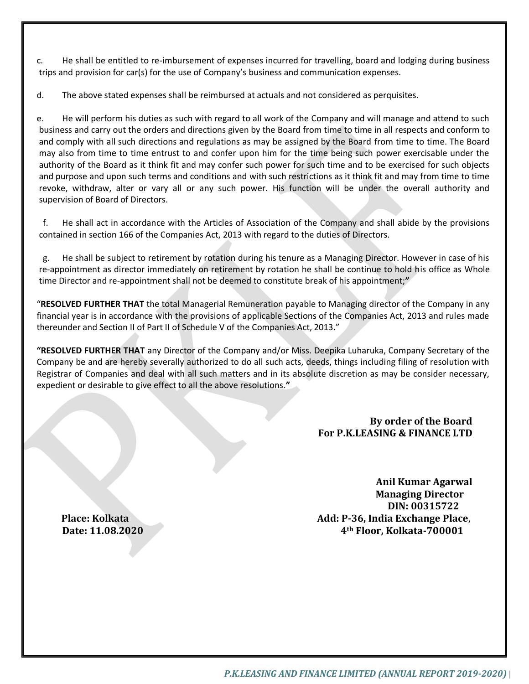c. He shall be entitled to re-imbursement of expenses incurred for travelling, board and lodging during business trips and provision for car(s) for the use of Company's business and communication expenses.

d. The above stated expenses shall be reimbursed at actuals and not considered as perquisites.

e. He will perform his duties as such with regard to all work of the Company and will manage and attend to such business and carry out the orders and directions given by the Board from time to time in all respects and conform to and comply with all such directions and regulations as may be assigned by the Board from time to time. The Board may also from time to time entrust to and confer upon him for the time being such power exercisable under the authority of the Board as it think fit and may confer such power for such time and to be exercised for such objects and purpose and upon such terms and conditions and with such restrictions as it think fit and may from time to time revoke, withdraw, alter or vary all or any such power. His function will be under the overall authority and supervision of Board of Directors.

f. He shall act in accordance with the Articles of Association of the Company and shall abide by the provisions contained in section 166 of the Companies Act, 2013 with regard to the duties of Directors.

g. He shall be subject to retirement by rotation during his tenure as a Managing Director. However in case of his re-appointment as director immediately on retirement by rotation he shall be continue to hold his office as Whole time Director and re-appointment shall not be deemed to constitute break of his appointment;**"**

"**RESOLVED FURTHER THAT** the total Managerial Remuneration payable to Managing director of the Company in any financial year is in accordance with the provisions of applicable Sections of the Companies Act, 2013 and rules made thereunder and Section II of Part II of Schedule V of the Companies Act, 2013."

**"RESOLVED FURTHER THAT** any Director of the Company and/or Miss. Deepika Luharuka, Company Secretary of the Company be and are hereby severally authorized to do all such acts, deeds, things including filing of resolution with Registrar of Companies and deal with all such matters and in its absolute discretion as may be consider necessary, expedient or desirable to give effect to all the above resolutions.**"**

## **By order of the Board For P.K.LEASING & FINANCE LTD**

**Anil Kumar Agarwal Managing Director DIN: 00315722 Place:** Kolkata **Add:** P-36, India Exchange Place, **Date: 11.08.2020 4th Floor, Kolkata-700001**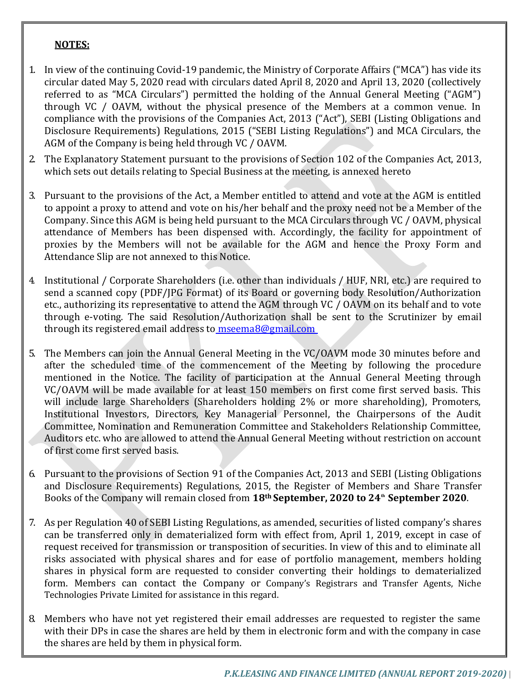## **NOTES:**

- 1. In view of the continuing Covid-19 pandemic, the Ministry of Corporate Affairs ("MCA") has vide its circular dated May 5, 2020 read with circulars dated April 8, 2020 and April 13, 2020 (collectively referred to as "MCA Circulars") permitted the holding of the Annual General Meeting ("AGM") through VC / OAVM, without the physical presence of the Members at a common venue. In compliance with the provisions of the Companies Act, 2013 ("Act"), SEBI (Listing Obligations and Disclosure Requirements) Regulations, 2015 ("SEBI Listing Regulations") and MCA Circulars, the AGM of the Company is being held through VC / OAVM.
- 2. The Explanatory Statement pursuant to the provisions of Section 102 of the Companies Act, 2013, which sets out details relating to Special Business at the meeting, is annexed hereto
- 3. Pursuant to the provisions of the Act, a Member entitled to attend and vote at the AGM is entitled to appoint a proxy to attend and vote on his/her behalf and the proxy need not be a Member of the Company. Since this AGM is being held pursuant to the MCA Circulars through VC / OAVM, physical attendance of Members has been dispensed with. Accordingly, the facility for appointment of proxies by the Members will not be available for the AGM and hence the Proxy Form and Attendance Slip are not annexed to this Notice.
- 4. Institutional / Corporate Shareholders (i.e. other than individuals / HUF, NRI, etc.) are required to send a scanned copy (PDF/JPG Format) of its Board or governing body Resolution/Authorization etc., authorizing its representative to attend the AGM through VC / OAVM on its behalf and to vote through e-voting. The said Resolution/Authorization shall be sent to the Scrutinizer by email through its registered email address to [mseema8@gmail.com](mailto:mseema8@gmail.com)
- 5. The Members can join the Annual General Meeting in the VC/OAVM mode 30 minutes before and after the scheduled time of the commencement of the Meeting by following the procedure mentioned in the Notice. The facility of participation at the Annual General Meeting through VC/OAVM will be made available for at least 150 members on first come first served basis. This will include large Shareholders (Shareholders holding 2% or more shareholding), Promoters, Institutional Investors, Directors, Key Managerial Personnel, the Chairpersons of the Audit Committee, Nomination and Remuneration Committee and Stakeholders Relationship Committee, Auditors etc. who are allowed to attend the Annual General Meeting without restriction on account of first come first served basis.
- 6. Pursuant to the provisions of Section 91 of the Companies Act, 2013 and SEBI (Listing Obligations and Disclosure Requirements) Regulations, 2015, the Register of Members and Share Transfer Books of the Company will remain closed from **18th September, 2020 to 24th September 2020**.
- 7. As per Regulation 40 of SEBI Listing Regulations, as amended, securities of listed company's shares can be transferred only in dematerialized form with effect from, April 1, 2019, except in case of request received for transmission or transposition of securities. In view of this and to eliminate all risks associated with physical shares and for ease of portfolio management, members holding shares in physical form are requested to consider converting their holdings to dematerialized form. Members can contact the Company or Company's Registrars and Transfer Agents, Niche Technologies Private Limited for assistance in this regard.
- 8. Members who have not yet registered their email addresses are requested to register the same with their DPs in case the shares are held by them in electronic form and with the company in case the shares are held by them in physical form.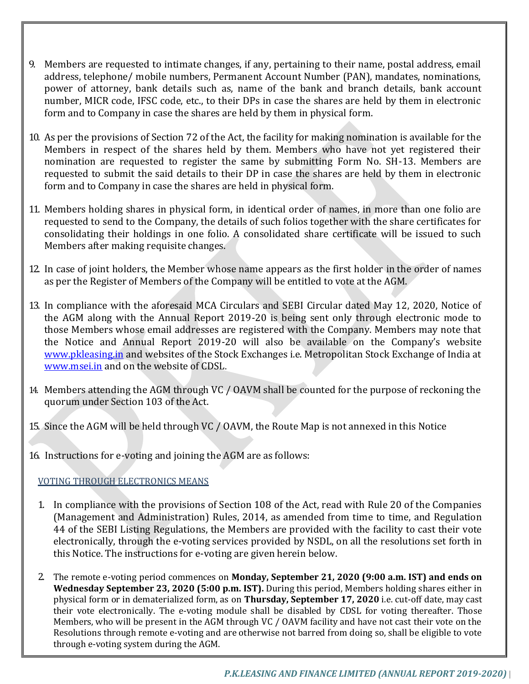- 9. Members are requested to intimate changes, if any, pertaining to their name, postal address, email address, telephone/ mobile numbers, Permanent Account Number (PAN), mandates, nominations, power of attorney, bank details such as, name of the bank and branch details, bank account number, MICR code, IFSC code, etc., to their DPs in case the shares are held by them in electronic form and to Company in case the shares are held by them in physical form.
- 10. As per the provisions of Section 72 of the Act, the facility for making nomination is available for the Members in respect of the shares held by them. Members who have not yet registered their nomination are requested to register the same by submitting Form No. SH-13. Members are requested to submit the said details to their DP in case the shares are held by them in electronic form and to Company in case the shares are held in physical form.
- 11. Members holding shares in physical form, in identical order of names, in more than one folio are requested to send to the Company, the details of such folios together with the share certificates for consolidating their holdings in one folio. A consolidated share certificate will be issued to such Members after making requisite changes.
- 12. In case of joint holders, the Member whose name appears as the first holder in the order of names as per the Register of Members of the Company will be entitled to vote at the AGM.
- 13. In compliance with the aforesaid MCA Circulars and SEBI Circular dated May 12, 2020, Notice of the AGM along with the Annual Report 2019-20 is being sent only through electronic mode to those Members whose email addresses are registered with the Company. Members may note that the Notice and Annual Report 2019-20 will also be available on the Company's website [www.pkleasing.in](http://www.pkleasing.in/) and websites of the Stock Exchanges i.e. Metropolitan Stock Exchange of India a[t](http://www.msei.in/) [www.msei.in](http://www.msei.in/) and on the website of CDSL.
- 14. Members attending the AGM through VC / OAVM shall be counted for the purpose of reckoning the quorum under Section 103 of the Act.
- 15. Since the AGM will be held through VC / OAVM, the Route Map is not annexed in this Notice

16. Instructions for e-voting and joining the AGM are as follows:

## VOTING THROUGH ELECTRONICS MEANS

- 1. In compliance with the provisions of Section 108 of the Act, read with Rule 20 of the Companies (Management and Administration) Rules, 2014, as amended from time to time, and Regulation 44 of the SEBI Listing Regulations, the Members are provided with the facility to cast their vote electronically, through the e-voting services provided by NSDL, on all the resolutions set forth in this Notice. The instructions for e-voting are given herein below.
- 2. The remote e-voting period commences on **Monday, September 21, 2020 (9:00 a.m. IST) and ends on Wednesday September 23, 2020 (5:00 p.m. IST).** During this period, Members holding shares either in physical form or in dematerialized form, as on **Thursday, September 17, 2020** i.e. cut-off date, may cast their vote electronically. The e-voting module shall be disabled by CDSL for voting thereafter. Those Members, who will be present in the AGM through VC / OAVM facility and have not cast their vote on the Resolutions through remote e-voting and are otherwise not barred from doing so, shall be eligible to vote through e-voting system during the AGM.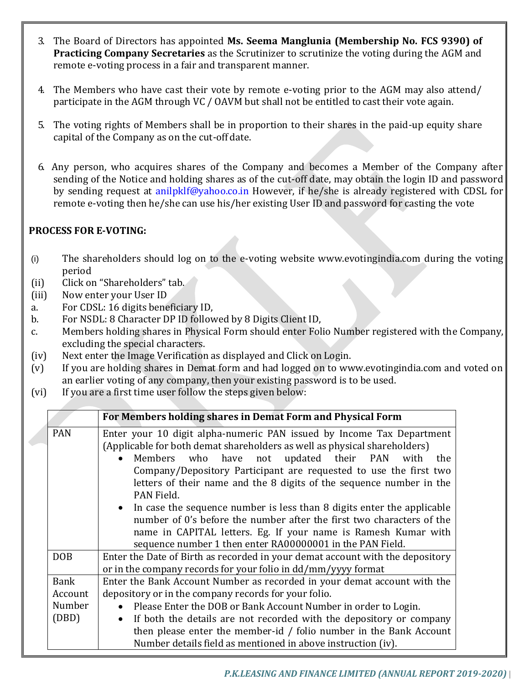- 3. The Board of Directors has appointed **Ms. Seema Manglunia (Membership No. FCS 9390) of Practicing Company Secretaries** as the Scrutinizer to scrutinize the voting during the AGM and remote e-voting process in a fair and transparent manner.
- 4. The Members who have cast their vote by remote e-voting prior to the AGM may also attend/ participate in the AGM through VC / OAVM but shall not be entitled to cast their vote again.
- 5. The voting rights of Members shall be in proportion to their shares in the paid-up equity share capital of the Company as on the cut-off date.
- 6. Any person, who acquires shares of the Company and becomes a Member of the Company after sending of the Notice and holding shares as of the cut-off date, may obtain the login ID and password by sending request at anilpklf@yahoo.co.in However, if he/she is already registered with CDSL for remote e-voting then he/she can use his/her existing User ID and password for casting the vote

## **PROCESS FOR E-VOTING:**

- (i) The shareholders should log on to the e-voting website www.evotingindia.com during the voting period
- (ii) Click on "Shareholders" tab.
- (iii) Now enter your User ID
- a. For CDSL: 16 digits beneficiary ID,
- b. For NSDL: 8 Character DP ID followed by 8 Digits Client ID,
- c. Members holding shares in Physical Form should enter Folio Number registered with the Company, excluding the special characters.
- (iv) Next enter the Image Verification as displayed and Click on Login.
- $(v)$  If you are holding shares in Demat form and had logged on to www.evotingindia.com and voted on an earlier voting of any company, then your existing password is to be used.
- (vi) If you are a first time user follow the steps given below:

|             | For Members holding shares in Demat Form and Physical Form                                                                                                                                                                                                                                                                                                                                                                                                                                                                                                                                                                                           |  |  |  |  |
|-------------|------------------------------------------------------------------------------------------------------------------------------------------------------------------------------------------------------------------------------------------------------------------------------------------------------------------------------------------------------------------------------------------------------------------------------------------------------------------------------------------------------------------------------------------------------------------------------------------------------------------------------------------------------|--|--|--|--|
| <b>PAN</b>  | Enter your 10 digit alpha-numeric PAN issued by Income Tax Department<br>(Applicable for both demat shareholders as well as physical shareholders)<br>Members who have not updated their PAN with the<br>Company/Depository Participant are requested to use the first two<br>letters of their name and the 8 digits of the sequence number in the<br>PAN Field.<br>• In case the sequence number is less than 8 digits enter the applicable<br>number of 0's before the number after the first two characters of the<br>name in CAPITAL letters. Eg. If your name is Ramesh Kumar with<br>sequence number 1 then enter RA00000001 in the PAN Field. |  |  |  |  |
| <b>DOB</b>  | Enter the Date of Birth as recorded in your demat account with the depository<br>or in the company records for your folio in dd/mm/yyyy format                                                                                                                                                                                                                                                                                                                                                                                                                                                                                                       |  |  |  |  |
| <b>Bank</b> | Enter the Bank Account Number as recorded in your demat account with the                                                                                                                                                                                                                                                                                                                                                                                                                                                                                                                                                                             |  |  |  |  |
| Account     | depository or in the company records for your folio.                                                                                                                                                                                                                                                                                                                                                                                                                                                                                                                                                                                                 |  |  |  |  |
| Number      | Please Enter the DOB or Bank Account Number in order to Login.                                                                                                                                                                                                                                                                                                                                                                                                                                                                                                                                                                                       |  |  |  |  |
| (DBD)       | • If both the details are not recorded with the depository or company<br>then please enter the member-id / folio number in the Bank Account<br>Number details field as mentioned in above instruction (iv).                                                                                                                                                                                                                                                                                                                                                                                                                                          |  |  |  |  |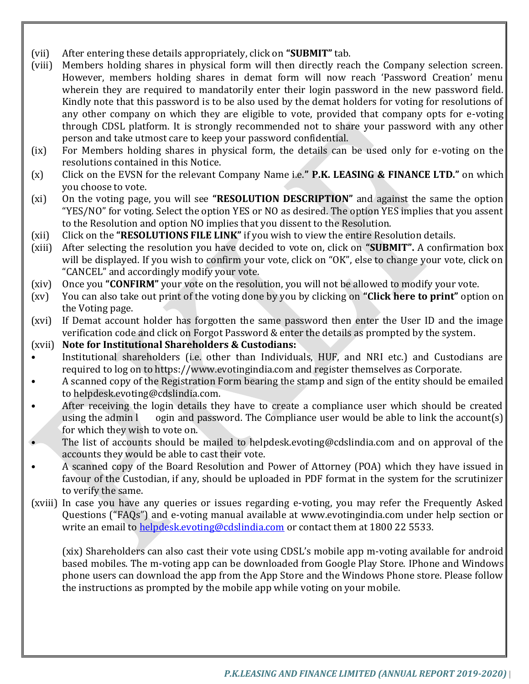- (vii) After entering these details appropriately, click on **"SUBMIT"** tab.
- (viii) Members holding shares in physical form will then directly reach the Company selection screen. However, members holding shares in demat form will now reach 'Password Creation' menu wherein they are required to mandatorily enter their login password in the new password field. Kindly note that this password is to be also used by the demat holders for voting for resolutions of any other company on which they are eligible to vote, provided that company opts for e-voting through CDSL platform. It is strongly recommended not to share your password with any other person and take utmost care to keep your password confidential.
- (ix) For Members holding shares in physical form, the details can be used only for e-voting on the resolutions contained in this Notice.
- (x) Click on the EVSN for the relevant Company Name i.e.**" P.K. LEASING & FINANCE LTD."** on which you choose to vote.
- (xi) On the voting page, you will see **"RESOLUTION DESCRIPTION"** and against the same the option "YES/NO" for voting. Select the option YES or NO as desired. The option YES implies that you assent to the Resolution and option NO implies that you dissent to the Resolution.
- (xii) Click on the **"RESOLUTIONS FILE LINK"** if you wish to view the entire Resolution details.
- (xiii) After selecting the resolution you have decided to vote on, click on **"SUBMIT".** A confirmation box will be displayed. If you wish to confirm your vote, click on "OK", else to change your vote, click on "CANCEL" and accordingly modify your vote.
- (xiv) Once you **"CONFIRM"** your vote on the resolution, you will not be allowed to modify your vote.
- (xv) You can also take out print of the voting done by you by clicking on **"Click here to print"** option on the Voting page.
- (xvi) If Demat account holder has forgotten the same password then enter the User ID and the image verification code and click on Forgot Password & enter the details as prompted by the system.
- (xvii) **Note for Institutional Shareholders & Custodians:**
- Institutional shareholders (i.e. other than Individuals, HUF, and NRI etc.) and Custodians are required to log on to https://www.evotingindia.com and register themselves as Corporate.
- A scanned copy of the Registration Form bearing the stamp and sign of the entity should be emailed to helpdesk.evoting@cdslindia.com.
- After receiving the login details they have to create a compliance user which should be created using the admin  $l$  ogin and password. The Compliance user would be able to link the account(s) for which they wish to vote on.
- The list of accounts should be mailed to helpdesk.evoting@cdslindia.com and on approval of the accounts they would be able to cast their vote.
- A scanned copy of the Board Resolution and Power of Attorney (POA) which they have issued in favour of the Custodian, if any, should be uploaded in PDF format in the system for the scrutinizer to verify the same.
- (xviii) In case you have any queries or issues regarding e-voting, you may refer the Frequently Asked Questions ("FAQs") and e-voting manual available at www.evotingindia.com under help section or write an email to [helpdesk.evoting@cdslindia.com](mailto:helpdesk.evoting@cdslindia.com) or contact them at 1800 22 5533.

(xix) Shareholders can also cast their vote using CDSL's mobile app m-voting available for android based mobiles. The m-voting app can be downloaded from Google Play Store. IPhone and Windows phone users can download the app from the App Store and the Windows Phone store. Please follow the instructions as prompted by the mobile app while voting on your mobile.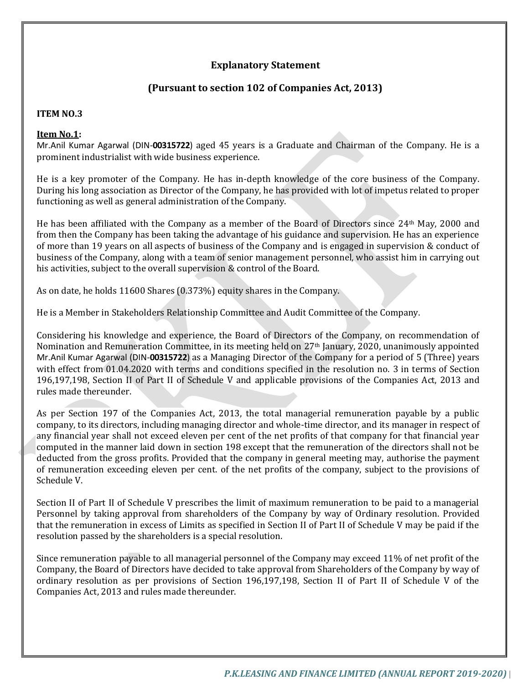## **Explanatory Statement**

#### **(Pursuant to section 102 of Companies Act, 2013)**

#### **ITEM NO.3**

#### **Item No.1:**

Mr.Anil Kumar Agarwal (DIN-**00315722**) aged 45 years is a Graduate and Chairman of the Company. He is a prominent industrialist with wide business experience.

He is a key promoter of the Company. He has in-depth knowledge of the core business of the Company. During his long association as Director of the Company, he has provided with lot of impetus related to proper functioning as well as general administration of the Company.

He has been affiliated with the Company as a member of the Board of Directors since 24th May, 2000 and from then the Company has been taking the advantage of his guidance and supervision. He has an experience of more than 19 years on all aspects of business of the Company and is engaged in supervision & conduct of business of the Company, along with a team of senior management personnel, who assist him in carrying out his activities, subject to the overall supervision & control of the Board.

As on date, he holds 11600 Shares (0.373%) equity shares in the Company.

He is a Member in Stakeholders Relationship Committee and Audit Committee of the Company.

Considering his knowledge and experience, the Board of Directors of the Company, on recommendation of Nomination and Remuneration Committee, in its meeting held on 27th January, 2020, unanimously appointed Mr.Anil Kumar Agarwal (DIN-**00315722**) as a Managing Director of the Company for a period of 5 (Three) years with effect from 01.04.2020 with terms and conditions specified in the resolution no. 3 in terms of Section 196,197,198, Section II of Part II of Schedule V and applicable provisions of the Companies Act, 2013 and rules made thereunder.

As per Section 197 of the Companies Act, 2013, the total managerial remuneration payable by a public company, to its directors, including managing director and whole-time director, and its manager in respect of any financial year shall not exceed eleven per cent of the net profits of that company for that financial year computed in the manner laid down in section 198 except that the remuneration of the directors shall not be deducted from the gross profits. Provided that the company in general meeting may, authorise the payment of remuneration exceeding eleven per cent. of the net profits of the company, subject to the provisions of Schedule V.

Section II of Part II of Schedule V prescribes the limit of maximum remuneration to be paid to a managerial Personnel by taking approval from shareholders of the Company by way of Ordinary resolution. Provided that the remuneration in excess of Limits as specified in Section II of Part II of Schedule V may be paid if the resolution passed by the shareholders is a special resolution.

Since remuneration payable to all managerial personnel of the Company may exceed 11% of net profit of the Company, the Board of Directors have decided to take approval from Shareholders of the Company by way of ordinary resolution as per provisions of Section 196,197,198, Section II of Part II of Schedule V of the Companies Act, 2013 and rules made thereunder.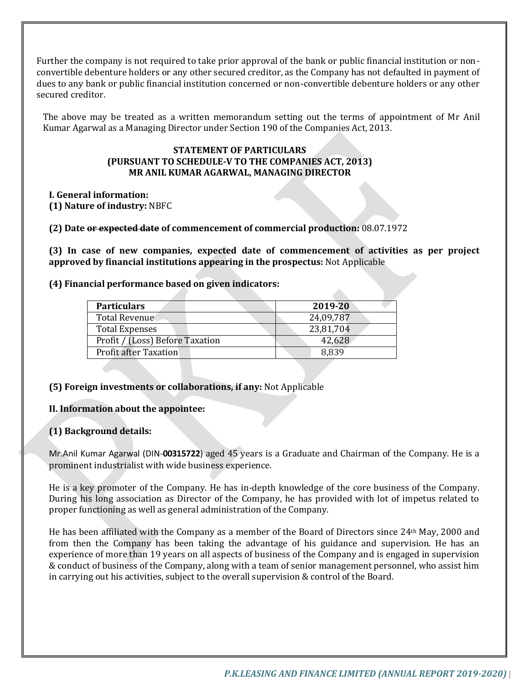Further the company is not required to take prior approval of the bank or public financial institution or nonconvertible debenture holders or any other secured creditor, as the Company has not defaulted in payment of dues to any bank or public financial institution concerned or non-convertible debenture holders or any other secured creditor.

The above may be treated as a written memorandum setting out the terms of appointment of Mr Anil Kumar Agarwal as a Managing Director under Section 190 of the Companies Act, 2013.

#### **STATEMENT OF PARTICULARS (PURSUANT TO SCHEDULE-V TO THE COMPANIES ACT, 2013) MR ANIL KUMAR AGARWAL, MANAGING DIRECTOR**

#### **I. General information:**

**(1) Nature of industry:** NBFC

**(2) Date or expected date of commencement of commercial production:** 08.07.1972

**(3) In case of new companies, expected date of commencement of activities as per project approved by financial institutions appearing in the prospectus:** Not Applicable

#### **(4) Financial performance based on given indicators:**

| <b>Particulars</b>              | 2019-20   |
|---------------------------------|-----------|
| Total Revenue                   | 24,09,787 |
| <b>Total Expenses</b>           | 23,81,704 |
| Profit / (Loss) Before Taxation | 42,628    |
| <b>Profit after Taxation</b>    | 8.839     |

#### **(5) Foreign investments or collaborations, if any:** Not Applicable

#### **II. Information about the appointee:**

## **(1) Background details:**

Mr.Anil Kumar Agarwal (DIN-**00315722**) aged 45 years is a Graduate and Chairman of the Company. He is a prominent industrialist with wide business experience.

He is a key promoter of the Company. He has in-depth knowledge of the core business of the Company. During his long association as Director of the Company, he has provided with lot of impetus related to proper functioning as well as general administration of the Company.

He has been affiliated with the Company as a member of the Board of Directors since 24th May, 2000 and from then the Company has been taking the advantage of his guidance and supervision. He has an experience of more than 19 years on all aspects of business of the Company and is engaged in supervision & conduct of business of the Company, along with a team of senior management personnel, who assist him in carrying out his activities, subject to the overall supervision & control of the Board.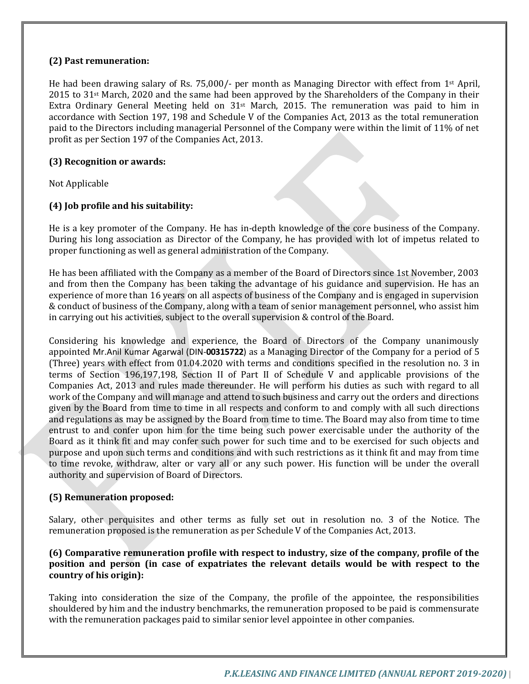#### **(2) Past remuneration:**

He had been drawing salary of Rs. 75,000/- per month as Managing Director with effect from 1<sup>st</sup> April, 2015 to 31<sup>st</sup> March, 2020 and the same had been approved by the Shareholders of the Company in their Extra Ordinary General Meeting held on  $31<sup>st</sup>$  March, 2015. The remuneration was paid to him in accordance with Section 197, 198 and Schedule V of the Companies Act, 2013 as the total remuneration paid to the Directors including managerial Personnel of the Company were within the limit of 11% of net profit as per Section 197 of the Companies Act, 2013.

#### **(3) Recognition or awards:**

Not Applicable

#### **(4) Job profile and his suitability:**

He is a key promoter of the Company. He has in-depth knowledge of the core business of the Company. During his long association as Director of the Company, he has provided with lot of impetus related to proper functioning as well as general administration of the Company.

He has been affiliated with the Company as a member of the Board of Directors since 1st November, 2003 and from then the Company has been taking the advantage of his guidance and supervision. He has an experience of more than 16 years on all aspects of business of the Company and is engaged in supervision & conduct of business of the Company, along with a team of senior management personnel, who assist him in carrying out his activities, subject to the overall supervision & control of the Board.

Considering his knowledge and experience, the Board of Directors of the Company unanimously appointed Mr.Anil Kumar Agarwal (DIN-**00315722**) as a Managing Director of the Company for a period of 5 (Three) years with effect from 01.04.2020 with terms and conditions specified in the resolution no. 3 in terms of Section 196,197,198, Section II of Part II of Schedule V and applicable provisions of the Companies Act, 2013 and rules made thereunder. He will perform his duties as such with regard to all work of the Company and will manage and attend to such business and carry out the orders and directions given by the Board from time to time in all respects and conform to and comply with all such directions and regulations as may be assigned by the Board from time to time. The Board may also from time to time entrust to and confer upon him for the time being such power exercisable under the authority of the Board as it think fit and may confer such power for such time and to be exercised for such objects and purpose and upon such terms and conditions and with such restrictions as it think fit and may from time to time revoke, withdraw, alter or vary all or any such power. His function will be under the overall authority and supervision of Board of Directors.

#### **(5) Remuneration proposed:**

Salary, other perquisites and other terms as fully set out in resolution no. 3 of the Notice. The remuneration proposed is the remuneration as per Schedule V of the Companies Act, 2013.

#### **(6) Comparative remuneration profile with respect to industry, size of the company, profile of the position and person (in case of expatriates the relevant details would be with respect to the country of his origin):**

Taking into consideration the size of the Company, the profile of the appointee, the responsibilities shouldered by him and the industry benchmarks, the remuneration proposed to be paid is commensurate with the remuneration packages paid to similar senior level appointee in other companies.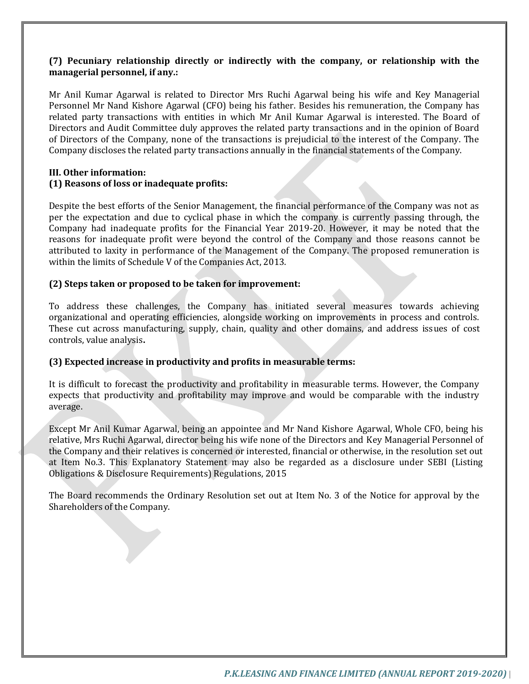#### **(7) Pecuniary relationship directly or indirectly with the company, or relationship with the managerial personnel, if any.:**

Mr Anil Kumar Agarwal is related to Director Mrs Ruchi Agarwal being his wife and Key Managerial Personnel Mr Nand Kishore Agarwal (CFO) being his father. Besides his remuneration, the Company has related party transactions with entities in which Mr Anil Kumar Agarwal is interested. The Board of Directors and Audit Committee duly approves the related party transactions and in the opinion of Board of Directors of the Company, none of the transactions is prejudicial to the interest of the Company. The Company discloses the related party transactions annually in the financial statements of the Company.

#### **III. Other information:**

#### **(1) Reasons of loss or inadequate profits:**

Despite the best efforts of the Senior Management, the financial performance of the Company was not as per the expectation and due to cyclical phase in which the company is currently passing through, the Company had inadequate profits for the Financial Year 2019-20. However, it may be noted that the reasons for inadequate profit were beyond the control of the Company and those reasons cannot be attributed to laxity in performance of the Management of the Company. The proposed remuneration is within the limits of Schedule V of the Companies Act, 2013.

#### **(2) Steps taken or proposed to be taken for improvement:**

To address these challenges, the Company has initiated several measures towards achieving organizational and operating efficiencies, alongside working on improvements in process and controls. These cut across manufacturing, supply, chain, quality and other domains, and address issues of cost controls, value analysis**.**

#### **(3) Expected increase in productivity and profits in measurable terms:**

It is difficult to forecast the productivity and profitability in measurable terms. However, the Company expects that productivity and profitability may improve and would be comparable with the industry average.

Except Mr Anil Kumar Agarwal, being an appointee and Mr Nand Kishore Agarwal, Whole CFO, being his relative, Mrs Ruchi Agarwal, director being his wife none of the Directors and Key Managerial Personnel of the Company and their relatives is concerned or interested, financial or otherwise, in the resolution set out at Item No.3. This Explanatory Statement may also be regarded as a disclosure under SEBI (Listing Obligations & Disclosure Requirements) Regulations, 2015

The Board recommends the Ordinary Resolution set out at Item No. 3 of the Notice for approval by the Shareholders of the Company.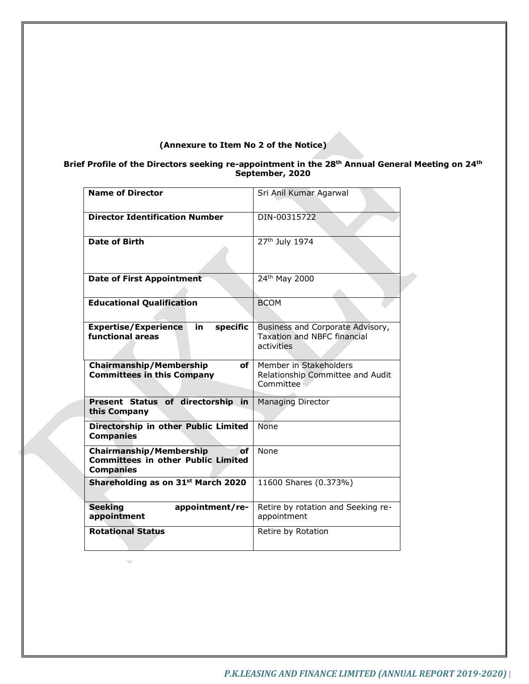#### **(Annexure to Item No 2 of the Notice)**

#### **Brief Profile of the Directors seeking re-appointment in the 28th Annual General Meeting on 24th September, 2020**

| <b>Name of Director</b>                       | Sri Anil Kumar Agarwal             |
|-----------------------------------------------|------------------------------------|
|                                               |                                    |
|                                               |                                    |
| <b>Director Identification Number</b>         | DIN-00315722                       |
|                                               |                                    |
| <b>Date of Birth</b>                          | 27th July 1974                     |
|                                               |                                    |
|                                               |                                    |
|                                               |                                    |
| <b>Date of First Appointment</b>              | 24th May 2000                      |
|                                               |                                    |
|                                               |                                    |
| <b>Educational Qualification</b>              | <b>BCOM</b>                        |
|                                               |                                    |
| specific<br><b>Expertise/Experience</b><br>in | Business and Corporate Advisory,   |
| functional areas                              | <b>Taxation and NBFC financial</b> |
|                                               | activities                         |
|                                               |                                    |
| <b>Chairmanship/Membership</b><br>оf          | Member in Stakeholders             |
| <b>Committees in this Company</b>             | Relationship Committee and Audit   |
|                                               | Committee                          |
|                                               |                                    |
| Present Status of directorship in             | <b>Managing Director</b>           |
| this Company                                  |                                    |
| Directorship in other Public Limited          | <b>None</b>                        |
| <b>Companies</b>                              |                                    |
|                                               |                                    |
| <b>Chairmanship/Membership</b><br>of          | None                               |
| <b>Committees in other Public Limited</b>     |                                    |
| <b>Companies</b>                              |                                    |
| Shareholding as on 31st March 2020            | 11600 Shares (0.373%)              |
|                                               |                                    |
|                                               |                                    |
| <b>Seeking</b><br>appointment/re-             | Retire by rotation and Seeking re- |
| appointment                                   | appointment                        |
| <b>Rotational Status</b>                      | Retire by Rotation                 |
|                                               |                                    |
|                                               |                                    |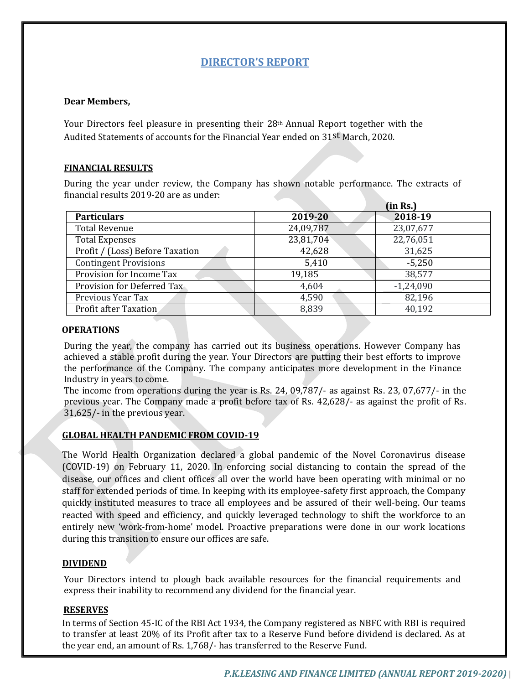## **DIRECTOR'S REPORT**

#### **Dear Members,**

Your Directors feel pleasure in presenting their  $28<sup>th</sup>$  Annual Report together with the Audited Statements of accounts for the Financial Year ended on 31st March, 2020.

#### **FINANCIAL RESULTS**

During the year under review, the Company has shown notable performance. The extracts of financial results 2019-20 are as under:

|                                 |           | (in Rs.)    |
|---------------------------------|-----------|-------------|
| <b>Particulars</b>              | 2019-20   | 2018-19     |
| <b>Total Revenue</b>            | 24,09,787 | 23,07,677   |
| <b>Total Expenses</b>           | 23,81,704 | 22,76,051   |
| Profit / (Loss) Before Taxation | 42,628    | 31,625      |
| <b>Contingent Provisions</b>    | 5,410     | $-5,250$    |
| Provision for Income Tax        | 19,185    | 38,577      |
| Provision for Deferred Tax      | 4,604     | $-1,24,090$ |
| Previous Year Tax               | 4,590     | 82,196      |
| Profit after Taxation           | 8,839     | 40,192      |

#### **OPERATIONS**

During the year, the company has carried out its business operations. However Company has achieved a stable profit during the year. Your Directors are putting their best efforts to improve the performance of the Company. The company anticipates more development in the Finance Industry in years to come.

The income from operations during the year is Rs. 24, 09,787/- as against Rs. 23, 07,677/- in the previous year. The Company made a profit before tax of Rs. 42,628/- as against the profit of Rs. 31,625/- in the previous year.

#### **GLOBAL HEALTH PANDEMIC FROM COVID-19**

The World Health Organization declared a global pandemic of the Novel Coronavirus disease (COVID-19) on February 11, 2020. In enforcing social distancing to contain the spread of the disease, our offices and client offices all over the world have been operating with minimal or no staff for extended periods of time. In keeping with its employee-safety first approach, the Company quickly instituted measures to trace all employees and be assured of their well-being. Our teams reacted with speed and efficiency, and quickly leveraged technology to shift the workforce to an entirely new 'work-from-home' model. Proactive preparations were done in our work locations during this transition to ensure our offices are safe.

#### **DIVIDEND**

Your Directors intend to plough back available resources for the financial requirements and express their inability to recommend any dividend for the financial year.

#### **RESERVES**

In terms of Section 45-IC of the RBI Act 1934, the Company registered as NBFC with RBI is required to transfer at least 20% of its Profit after tax to a Reserve Fund before dividend is declared. As at the year end, an amount of Rs. 1,768/- has transferred to the Reserve Fund.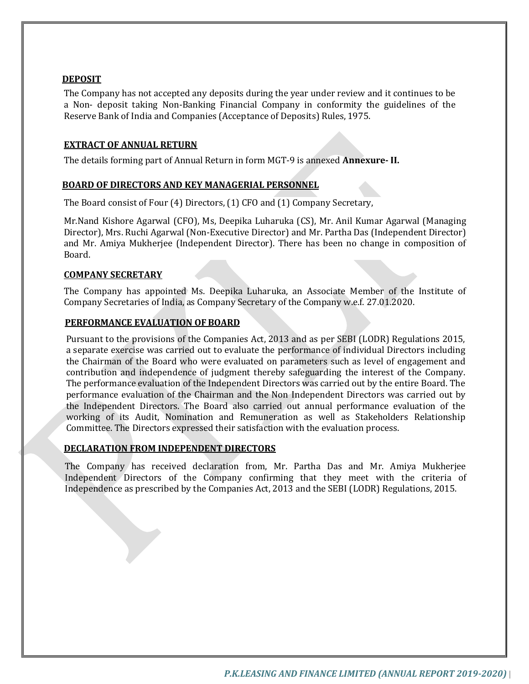#### **DEPOSIT**

The Company has not accepted any deposits during the year under review and it continues to be a Non- deposit taking Non-Banking Financial Company in conformity the guidelines of the Reserve Bank of India and Companies (Acceptance of Deposits) Rules, 1975.

#### **EXTRACT OF ANNUAL RETURN**

The details forming part of Annual Return in form MGT-9 is annexed **Annexure- II.**

#### **BOARD OF DIRECTORS AND KEY MANAGERIAL PERSONNEL**

The Board consist of Four (4) Directors, (1) CFO and (1) Company Secretary,

Mr.Nand Kishore Agarwal (CFO), Ms, Deepika Luharuka (CS), Mr. Anil Kumar Agarwal (Managing Director), Mrs. Ruchi Agarwal (Non-Executive Director) and Mr. Partha Das (Independent Director) and Mr. Amiya Mukherjee (Independent Director). There has been no change in composition of Board.

#### **COMPANY SECRETARY**

The Company has appointed Ms. Deepika Luharuka, an Associate Member of the Institute of Company Secretaries of India, as Company Secretary of the Company w.e.f. 27.01.2020.

#### **PERFORMANCE EVALUATION OF BOARD**

Pursuant to the provisions of the Companies Act, 2013 and as per SEBI (LODR) Regulations 2015, a separate exercise was carried out to evaluate the performance of individual Directors including the Chairman of the Board who were evaluated on parameters such as level of engagement and contribution and independence of judgment thereby safeguarding the interest of the Company. The performance evaluation of the Independent Directors was carried out by the entire Board. The performance evaluation of the Chairman and the Non Independent Directors was carried out by the Independent Directors. The Board also carried out annual performance evaluation of the working of its Audit, Nomination and Remuneration as well as Stakeholders Relationship Committee. The Directors expressed their satisfaction with the evaluation process.

#### **DECLARATION FROM INDEPENDENT DIRECTORS**

The Company has received declaration from, Mr. Partha Das and Mr. Amiya Mukherjee Independent Directors of the Company confirming that they meet with the criteria of Independence as prescribed by the Companies Act, 2013 and the SEBI (LODR) Regulations, 2015.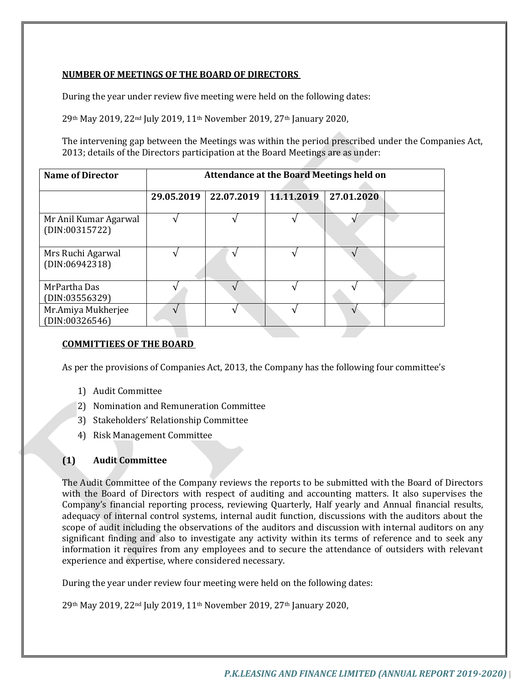#### **NUMBER OF MEETINGS OF THE BOARD OF DIRECTORS**

During the year under review five meeting were held on the following dates:

29th May 2019, 22nd July 2019, 11th November 2019, 27th January 2020,

The intervening gap between the Meetings was within the period prescribed under the Companies Act, 2013; details of the Directors participation at the Board Meetings are as under:

| Name of Director                        | Attendance at the Board Meetings held on |            |            |            |  |  |
|-----------------------------------------|------------------------------------------|------------|------------|------------|--|--|
|                                         | 29.05.2019                               | 22.07.2019 | 11.11.2019 | 27.01.2020 |  |  |
| Mr Anil Kumar Agarwal<br>(DIN:00315722) |                                          |            |            |            |  |  |
| Mrs Ruchi Agarwal<br>(DIN:06942318)     |                                          |            |            |            |  |  |
| MrPartha Das<br>(DIN:03556329)          |                                          |            |            |            |  |  |
| Mr.Amiya Mukherjee<br>(DIN:00326546)    |                                          |            |            |            |  |  |

#### **COMMITTIEES OF THE BOARD**

As per the provisions of Companies Act, 2013, the Company has the following four committee's

- 1) Audit Committee
- 2) Nomination and Remuneration Committee
- 3) Stakeholders' Relationship Committee
- 4) Risk Management Committee

#### **(1) Audit Committee**

The Audit Committee of the Company reviews the reports to be submitted with the Board of Directors with the Board of Directors with respect of auditing and accounting matters. It also supervises the Company's financial reporting process, reviewing Quarterly, Half yearly and Annual financial results, adequacy of internal control systems, internal audit function, discussions with the auditors about the scope of audit including the observations of the auditors and discussion with internal auditors on any significant finding and also to investigate any activity within its terms of reference and to seek any information it requires from any employees and to secure the attendance of outsiders with relevant experience and expertise, where considered necessary.

During the year under review four meeting were held on the following dates:

29th May 2019, 22nd July 2019, 11th November 2019, 27th January 2020,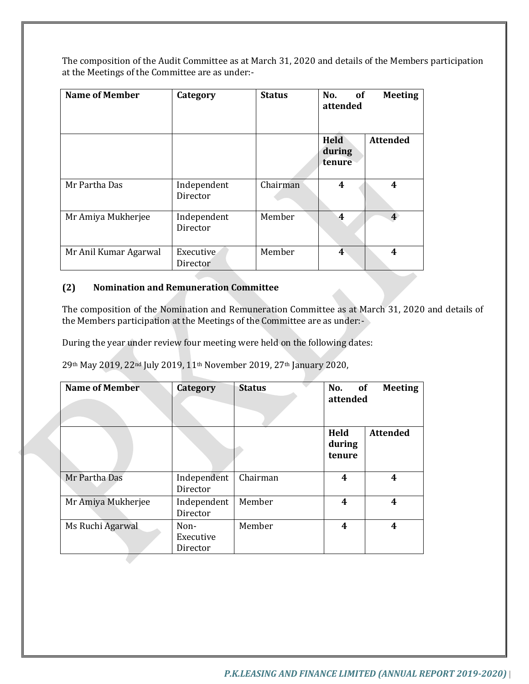The composition of the Audit Committee as at March 31, 2020 and details of the Members participation at the Meetings of the Committee are as under:-

| <b>Name of Member</b> | Category                | <b>Status</b> | of<br>No.<br>attended           | <b>Meeting</b>          |
|-----------------------|-------------------------|---------------|---------------------------------|-------------------------|
|                       |                         |               | <b>Held</b><br>during<br>tenure | <b>Attended</b>         |
| Mr Partha Das         | Independent<br>Director | Chairman      | 4                               | $\overline{\mathbf{4}}$ |
| Mr Amiya Mukherjee    | Independent<br>Director | Member        | $\overline{\mathbf{4}}$         | $\overline{\mathbf{4}}$ |
| Mr Anil Kumar Agarwal | Executive<br>Director   | Member        | 4                               | 4                       |

#### **(2) Nomination and Remuneration Committee**

The composition of the Nomination and Remuneration Committee as at March 31, 2020 and details of the Members participation at the Meetings of the Committee are as under:-

During the year under review four meeting were held on the following dates:

29th May 2019, 22nd July 2019, 11th November 2019, 27th January 2020,

| <b>Name of Member</b> | Category                      | <b>Status</b> | No.<br>of<br>attended    | <b>Meeting</b>          |
|-----------------------|-------------------------------|---------------|--------------------------|-------------------------|
|                       |                               |               | Held<br>during<br>tenure | <b>Attended</b>         |
| Mr Partha Das         | Independent<br>Director       | Chairman      | 4                        | $\overline{\mathbf{4}}$ |
| Mr Amiya Mukherjee    | Independent<br>Director       | Member        | $\overline{\mathbf{4}}$  | $\overline{\mathbf{4}}$ |
| Ms Ruchi Agarwal      | Non-<br>Executive<br>Director | Member        | 4                        | 4                       |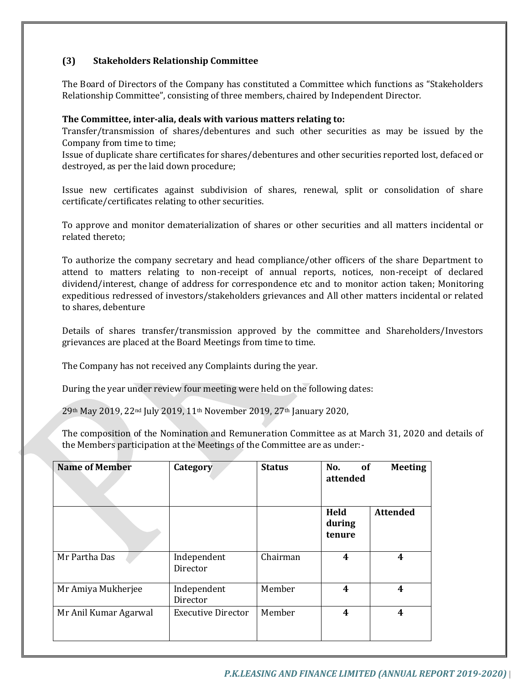#### **(3) Stakeholders Relationship Committee**

The Board of Directors of the Company has constituted a Committee which functions as "Stakeholders Relationship Committee", consisting of three members, chaired by Independent Director.

#### **The Committee, inter-alia, deals with various matters relating to:**

Transfer/transmission of shares/debentures and such other securities as may be issued by the Company from time to time;

Issue of duplicate share certificates for shares/debentures and other securities reported lost, defaced or destroyed, as per the laid down procedure;

Issue new certificates against subdivision of shares, renewal, split or consolidation of share certificate/certificates relating to other securities.

To approve and monitor dematerialization of shares or other securities and all matters incidental or related thereto;

To authorize the company secretary and head compliance/other officers of the share Department to attend to matters relating to non-receipt of annual reports, notices, non-receipt of declared dividend/interest, change of address for correspondence etc and to monitor action taken; Monitoring expeditious redressed of investors/stakeholders grievances and All other matters incidental or related to shares, debenture

Details of shares transfer/transmission approved by the committee and Shareholders/Investors grievances are placed at the Board Meetings from time to time.

The Company has not received any Complaints during the year.

During the year under review four meeting were held on the following dates:

29th May 2019, 22nd July 2019, 11th November 2019, 27th January 2020,

The composition of the Nomination and Remuneration Committee as at March 31, 2020 and details of the Members participation at the Meetings of the Committee are as under:-

| <b>Name of Member</b> | Category                  | <b>Status</b> | No.<br>of<br>attended    | <b>Meeting</b>          |
|-----------------------|---------------------------|---------------|--------------------------|-------------------------|
|                       |                           |               | Held<br>during<br>tenure | <b>Attended</b>         |
| Mr Partha Das         | Independent<br>Director   | Chairman      | 4                        | 4                       |
| Mr Amiya Mukherjee    | Independent<br>Director   | Member        | 4                        | 4                       |
| Mr Anil Kumar Agarwal | <b>Executive Director</b> | Member        | $\boldsymbol{4}$         | $\overline{\mathbf{4}}$ |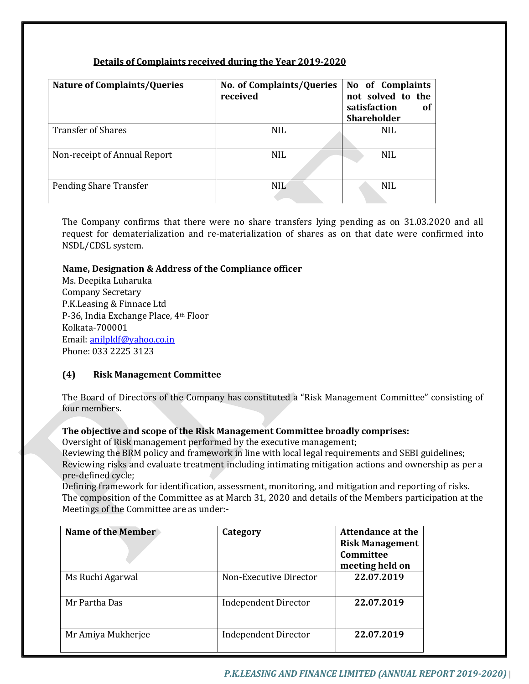## **Details of Complaints received during the Year 2019-2020**

| <b>Nature of Complaints/Queries</b> | No. of Complaints/Queries<br>received | No of Complaints<br>not solved to the<br>satisfaction<br>of<br><b>Shareholder</b> |  |  |
|-------------------------------------|---------------------------------------|-----------------------------------------------------------------------------------|--|--|
| <b>Transfer of Shares</b>           | <b>NIL</b>                            | <b>NIL</b>                                                                        |  |  |
| Non-receipt of Annual Report        | <b>NIL</b>                            | <b>NIL</b>                                                                        |  |  |
| Pending Share Transfer              | <b>NIL</b>                            | NIL.                                                                              |  |  |

The Company confirms that there were no share transfers lying pending as on 31.03.2020 and all request for dematerialization and re-materialization of shares as on that date were confirmed into NSDL/CDSL system.

#### **Name, Designation & Address of the Compliance officer**

Ms. Deepika Luharuka Company Secretary P.K.Leasing & Finnace Ltd P-36, India Exchange Place, 4th Floor Kolkata-700001 Email: [anilpklf@yahoo.co.in](mailto:anilpklf@yahoo.co.in) Phone: 033 2225 3123

#### **(4) Risk Management Committee**

The Board of Directors of the Company has constituted a "Risk Management Committee" consisting of four members.

#### **The objective and scope of the Risk Management Committee broadly comprises:**

Oversight of Risk management performed by the executive management;

Reviewing the BRM policy and framework in line with local legal requirements and SEBI guidelines; Reviewing risks and evaluate treatment including intimating mitigation actions and ownership as per a pre-defined cycle;

Defining framework for identification, assessment, monitoring, and mitigation and reporting of risks. The composition of the Committee as at March 31, 2020 and details of the Members participation at the Meetings of the Committee are as under:-

| <b>Name of the Member</b> | Category                    | <b>Attendance at the</b><br><b>Risk Management</b><br>Committee<br>meeting held on |
|---------------------------|-----------------------------|------------------------------------------------------------------------------------|
| Ms Ruchi Agarwal          | Non-Executive Director      | 22.07.2019                                                                         |
| Mr Partha Das             | <b>Independent Director</b> | 22.07.2019                                                                         |
| Mr Amiya Mukherjee        | <b>Independent Director</b> | 22.07.2019                                                                         |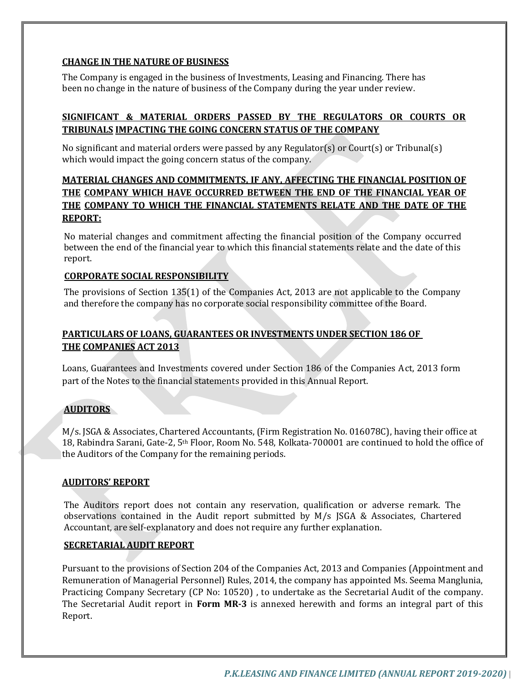#### **CHANGE IN THE NATURE OF BUSINESS**

The Company is engaged in the business of Investments, Leasing and Financing. There has been no change in the nature of business of the Company during the year under review.

## **SIGNIFICANT & MATERIAL ORDERS PASSED BY THE REGULATORS OR COURTS OR TRIBUNALS IMPACTING THE GOING CONCERN STATUS OF THE COMPANY**

No significant and material orders were passed by any Regulator(s) or Court(s) or Tribunal(s) which would impact the going concern status of the company.

## **MATERIAL CHANGES AND COMMITMENTS, IF ANY, AFFECTING THE FINANCIAL POSITION OF THE COMPANY WHICH HAVE OCCURRED BETWEEN THE END OF THE FINANCIAL YEAR OF THE COMPANY TO WHICH THE FINANCIAL STATEMENTS RELATE AND THE DATE OF THE REPORT:**

No material changes and commitment affecting the financial position of the Company occurred between the end of the financial year to which this financial statements relate and the date of this report.

#### **CORPORATE SOCIAL RESPONSIBILITY**

The provisions of Section 135(1) of the Companies Act, 2013 are not applicable to the Company and therefore the company has no corporate social responsibility committee of the Board.

## **PARTICULARS OF LOANS, GUARANTEES OR INVESTMENTS UNDER SECTION 186 OF THE COMPANIES ACT 2013**

Loans, Guarantees and Investments covered under Section 186 of the Companies Act, 2013 form part of the Notes to the financial statements provided in this Annual Report.

## **AUDITORS**

M/s. JSGA & Associates, Chartered Accountants, (Firm Registration No. 016078C), having their office at 18, Rabindra Sarani, Gate-2, 5th Floor, Room No. 548, Kolkata-700001 are continued to hold the office of the Auditors of the Company for the remaining periods.

#### **AUDITORS' REPORT**

The Auditors report does not contain any reservation, qualification or adverse remark. The observations contained in the Audit report submitted by M/s JSGA & Associates, Chartered Accountant, are self-explanatory and does not require any further explanation.

#### **SECRETARIAL AUDIT REPORT**

Pursuant to the provisions of Section 204 of the Companies Act, 2013 and Companies (Appointment and Remuneration of Managerial Personnel) Rules, 2014, the company has appointed Ms. Seema Manglunia, Practicing Company Secretary (CP No: 10520) , to undertake as the Secretarial Audit of the company. The Secretarial Audit report in **Form MR-3** is annexed herewith and forms an integral part of this Report.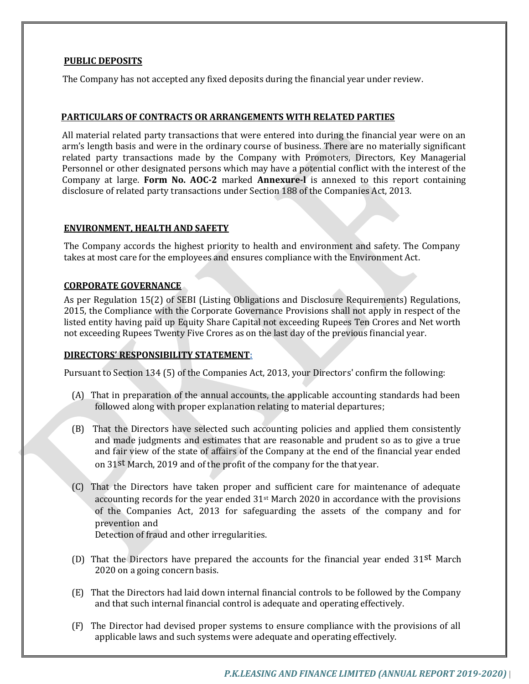#### **PUBLIC DEPOSITS**

The Company has not accepted any fixed deposits during the financial year under review.

#### **PARTICULARS OF CONTRACTS OR ARRANGEMENTS WITH RELATED PARTIES**

All material related party transactions that were entered into during the financial year were on an arm's length basis and were in the ordinary course of business. There are no materially significant related party transactions made by the Company with Promoters, Directors, Key Managerial Personnel or other designated persons which may have a potential conflict with the interest of the Company at large. **Form No. AOC-2** marked **Annexure-l** is annexed to this report containing disclosure of related party transactions under Section 188 of the Companies Act, 2013.

#### **ENVIRONMENT, HEALTH AND SAFETY**

The Company accords the highest priority to health and environment and safety. The Company takes at most care for the employees and ensures compliance with the Environment Act.

#### **CORPORATE GOVERNANCE**

As per Regulation 15(2) of SEBI (Listing Obligations and Disclosure Requirements) Regulations, 2015, the Compliance with the Corporate Governance Provisions shall not apply in respect of the listed entity having paid up Equity Share Capital not exceeding Rupees Ten Crores and Net worth not exceeding Rupees Twenty Five Crores as on the last day of the previous financial year.

#### **DIRECTORS' RESPONSIBILITY STATEMENT:**

Pursuant to Section 134 (5) of the Companies Act, 2013, your Directors' confirm the following:

- (A) That in preparation of the annual accounts, the applicable accounting standards had been followed along with proper explanation relating to material departures;
- (B) That the Directors have selected such accounting policies and applied them consistently and made judgments and estimates that are reasonable and prudent so as to give a true and fair view of the state of affairs of the Company at the end of the financial year ended on 31st March, 2019 and of the profit of the company for the thatyear.
- (C) That the Directors have taken proper and sufficient care for maintenance of adequate accounting records for the year ended 31st March 2020 in accordance with the provisions of the Companies Act, 2013 for safeguarding the assets of the company and for prevention and

Detection of fraud and other irregularities.

- (D) That the Directors have prepared the accounts for the financial year ended  $31$ <sup>st</sup> March 2020 on a going concern basis.
- (E) That the Directors had laid down internal financial controls to be followed by the Company and that such internal financial control is adequate and operating effectively.
- (F) The Director had devised proper systems to ensure compliance with the provisions of all applicable laws and such systems were adequate and operating effectively.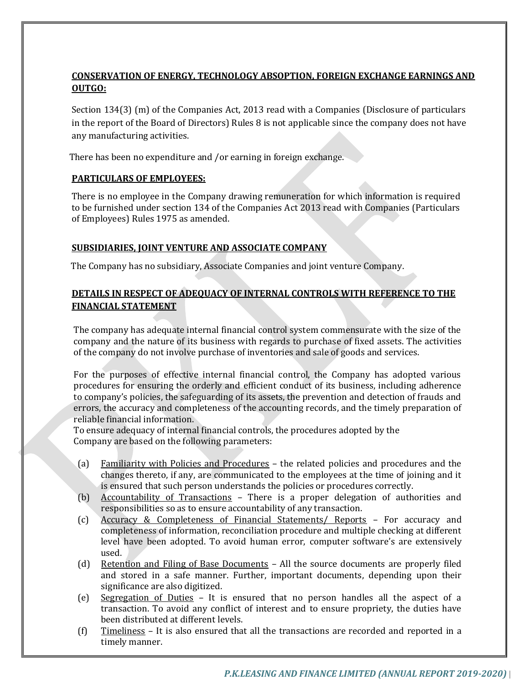## **CONSERVATION OF ENERGY, TECHNOLOGY ABSOPTION, FOREIGN EXCHANGE EARNINGS AND OUTGO:**

Section 134(3) (m) of the Companies Act, 2013 read with a Companies (Disclosure of particulars in the report of the Board of Directors) Rules 8 is not applicable since the company does not have any manufacturing activities.

There has been no expenditure and /or earning in foreign exchange.

#### **PARTICULARS OF EMPLOYEES:**

There is no employee in the Company drawing remuneration for which information is required to be furnished under section 134 of the Companies Act 2013 read with Companies (Particulars of Employees) Rules 1975 as amended.

#### **SUBSIDIARIES, JOINT VENTURE AND ASSOCIATE COMPANY**

The Company has no subsidiary, Associate Companies and joint venture Company.

#### **DETAILS IN RESPECT OF ADEQUACY OF INTERNAL CONTROLS WITH REFERENCE TO THE FINANCIAL STATEMENT**

The company has adequate internal financial control system commensurate with the size of the company and the nature of its business with regards to purchase of fixed assets. The activities of the company do not involve purchase of inventories and sale of goods and services.

For the purposes of effective internal financial control, the Company has adopted various procedures for ensuring the orderly and efficient conduct of its business, including adherence to company's policies, the safeguarding of its assets, the prevention and detection of frauds and errors, the accuracy and completeness of the accounting records, and the timely preparation of reliable financial information.

To ensure adequacy of internal financial controls, the procedures adopted by the Company are based on the following parameters:

- (a) Familiarity with Policies and Procedures the related policies and procedures and the changes thereto, if any, are communicated to the employees at the time of joining and it is ensured that such person understands the policies or procedures correctly.
- (b) Accountability of Transactions There is a proper delegation of authorities and responsibilities so as to ensure accountability of any transaction.
- (c) Accuracy & Completeness of Financial Statements/ Reports For accuracy and completeness of information, reconciliation procedure and multiple checking at different level have been adopted. To avoid human error, computer software's are extensively used.
- (d) Retention and Filing of Base Documents All the source documents are properly filed and stored in a safe manner. Further, important documents, depending upon their significance are also digitized.
- (e) Segregation of Duties It is ensured that no person handles all the aspect of a transaction. To avoid any conflict of interest and to ensure propriety, the duties have been distributed at different levels.
- (f) Timeliness It is also ensured that all the transactions are recorded and reported in a timely manner.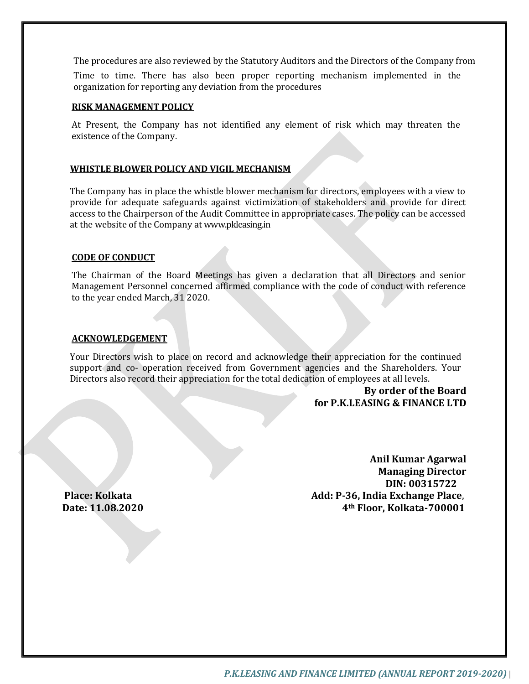The procedures are also reviewed by the Statutory Auditors and the Directors of the Company from

Time to time. There has also been proper reporting mechanism implemented in the organization for reporting any deviation from the procedures

#### **RISK MANAGEMENT POLICY**

At Present, the Company has not identified any element of risk which may threaten the existence of the Company.

#### **WHISTLE BLOWER POLICY AND VIGIL MECHANISM**

The Company has in place the whistle blower mechanism for directors, employees with a view to provide for adequate safeguards against victimization of stakeholders and provide for direct access to the Chairperson of the Audit Committee in appropriate cases. The policy can be accessed at the website of the Company at www.pkleasing.in

#### **CODE OF CONDUCT**

The Chairman of the Board Meetings has given a declaration that all Directors and senior Management Personnel concerned affirmed compliance with the code of conduct with reference to the year ended March, 31 2020.

#### **ACKNOWLEDGEMENT**

Your Directors wish to place on record and acknowledge their appreciation for the continued support and co- operation received from Government agencies and the Shareholders. Your Directors also record their appreciation for the total dedication of employees at all levels.

#### **By order of the Board for P.K.LEASING & FINANCE LTD**

**Anil Kumar Agarwal Managing Director DIN: 00315722 Place:** Kolkata **Add:** P-36, India Exchange Place, **Date: 11.08.2020 4th Floor, Kolkata-700001**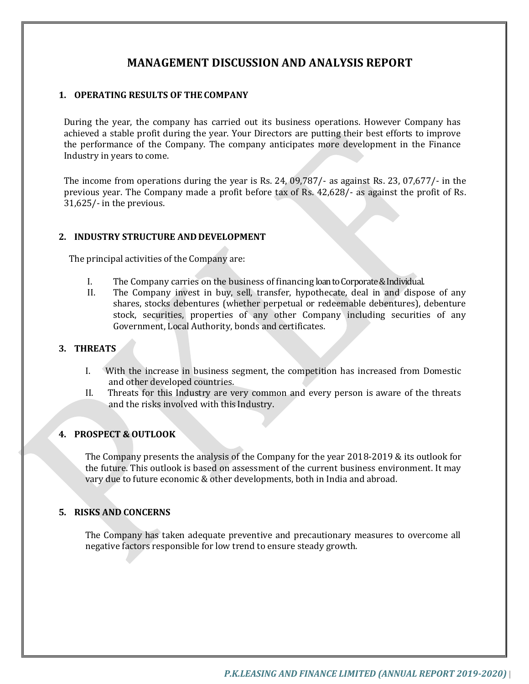## **MANAGEMENT DISCUSSION AND ANALYSIS REPORT**

#### **1. OPERATING RESULTS OF THE COMPANY**

During the year, the company has carried out its business operations. However Company has achieved a stable profit during the year. Your Directors are putting their best efforts to improve the performance of the Company. The company anticipates more development in the Finance Industry in years to come.

The income from operations during the year is Rs. 24, 09,787/- as against Rs. 23, 07,677/- in the previous year. The Company made a profit before tax of Rs. 42,628/- as against the profit of Rs. 31,625/- in the previous.

#### **2. INDUSTRY STRUCTURE AND DEVELOPMENT**

The principal activities of the Company are:

- I. The Company carries on the business of financing loan to Corporate & Individual.
- II. The Company invest in buy, sell, transfer, hypothecate, deal in and dispose of any shares, stocks debentures (whether perpetual or redeemable debentures), debenture stock, securities, properties of any other Company including securities of any Government, Local Authority, bonds and certificates.

#### **3. THREATS**

- I. With the increase in business segment, the competition has increased from Domestic and other developed countries.
- II. Threats for this Industry are very common and every person is aware of the threats and the risks involved with this Industry.

#### **4. PROSPECT & OUTLOOK**

The Company presents the analysis of the Company for the year 2018-2019 & its outlook for the future. This outlook is based on assessment of the current business environment. It may vary due to future economic & other developments, both in India and abroad.

#### **5. RISKS AND CONCERNS**

The Company has taken adequate preventive and precautionary measures to overcome all negative factors responsible for low trend to ensure steady growth.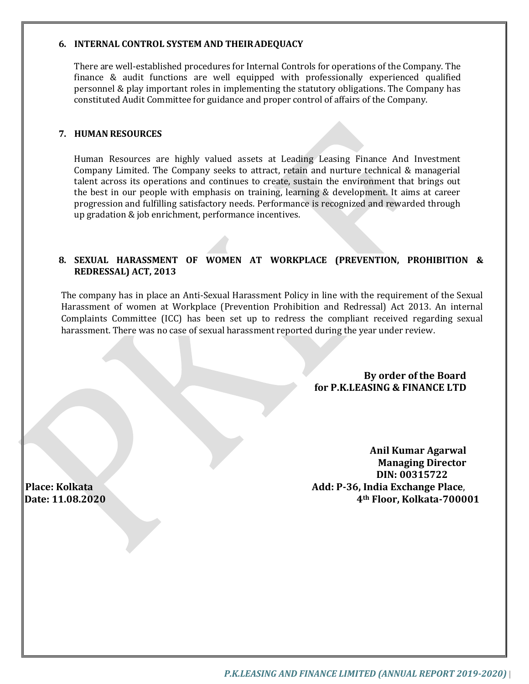#### **6. INTERNAL CONTROL SYSTEM AND THEIRADEQUACY**

There are well-established procedures for Internal Controls for operations of the Company. The finance & audit functions are well equipped with professionally experienced qualified personnel & play important roles in implementing the statutory obligations. The Company has constituted Audit Committee for guidance and proper control of affairs of the Company.

#### **7. HUMAN RESOURCES**

Human Resources are highly valued assets at Leading Leasing Finance And Investment Company Limited. The Company seeks to attract, retain and nurture technical & managerial talent across its operations and continues to create, sustain the environment that brings out the best in our people with emphasis on training, learning & development. It aims at career progression and fulfilling satisfactory needs. Performance is recognized and rewarded through up gradation & job enrichment, performance incentives.

#### **8. SEXUAL HARASSMENT OF WOMEN AT WORKPLACE (PREVENTION, PROHIBITION & REDRESSAL) ACT, 2013**

The company has in place an Anti-Sexual Harassment Policy in line with the requirement of the Sexual Harassment of women at Workplace (Prevention Prohibition and Redressal) Act 2013. An internal Complaints Committee (ICC) has been set up to redress the compliant received regarding sexual harassment. There was no case of sexual harassment reported during the year under review.

> **By order of the Board for P.K.LEASING & FINANCE LTD**

**Anil Kumar Agarwal Managing Director DIN: 00315722 Place:** Kolkata Add: P-36, India Exchange Place, **Date: 11.08.2020 4th Floor, Kolkata-700001**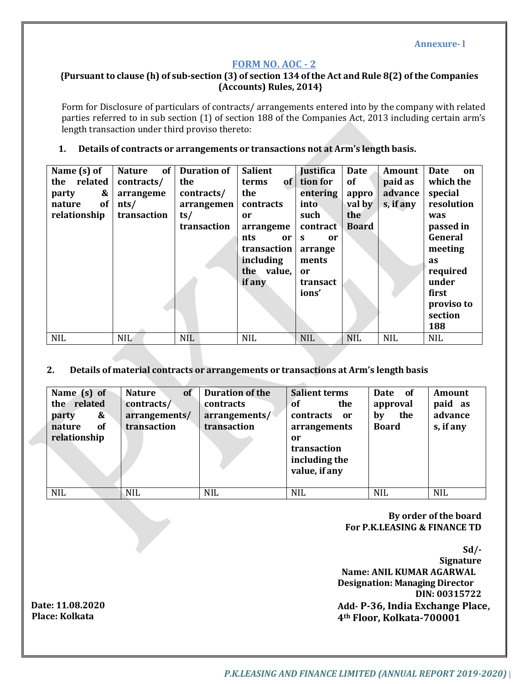#### **Annexure- l**

#### **FORM NO. AOC - 2**

#### {Pursuant to clause (h) of sub-section (3) of section 134 of the Act and Rule 8(2) of the Companies **(Accounts) Rules, 2014}**

Form for Disclosure of particulars of contracts/ arrangements entered into by the company with related parties referred to in sub section (1) of section 188 of the Companies Act, 2013 including certain arm's length transaction under third proviso thereto:

#### **1. Details of contracts or arrangements or transactions not at Arm's length basis.**

| Name (s) of    | of<br><b>Nature</b> | <b>Duration of</b> | <b>Salient</b>           | Justifica  | <b>Date</b>  | Amount     | Date<br>on |
|----------------|---------------------|--------------------|--------------------------|------------|--------------|------------|------------|
| related<br>the | contracts/          | the                | of <sub>l</sub><br>terms | tion for   | of           | paid as    | which the  |
| &<br>party     | arrangeme           | contracts/         | the                      | entering   | appro        | advance    | special    |
| of<br>nature   | nts/                | arrangemen         | contracts                | into       | val by       | s, if any  | resolution |
| relationship   | transaction         | ts/                | <sub>or</sub>            | such       | the          |            | was        |
|                |                     | transaction        | arrangeme                | contract   | <b>Board</b> |            | passed in  |
|                |                     |                    | nts<br><b>or</b>         | or<br>S.   |              |            | General    |
|                |                     |                    | transaction              | arrange    |              |            | meeting    |
|                |                     |                    | including                | ments      |              |            | <b>as</b>  |
|                |                     |                    | value,<br>the            | <b>or</b>  |              |            | required   |
|                |                     |                    | if any                   | transact   |              |            | under      |
|                |                     |                    |                          | ions'      |              |            | first      |
|                |                     |                    |                          |            |              |            | proviso to |
|                |                     |                    |                          |            |              |            | section    |
|                |                     |                    |                          |            |              |            | 188        |
| <b>NIL</b>     | <b>NIL</b>          | <b>NIL</b>         | <b>NIL</b>               | <b>NIL</b> | <b>NIL</b>   | <b>NIL</b> | <b>NIL</b> |

#### **2. Details of material contracts or arrangements or transactions at Arm's length basis**

| Name (s) of<br>the related<br>$\boldsymbol{\mathcal{S}}$<br>party<br><b>of</b><br>nature<br>relationship | <b>of</b><br><b>Nature</b><br>contracts/<br>arrangements/<br>transaction | <b>Duration of the</b><br>contracts<br>arrangements/<br>transaction | <b>Salient terms</b><br>of<br>the<br>contracts<br>or<br>arrangements<br><b>or</b><br>transaction<br>including the<br>value, if any | Date of<br>approval<br>the<br>by<br><b>Board</b> | <b>Amount</b><br>paid as<br>advance<br>s, if any |
|----------------------------------------------------------------------------------------------------------|--------------------------------------------------------------------------|---------------------------------------------------------------------|------------------------------------------------------------------------------------------------------------------------------------|--------------------------------------------------|--------------------------------------------------|
| <b>NIL</b>                                                                                               | <b>NIL</b>                                                               | <b>NIL</b>                                                          | <b>NIL</b>                                                                                                                         | <b>NIL</b>                                       | <b>NIL</b>                                       |

**By order of the board For P.K.LEASING & FINANCE TD**

**Sd/-**

**Signature Name: ANIL KUMAR AGARWAL Designation: Managing Director DIN: 00315722 Add- P-36, India Exchange Place, 4th Floor, Kolkata-700001**

**Date: 11.08.2020 Place: Kolkata**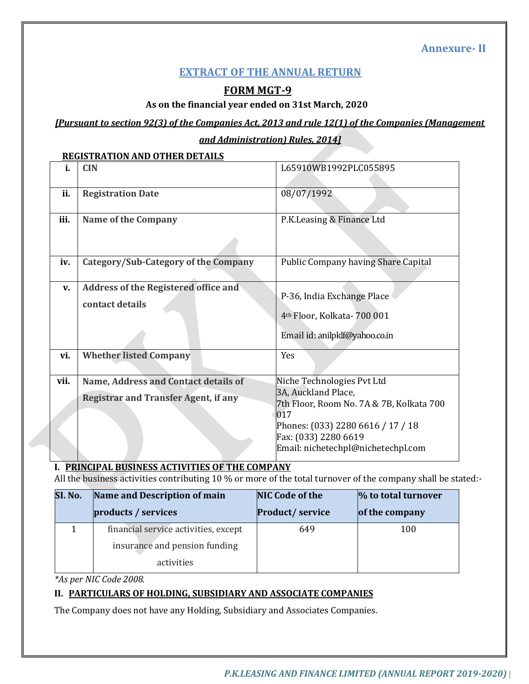## **Annexure- II**

## **EXTRACT OF THE ANNUAL RETURN**

## **FORM MGT-9**

#### **As on the financial year ended on 31st March, 2020**

#### *[Pursuant to section 92(3) of the Companies Act, 2013 and rule 12(1) of the Companies (Management*

#### *and Administration) Rules, 2014]*

#### **REGISTRATION AND OTHER DETAILS**

| i.   | <b>CIN</b>                                                                          | L65910WB1992PLC055895                                                                                                                                                                                   |
|------|-------------------------------------------------------------------------------------|---------------------------------------------------------------------------------------------------------------------------------------------------------------------------------------------------------|
| ii.  | <b>Registration Date</b>                                                            | 08/07/1992                                                                                                                                                                                              |
| iii. | <b>Name of the Company</b>                                                          | P.K.Leasing & Finance Ltd                                                                                                                                                                               |
| iv.  | <b>Category/Sub-Category of the Company</b>                                         | Public Company having Share Capital                                                                                                                                                                     |
| V.   | <b>Address of the Registered office and</b><br>contact details                      | P-36, India Exchange Place<br>4th Floor, Kolkata-700 001<br>Email id: anilpklf@yahoo.co.in                                                                                                              |
| vi.  | <b>Whether listed Company</b>                                                       | Yes                                                                                                                                                                                                     |
| vii. | Name, Address and Contact details of<br><b>Registrar and Transfer Agent, if any</b> | Niche Technologies Pvt Ltd<br>3A, Auckland Place,<br>7th Floor, Room No. 7A & 7B, Kolkata 700<br>017<br>Phones: (033) 2280 6616 / 17 / 18<br>Fax: (033) 2280 6619<br>Email: nichetechpl@nichetechpl.com |

## **I. PRINCIPAL BUSINESS ACTIVITIES OF THE COMPANY**

All the business activities contributing 10 % or more of the total turnover of the company shall be stated:-

| SI. No. | Name and Description of main         | <b>NIC Code of the</b> | % to total turnover |  |
|---------|--------------------------------------|------------------------|---------------------|--|
|         | products / services                  | <b>Product/service</b> | of the company      |  |
|         | financial service activities, except | 649                    | 100                 |  |
|         | insurance and pension funding        |                        |                     |  |
|         | activities                           |                        |                     |  |

*\*As per NIC Code 2008.*

#### **II. PARTICULARS OF HOLDING, SUBSIDIARY AND ASSOCIATE COMPANIES**

The Company does not have any Holding, Subsidiary and Associates Companies.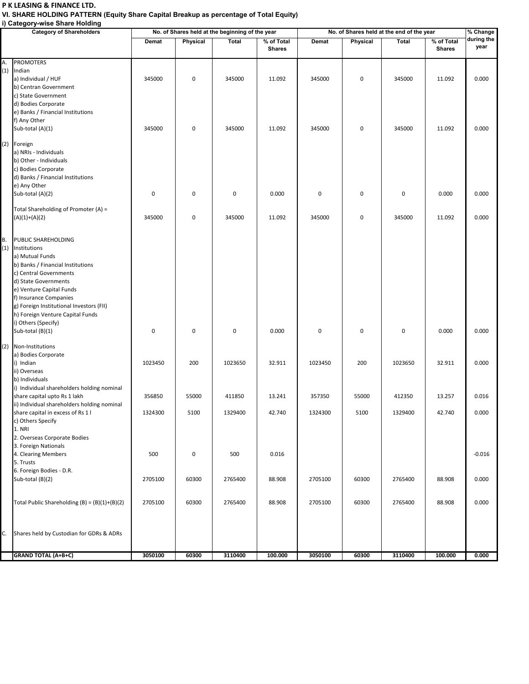#### **P K LEASING & FINANCE LTD. VI. SHARE HOLDING PATTERN (Equity Share Capital Breakup as percentage of Total Equity)**

|           | i) Category-wise Share Holding                                                                                                                                                                                                                                                                                                 |         |             |                                                 |                             |         |          |                                           |                             |                    |
|-----------|--------------------------------------------------------------------------------------------------------------------------------------------------------------------------------------------------------------------------------------------------------------------------------------------------------------------------------|---------|-------------|-------------------------------------------------|-----------------------------|---------|----------|-------------------------------------------|-----------------------------|--------------------|
|           | <b>Category of Shareholders</b>                                                                                                                                                                                                                                                                                                |         |             | No. of Shares held at the beginning of the year |                             |         |          | No. of Shares held at the end of the year |                             | % Change           |
|           |                                                                                                                                                                                                                                                                                                                                | Demat   | Physical    | <b>Total</b>                                    | % of Total<br><b>Shares</b> | Demat   | Physical | Total                                     | % of Total<br><b>Shares</b> | during the<br>year |
| Α.<br>(1) | <b>PROMOTERS</b><br>Indian<br>a) Individual / HUF<br>b) Centran Government<br>c) State Government<br>d) Bodies Corporate                                                                                                                                                                                                       | 345000  | $\pmb{0}$   | 345000                                          | 11.092                      | 345000  | 0        | 345000                                    | 11.092                      | 0.000              |
|           | e) Banks / Financial Institutions<br>f) Any Other<br>Sub-total (A)(1)                                                                                                                                                                                                                                                          | 345000  | $\mathbf 0$ | 345000                                          | 11.092                      | 345000  | 0        | 345000                                    | 11.092                      | 0.000              |
| (2)       | Foreign<br>a) NRIs - Individuals<br>b) Other - Individuals<br>c) Bodies Corporate<br>d) Banks / Financial Institutions<br>e) Any Other                                                                                                                                                                                         |         |             |                                                 |                             |         |          |                                           |                             |                    |
|           | Sub-total (A)(2)                                                                                                                                                                                                                                                                                                               | 0       | $\mathbf 0$ | $\mathbf 0$                                     | 0.000                       | 0       | 0        | $\mathsf 0$                               | 0.000                       | 0.000              |
|           | Total Shareholding of Promoter (A) =<br>$(A)(1)+(A)(2)$                                                                                                                                                                                                                                                                        | 345000  | 0           | 345000                                          | 11.092                      | 345000  | 0        | 345000                                    | 11.092                      | 0.000              |
| B.<br>(1) | PUBLIC SHAREHOLDING<br>Institutions<br>a) Mutual Funds<br>b) Banks / Financial Institutions<br>c) Central Governments<br>d) State Governments<br>e) Venture Capital Funds<br>f) Insurance Companies<br>g) Foreign Institutional Investors (FII)<br>h) Foreign Venture Capital Funds<br>i) Others (Specify)<br>Sub-total (B)(1) | 0       | $\mathbf 0$ | $\mathsf 0$                                     | 0.000                       | 0       | 0        | 0                                         | 0.000                       | 0.000              |
|           | (2) Non-Institutions<br>a) Bodies Corporate<br>i) Indian<br>ii) Overseas                                                                                                                                                                                                                                                       | 1023450 | 200         | 1023650                                         | 32.911                      | 1023450 | 200      | 1023650                                   | 32.911                      | 0.000              |
|           | b) Individuals<br>i) Individual shareholders holding nominal<br>share capital upto Rs 1 lakh                                                                                                                                                                                                                                   | 356850  | 55000       | 411850                                          | 13.241                      | 357350  | 55000    | 412350                                    | 13.257                      | 0.016              |
|           | ii) Individual shareholders holding nominal<br>share capital in excess of Rs 1 l<br>c) Others Specify<br>1. NRI<br>2. Overseas Corporate Bodies                                                                                                                                                                                | 1324300 | 5100        | 1329400                                         | 42.740                      | 1324300 | 5100     | 1329400                                   | 42.740                      | 0.000              |
|           | 3. Foreign Nationals<br>4. Clearing Members<br>5. Trusts                                                                                                                                                                                                                                                                       | 500     | $\pmb{0}$   | 500                                             | 0.016                       |         |          |                                           |                             | $-0.016$           |
|           | 6. Foreign Bodies - D.R.<br>Sub-total (B)(2)                                                                                                                                                                                                                                                                                   | 2705100 | 60300       | 2765400                                         | 88.908                      | 2705100 | 60300    | 2765400                                   | 88.908                      | 0.000              |
|           | Total Public Shareholding $(B) = (B)(1)+(B)(2)$                                                                                                                                                                                                                                                                                | 2705100 | 60300       | 2765400                                         | 88.908                      | 2705100 | 60300    | 2765400                                   | 88.908                      | 0.000              |
| С.        | Shares held by Custodian for GDRs & ADRs                                                                                                                                                                                                                                                                                       |         |             |                                                 |                             |         |          |                                           |                             |                    |
|           | <b>GRAND TOTAL (A+B+C)</b>                                                                                                                                                                                                                                                                                                     | 3050100 | 60300       | 3110400                                         | 100.000                     | 3050100 | 60300    | 3110400                                   | 100.000                     | 0.000              |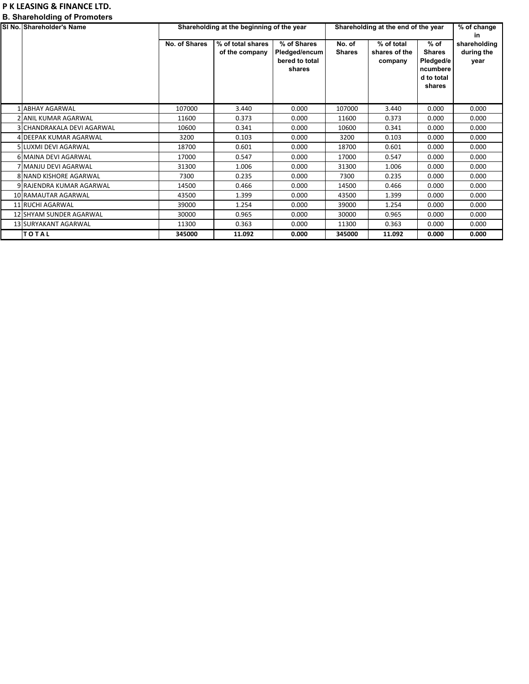#### **B. Shareholding of Promoters**

| SI No. Shareholder's Name     |               | Shareholding at the beginning of the year |                                                          | Shareholding at the end of the year | % of change<br>in                      |                                                                          |                                    |
|-------------------------------|---------------|-------------------------------------------|----------------------------------------------------------|-------------------------------------|----------------------------------------|--------------------------------------------------------------------------|------------------------------------|
|                               | No. of Shares | % of total shares<br>of the company       | % of Shares<br>Pledged/encum<br>bered to total<br>shares | No. of<br><b>Shares</b>             | % of total<br>shares of the<br>company | $%$ of<br><b>Shares</b><br>Pledged/e<br>ncumbere<br>d to total<br>shares | shareholding<br>during the<br>year |
| LlABHAY AGARWAL               | 107000        | 3.440                                     | 0.000                                                    | 107000                              | 3.440                                  | 0.000                                                                    | 0.000                              |
| 2 ANIL KUMAR AGARWAL          | 11600         | 0.373                                     | 0.000                                                    | 11600                               | 0.373                                  | 0.000                                                                    | 0.000                              |
| 3 CHANDRAKALA DEVI AGARWAL    | 10600         | 0.341                                     | 0.000                                                    | 10600                               | 0.341                                  | 0.000                                                                    | 0.000                              |
| 4 DEEPAK KUMAR AGARWAL        | 3200          | 0.103                                     | 0.000                                                    | 3200                                | 0.103                                  | 0.000                                                                    | 0.000                              |
| 5 LUXMI DEVI AGARWAL          | 18700         | 0.601                                     | 0.000                                                    | 18700                               | 0.601                                  | 0.000                                                                    | 0.000                              |
| 6 MAINA DEVI AGARWAL          | 17000         | 0.547                                     | 0.000                                                    | 17000                               | 0.547                                  | 0.000                                                                    | 0.000                              |
| 7 MANJU DEVI AGARWAL          | 31300         | 1.006                                     | 0.000                                                    | 31300                               | 1.006                                  | 0.000                                                                    | 0.000                              |
| <b>8 NAND KISHORE AGARWAL</b> | 7300          | 0.235                                     | 0.000                                                    | 7300                                | 0.235                                  | 0.000                                                                    | 0.000                              |
| 9 RAJENDRA KUMAR AGARWAL      | 14500         | 0.466                                     | 0.000                                                    | 14500                               | 0.466                                  | 0.000                                                                    | 0.000                              |
| 10 RAMAUTAR AGARWAL           | 43500         | 1.399                                     | 0.000                                                    | 43500                               | 1.399                                  | 0.000                                                                    | 0.000                              |
| 11 RUCHI AGARWAL              | 39000         | 1.254                                     | 0.000                                                    | 39000                               | 1.254                                  | 0.000                                                                    | 0.000                              |
| 12 SHYAM SUNDER AGARWAL       | 30000         | 0.965                                     | 0.000                                                    | 30000                               | 0.965                                  | 0.000                                                                    | 0.000                              |
| 13 SURYAKANT AGARWAL          | 11300         | 0.363                                     | 0.000                                                    | 11300                               | 0.363                                  | 0.000                                                                    | 0.000                              |
| TOTAL                         | 345000        | 11.092                                    | 0.000                                                    | 345000                              | 11.092                                 | 0.000                                                                    | 0.000                              |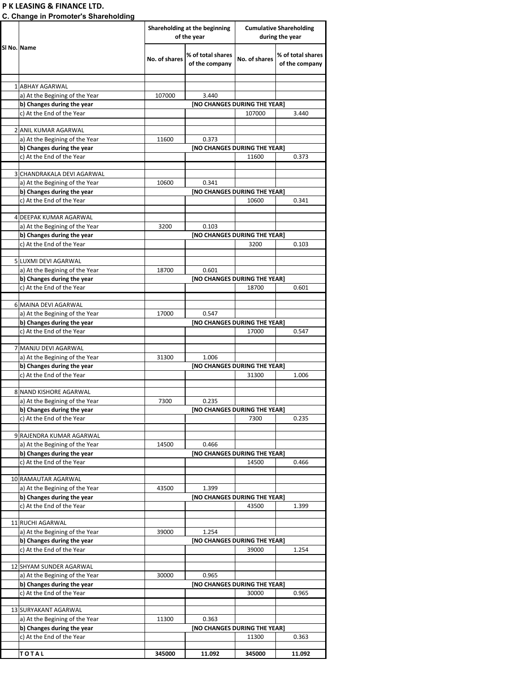#### **C. Change in Promoter's Shareholding**

|             |                                                              |               | Shareholding at the beginning<br>of the year | <b>Cumulative Shareholding</b><br>during the year |                                     |  |
|-------------|--------------------------------------------------------------|---------------|----------------------------------------------|---------------------------------------------------|-------------------------------------|--|
| SI No. Name |                                                              | No. of shares | % of total shares<br>of the company          | No. of shares                                     | % of total shares<br>of the company |  |
|             | 1 ABHAY AGARWAL                                              |               |                                              |                                                   |                                     |  |
|             | a) At the Begining of the Year                               | 107000        | 3.440                                        |                                                   |                                     |  |
|             | b) Changes during the year                                   |               | [NO CHANGES DURING THE YEAR]                 |                                                   |                                     |  |
|             | c) At the End of the Year                                    |               |                                              | 107000                                            | 3.440                               |  |
|             | 2 ANIL KUMAR AGARWAL                                         |               |                                              |                                                   |                                     |  |
|             | a) At the Begining of the Year                               | 11600         | 0.373                                        |                                                   |                                     |  |
|             | b) Changes during the year                                   |               | [NO CHANGES DURING THE YEAR]                 |                                                   |                                     |  |
|             | c) At the End of the Year                                    |               |                                              | 11600                                             | 0.373                               |  |
|             |                                                              |               |                                              |                                                   |                                     |  |
|             | 3 CHANDRAKALA DEVI AGARWAL                                   |               | 0.341                                        |                                                   |                                     |  |
|             | a) At the Begining of the Year<br>b) Changes during the year | 10600         | [NO CHANGES DURING THE YEAR]                 |                                                   |                                     |  |
|             | c) At the End of the Year                                    |               |                                              | 10600                                             | 0.341                               |  |
|             |                                                              |               |                                              |                                                   |                                     |  |
|             | 4 DEEPAK KUMAR AGARWAL                                       |               |                                              |                                                   |                                     |  |
|             | a) At the Begining of the Year                               | 3200          | 0.103                                        |                                                   |                                     |  |
|             | b) Changes during the year<br>c) At the End of the Year      |               | [NO CHANGES DURING THE YEAR]                 | 3200                                              | 0.103                               |  |
|             |                                                              |               |                                              |                                                   |                                     |  |
|             | 5 LUXMI DEVI AGARWAL                                         |               |                                              |                                                   |                                     |  |
|             | a) At the Begining of the Year                               | 18700         | 0.601                                        |                                                   |                                     |  |
|             | b) Changes during the year                                   |               | [NO CHANGES DURING THE YEAR]                 |                                                   |                                     |  |
|             | c) At the End of the Year                                    |               |                                              | 18700                                             | 0.601                               |  |
|             | 6 MAINA DEVI AGARWAL                                         |               |                                              |                                                   |                                     |  |
|             | a) At the Begining of the Year                               | 17000         | 0.547                                        |                                                   |                                     |  |
|             | b) Changes during the year                                   |               | [NO CHANGES DURING THE YEAR]                 |                                                   |                                     |  |
|             | c) At the End of the Year                                    |               |                                              | 17000                                             | 0.547                               |  |
|             |                                                              |               |                                              |                                                   |                                     |  |
|             | 7 MANJU DEVI AGARWAL<br>a) At the Begining of the Year       | 31300         | 1.006                                        |                                                   |                                     |  |
|             | b) Changes during the year                                   |               | [NO CHANGES DURING THE YEAR]                 |                                                   |                                     |  |
|             | c) At the End of the Year                                    |               |                                              | 31300                                             | 1.006                               |  |
|             |                                                              |               |                                              |                                                   |                                     |  |
|             | 8 NAND KISHORE AGARWAL                                       |               |                                              |                                                   |                                     |  |
|             | a) At the Begining of the Year<br>b) Changes during the year | 7300          | 0.235<br>[NO CHANGES DURING THE YEAR]        |                                                   |                                     |  |
|             | c) At the End of the Year                                    |               |                                              | 7300                                              | 0.235                               |  |
|             |                                                              |               |                                              |                                                   |                                     |  |
|             | 9 RAJENDRA KUMAR AGARWAL                                     |               |                                              |                                                   |                                     |  |
|             | a) At the Begining of the Year                               | 14500         | 0.466                                        |                                                   |                                     |  |
|             | b) Changes during the year<br>c) At the End of the Year      |               | [NO CHANGES DURING THE YEAR]                 | 14500                                             | 0.466                               |  |
|             |                                                              |               |                                              |                                                   |                                     |  |
|             | 10 RAMAUTAR AGARWAL                                          |               |                                              |                                                   |                                     |  |
|             | a) At the Begining of the Year                               | 43500         | 1.399                                        |                                                   |                                     |  |
|             | b) Changes during the year                                   |               | [NO CHANGES DURING THE YEAR]                 |                                                   |                                     |  |
|             | c) At the End of the Year                                    |               |                                              | 43500                                             | 1.399                               |  |
|             | 11 RUCHI AGARWAL                                             |               |                                              |                                                   |                                     |  |
|             | a) At the Begining of the Year                               | 39000         | 1.254                                        |                                                   |                                     |  |
|             | b) Changes during the year                                   |               | [NO CHANGES DURING THE YEAR]                 |                                                   |                                     |  |
|             | c) At the End of the Year                                    |               |                                              | 39000                                             | 1.254                               |  |
|             | 12 SHYAM SUNDER AGARWAL                                      |               |                                              |                                                   |                                     |  |
|             | a) At the Begining of the Year                               | 30000         | 0.965                                        |                                                   |                                     |  |
|             | b) Changes during the year                                   |               | [NO CHANGES DURING THE YEAR]                 |                                                   |                                     |  |
|             | c) At the End of the Year                                    |               |                                              | 30000                                             | 0.965                               |  |
|             |                                                              |               |                                              |                                                   |                                     |  |
|             | 13 SURYAKANT AGARWAL                                         | 11300         | 0.363                                        |                                                   |                                     |  |
|             | a) At the Begining of the Year<br>b) Changes during the year |               | [NO CHANGES DURING THE YEAR]                 |                                                   |                                     |  |
|             | c) At the End of the Year                                    |               |                                              | 11300                                             | 0.363                               |  |
|             |                                                              |               |                                              |                                                   |                                     |  |
|             | TOTAL                                                        | 345000        | 11.092                                       | 345000                                            | 11.092                              |  |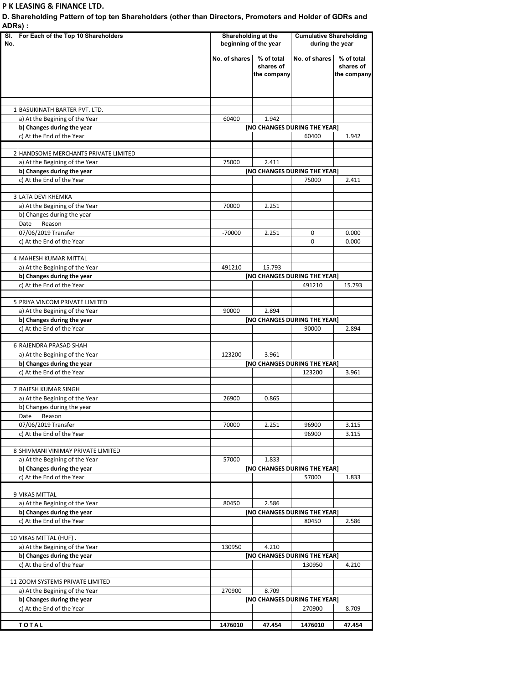#### **D. Shareholding Pattern of top ten Shareholders (other than Directors, Promoters and Holder of GDRs and ADRs) :**

| SI.<br>For Each of the Top 10 Shareholders<br>No. |                                                                 | Shareholding at the<br>beginning of the year |                                        | <b>Cumulative Shareholding</b><br>during the year |                                        |
|---------------------------------------------------|-----------------------------------------------------------------|----------------------------------------------|----------------------------------------|---------------------------------------------------|----------------------------------------|
|                                                   |                                                                 | No. of shares                                | % of total<br>shares of<br>the company | No. of shares                                     | % of total<br>shares of<br>the company |
|                                                   |                                                                 |                                              |                                        |                                                   |                                        |
|                                                   | 1 BASUKINATH BARTER PVT. LTD.<br>a) At the Begining of the Year | 60400                                        | 1.942                                  |                                                   |                                        |
|                                                   | b) Changes during the year                                      |                                              |                                        | [NO CHANGES DURING THE YEAR]                      |                                        |
|                                                   | c) At the End of the Year                                       |                                              |                                        | 60400                                             | 1.942                                  |
|                                                   |                                                                 |                                              |                                        |                                                   |                                        |
|                                                   | 2 HANDSOME MERCHANTS PRIVATE LIMITED                            |                                              |                                        |                                                   |                                        |
|                                                   | a) At the Begining of the Year<br>b) Changes during the year    | 75000                                        | 2.411                                  | [NO CHANGES DURING THE YEAR]                      |                                        |
|                                                   | c) At the End of the Year                                       |                                              |                                        | 75000                                             | 2.411                                  |
|                                                   |                                                                 |                                              |                                        |                                                   |                                        |
|                                                   | 3 LATA DEVI KHEMKA                                              |                                              |                                        |                                                   |                                        |
|                                                   | a) At the Begining of the Year                                  | 70000                                        | 2.251                                  |                                                   |                                        |
|                                                   | b) Changes during the year                                      |                                              |                                        |                                                   |                                        |
|                                                   | Date<br>Reason                                                  |                                              |                                        |                                                   |                                        |
|                                                   | 07/06/2019 Transfer<br>c) At the End of the Year                | $-70000$                                     | 2.251                                  | 0<br>0                                            | 0.000<br>0.000                         |
|                                                   |                                                                 |                                              |                                        |                                                   |                                        |
|                                                   | 4 MAHESH KUMAR MITTAL                                           |                                              |                                        |                                                   |                                        |
|                                                   | a) At the Begining of the Year                                  | 491210                                       | 15.793                                 |                                                   |                                        |
|                                                   | b) Changes during the year                                      |                                              |                                        | [NO CHANGES DURING THE YEAR]                      |                                        |
|                                                   | c) At the End of the Year                                       |                                              |                                        | 491210                                            | 15.793                                 |
|                                                   | 5 PRIYA VINCOM PRIVATE LIMITED                                  |                                              |                                        |                                                   |                                        |
|                                                   | a) At the Begining of the Year                                  | 90000                                        | 2.894                                  |                                                   |                                        |
|                                                   | b) Changes during the year                                      |                                              |                                        | [NO CHANGES DURING THE YEAR]                      |                                        |
|                                                   | c) At the End of the Year                                       |                                              |                                        | 90000                                             | 2.894                                  |
|                                                   |                                                                 |                                              |                                        |                                                   |                                        |
|                                                   | 6 RAJENDRA PRASAD SHAH                                          |                                              |                                        |                                                   |                                        |
|                                                   | a) At the Begining of the Year                                  | 123200                                       | 3.961                                  |                                                   |                                        |
|                                                   | b) Changes during the year<br>c) At the End of the Year         |                                              |                                        | [NO CHANGES DURING THE YEAR]<br>123200            | 3.961                                  |
|                                                   |                                                                 |                                              |                                        |                                                   |                                        |
|                                                   | 7 RAJESH KUMAR SINGH                                            |                                              |                                        |                                                   |                                        |
|                                                   | a) At the Begining of the Year                                  | 26900                                        | 0.865                                  |                                                   |                                        |
|                                                   | b) Changes during the year                                      |                                              |                                        |                                                   |                                        |
|                                                   | Date Reason                                                     |                                              |                                        |                                                   |                                        |
|                                                   | 07/06/2019 Transfer                                             | 70000                                        | 2.251                                  | 96900                                             | 3.115                                  |
|                                                   | c) At the End of the Year                                       |                                              |                                        | 96900                                             | 3.115                                  |
|                                                   | 8 SHIVMANI VINIMAY PRIVATE LIMITED                              |                                              |                                        |                                                   |                                        |
|                                                   | a) At the Begining of the Year                                  | 57000                                        | 1.833                                  |                                                   |                                        |
|                                                   | b) Changes during the year                                      |                                              |                                        | [NO CHANGES DURING THE YEAR]                      |                                        |
|                                                   | c) At the End of the Year                                       |                                              |                                        | 57000                                             | 1.833                                  |
|                                                   |                                                                 |                                              |                                        |                                                   |                                        |
|                                                   | 9 VIKAS MITTAL<br>a) At the Begining of the Year                | 80450                                        | 2.586                                  |                                                   |                                        |
|                                                   | b) Changes during the year                                      |                                              |                                        | [NO CHANGES DURING THE YEAR]                      |                                        |
|                                                   | c) At the End of the Year                                       |                                              |                                        | 80450                                             | 2.586                                  |
|                                                   |                                                                 |                                              |                                        |                                                   |                                        |
|                                                   | 10 VIKAS MITTAL (HUF).                                          |                                              |                                        |                                                   |                                        |
|                                                   | a) At the Begining of the Year                                  | 130950                                       | 4.210                                  |                                                   |                                        |
|                                                   | b) Changes during the year                                      |                                              |                                        | [NO CHANGES DURING THE YEAR]                      |                                        |
|                                                   | c) At the End of the Year                                       |                                              |                                        | 130950                                            | 4.210                                  |
|                                                   | 11 ZOOM SYSTEMS PRIVATE LIMITED                                 |                                              |                                        |                                                   |                                        |
|                                                   | a) At the Begining of the Year                                  | 270900                                       | 8.709                                  |                                                   |                                        |
|                                                   | b) Changes during the year                                      |                                              |                                        | [NO CHANGES DURING THE YEAR]                      |                                        |
|                                                   | c) At the End of the Year                                       |                                              |                                        | 270900                                            | 8.709                                  |
|                                                   |                                                                 |                                              |                                        |                                                   |                                        |
|                                                   | TOTAL                                                           | 1476010                                      | 47.454                                 | 1476010                                           | 47.454                                 |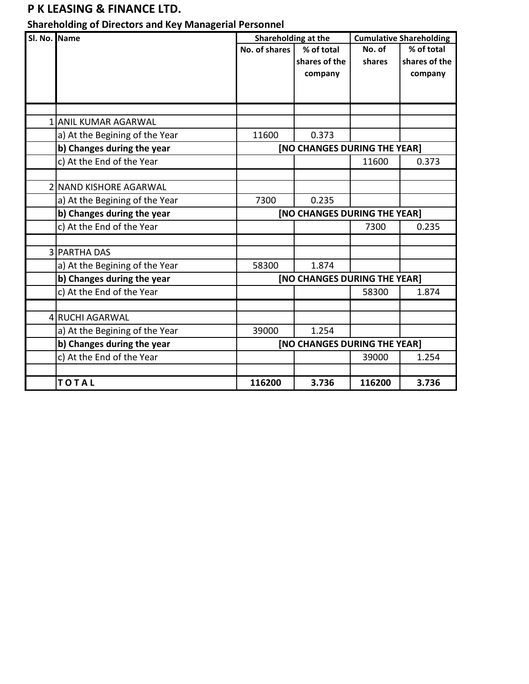## **Shareholding of Directors and Key Managerial Personnel**

| Sl. No. Name |                                | Shareholding at the |                              | <b>Cumulative Shareholding</b> |               |
|--------------|--------------------------------|---------------------|------------------------------|--------------------------------|---------------|
|              |                                | No. of shares       | % of total                   | No. of                         | % of total    |
|              |                                |                     | shares of the                | shares                         | shares of the |
|              |                                |                     | company                      |                                | company       |
|              |                                |                     |                              |                                |               |
|              |                                |                     |                              |                                |               |
|              | 1 ANIL KUMAR AGARWAL           |                     |                              |                                |               |
|              | a) At the Begining of the Year | 11600               | 0.373                        |                                |               |
|              |                                |                     | [NO CHANGES DURING THE YEAR] |                                |               |
|              | b) Changes during the year     |                     |                              |                                |               |
|              | c) At the End of the Year      |                     |                              | 11600                          | 0.373         |
|              |                                |                     |                              |                                |               |
|              | 2 NAND KISHORE AGARWAL         |                     |                              |                                |               |
|              | a) At the Begining of the Year | 7300                | 0.235                        |                                |               |
|              | b) Changes during the year     |                     | [NO CHANGES DURING THE YEAR] |                                |               |
|              | c) At the End of the Year      |                     |                              | 7300                           | 0.235         |
|              |                                |                     |                              |                                |               |
|              | <b>3 PARTHA DAS</b>            |                     |                              |                                |               |
|              | a) At the Begining of the Year | 58300               | 1.874                        |                                |               |
|              | b) Changes during the year     |                     | [NO CHANGES DURING THE YEAR] |                                |               |
|              | c) At the End of the Year      |                     |                              | 58300                          | 1.874         |
|              |                                |                     |                              |                                |               |
|              | 4 RUCHI AGARWAL                |                     |                              |                                |               |
|              | a) At the Begining of the Year | 39000               | 1.254                        |                                |               |
|              | b) Changes during the year     |                     | [NO CHANGES DURING THE YEAR] |                                |               |
|              | c) At the End of the Year      |                     |                              | 39000                          | 1.254         |
|              |                                |                     |                              |                                |               |
|              | <b>TOTAL</b>                   | 116200              | 3.736                        | 116200                         | 3.736         |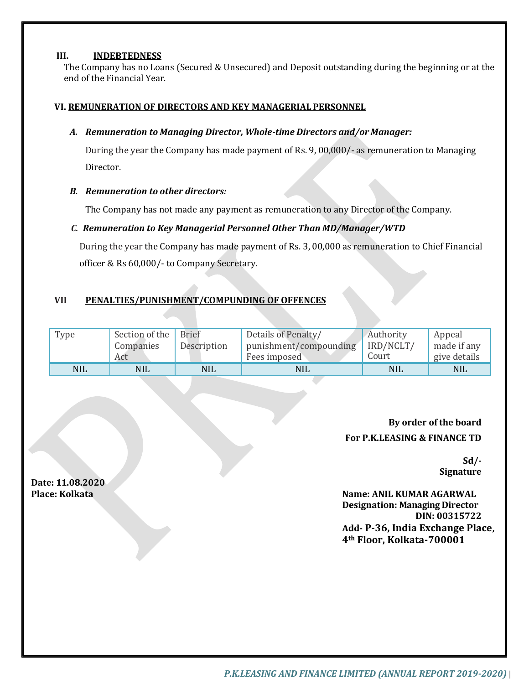#### **III. INDEBTEDNESS**

The Company has no Loans (Secured & Unsecured) and Deposit outstanding during the beginning or at the end of the Financial Year.

#### **VI. REMUNERATION OF DIRECTORS AND KEY MANAGERIAL PERSONNEL**

#### *A. Remuneration to Managing Director, Whole-time Directors and/or Manager:*

During the year the Company has made payment of Rs. 9, 00,000/- as remuneration to Managing Director.

#### *B. Remuneration to other directors:*

The Company has not made any payment as remuneration to any Director of the Company.

#### *C. Remuneration to Key Managerial Personnel Other Than MD/Manager/WTD*

During the year the Company has made payment of Rs. 3, 00,000 as remuneration to Chief Financial officer & Rs 60,000/- to Company Secretary.

#### **VII PENALTIES/PUNISHMENT/COMPUNDING OF OFFENCES**

| Type       | Section of the<br>Companies<br>Act | Brief<br>Description | Details of Penalty/<br>punishment/compounding<br>Fees imposed | Authority<br>IRD/NCLT/<br>Court | Appeal<br>made if any<br>give details |
|------------|------------------------------------|----------------------|---------------------------------------------------------------|---------------------------------|---------------------------------------|
| <b>NIL</b> | <b>NIL</b>                         | <b>NIL</b>           | <b>NIL</b>                                                    | NIL                             | <b>NIL</b>                            |

## **By order of the board For P.K.LEASING & FINANCE TD**

**Sd/- Signature**

**Place: Kolkata** Name: ANIL KUMAR AGARWAL **Designation: Managing Director DIN: 00315722 Add- P-36, India Exchange Place, 4th Floor, Kolkata-700001**

**Date: 11.08.2020**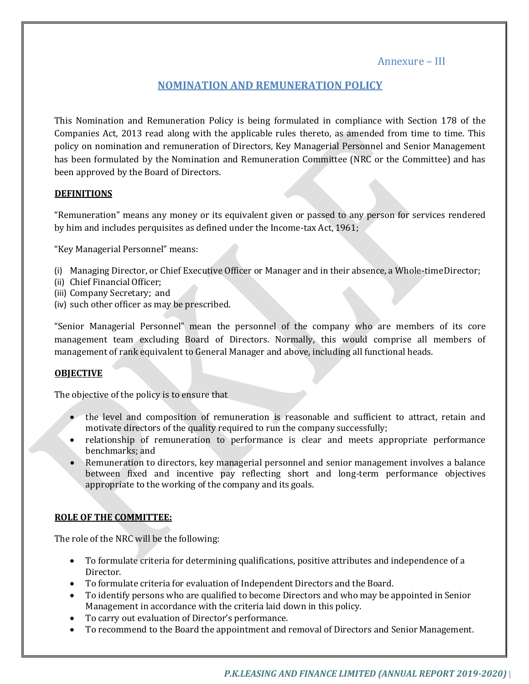## Annexure – III

## **NOMINATION AND REMUNERATION POLICY**

This Nomination and Remuneration Policy is being formulated in compliance with Section 178 of the Companies Act, 2013 read along with the applicable rules thereto, as amended from time to time. This policy on nomination and remuneration of Directors, Key Managerial Personnel and Senior Management has been formulated by the Nomination and Remuneration Committee (NRC or the Committee) and has been approved by the Board of Directors.

#### **DEFINITIONS**

"Remuneration" means any money or its equivalent given or passed to any person for services rendered by him and includes perquisites as defined under the Income-tax Act, 1961;

"Key Managerial Personnel" means:

- (i) Managing Director, or Chief Executive Officer or Manager and in their absence, a Whole-timeDirector;
- (ii) Chief Financial Officer;
- (iii) Company Secretary; and
- (iv) such other officer as may be prescribed.

"Senior Managerial Personnel" mean the personnel of the company who are members of its core management team excluding Board of Directors. Normally, this would comprise all members of management of rank equivalent to General Manager and above, including all functional heads.

#### **OBJECTIVE**

The objective of the policy is to ensure that

- the level and composition of remuneration is reasonable and sufficient to attract, retain and motivate directors of the quality required to run the company successfully;
- relationship of remuneration to performance is clear and meets appropriate performance benchmarks; and
- Remuneration to directors, key managerial personnel and senior management involves a balance between fixed and incentive pay reflecting short and long-term performance objectives appropriate to the working of the company and its goals.

## **ROLE OF THE COMMITTEE:**

The role of the NRC will be the following:

- To formulate criteria for determining qualifications, positive attributes and independence of a Director.
- To formulate criteria for evaluation of Independent Directors and the Board.
- To identify persons who are qualified to become Directors and who may be appointed in Senior Management in accordance with the criteria laid down in this policy.
- To carry out evaluation of Director's performance.
- To recommend to the Board the appointment and removal of Directors and Senior Management.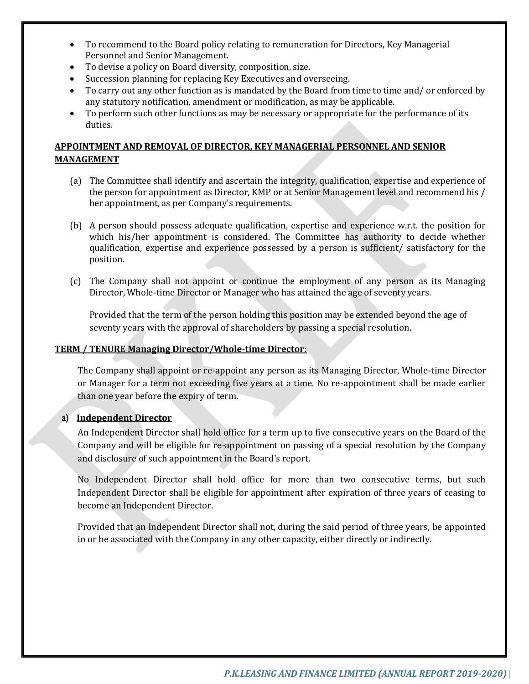- To recommend to the Board policy relating to remuneration for Directors, Key Managerial Personnel and Senior Management.
- To devise a policy on Board diversity, composition, size.
- Succession planning for replacing Key Executives and overseeing.
- To carry out any other function as is mandated by the Board from time to time and/ or enforced by any statutory notification, amendment or modification, as may be applicable.
- To perform such other functions as may be necessary or appropriate for the performance of its duties.

#### **APPOINTMENT AND REMOVAL OF DIRECTOR, KEY MANAGERIAL PERSONNEL AND SENIOR MANAGEMENT**

- (a) The Committee shall identify and ascertain the integrity, qualification, expertise and experience of the person for appointment as Director, KMP or at Senior Management level and recommend his / her appointment, as per Company's requirements.
- (b) A person should possess adequate qualification, expertise and experience w.r.t. the position for which his/her appointment is considered. The Committee has authority to decide whether qualification, expertise and experience possessed by a person is sufficient/ satisfactory for the position.
- (c) The Company shall not appoint or continue the employment of any person as its Managing Director, Whole-time Director or Manager who has attained the age of seventy years.

Provided that the term of the person holding this position may be extended beyond the age of seventy years with the approval of shareholders by passing a special resolution.

#### **TERM / TENURE Managing Director/Whole-time Director:**

The Company shall appoint or re-appoint any person as its Managing Director, Whole-time Director or Manager for a term not exceeding five years at a time. No re-appointment shall be made earlier than one year before the expiry of term.

#### a) **Independent Director**

An Independent Director shall hold office for a term up to five consecutive years on the Board of the Company and will be eligible for re-appointment on passing of a special resolution by the Company and disclosure of such appointment in the Board's report.

No Independent Director shall hold office for more than two consecutive terms, but such Independent Director shall be eligible for appointment after expiration of three years of ceasing to become an Independent Director.

Provided that an Independent Director shall not, during the said period of three years, be appointed in or be associated with the Company in any other capacity, either directly or indirectly.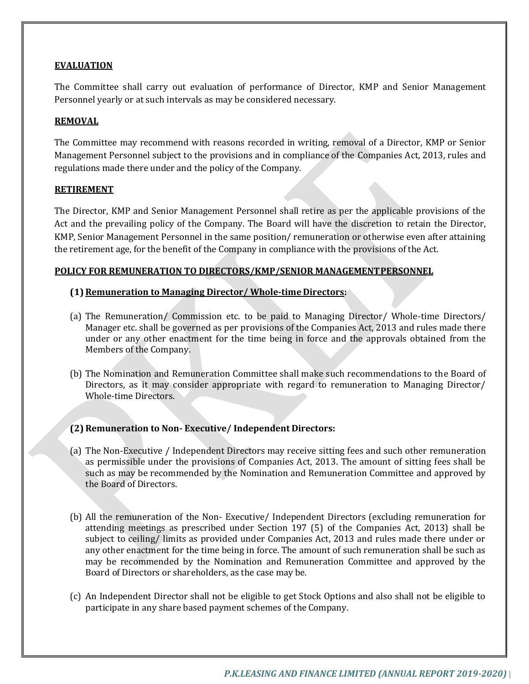#### **EVALUATION**

The Committee shall carry out evaluation of performance of Director, KMP and Senior Management Personnel yearly or at such intervals as may be considered necessary.

#### **REMOVAL**

The Committee may recommend with reasons recorded in writing, removal of a Director, KMP or Senior Management Personnel subject to the provisions and in compliance of the Companies Act, 2013, rules and regulations made there under and the policy of the Company.

#### **RETIREMENT**

The Director, KMP and Senior Management Personnel shall retire as per the applicable provisions of the Act and the prevailing policy of the Company. The Board will have the discretion to retain the Director, KMP, Senior Management Personnel in the same position/ remuneration or otherwise even after attaining the retirement age, for the benefit of the Company in compliance with the provisions of the Act.

#### **POLICY FOR REMUNERATION TO DIRECTORS/KMP/SENIOR MANAGEMENTPERSONNEL**

#### **(1)Remuneration to Managing Director/ Whole-time Directors:**

- (a) The Remuneration/ Commission etc. to be paid to Managing Director/ Whole-time Directors/ Manager etc. shall be governed as per provisions of the Companies Act, 2013 and rules made there under or any other enactment for the time being in force and the approvals obtained from the Members of the Company.
- (b) The Nomination and Remuneration Committee shall make such recommendations to the Board of Directors, as it may consider appropriate with regard to remuneration to Managing Director/ Whole-time Directors.

#### **(2)Remuneration to Non- Executive/ Independent Directors:**

- (a) The Non-Executive / Independent Directors may receive sitting fees and such other remuneration as permissible under the provisions of Companies Act, 2013. The amount of sitting fees shall be such as may be recommended by the Nomination and Remuneration Committee and approved by the Board of Directors.
- (b) All the remuneration of the Non- Executive/ Independent Directors (excluding remuneration for attending meetings as prescribed under Section 197 (5) of the Companies Act, 2013) shall be subject to ceiling/ limits as provided under Companies Act, 2013 and rules made there under or any other enactment for the time being in force. The amount of such remuneration shall be such as may be recommended by the Nomination and Remuneration Committee and approved by the Board of Directors or shareholders, as the case may be.
- (c) An Independent Director shall not be eligible to get Stock Options and also shall not be eligible to participate in any share based payment schemes of the Company.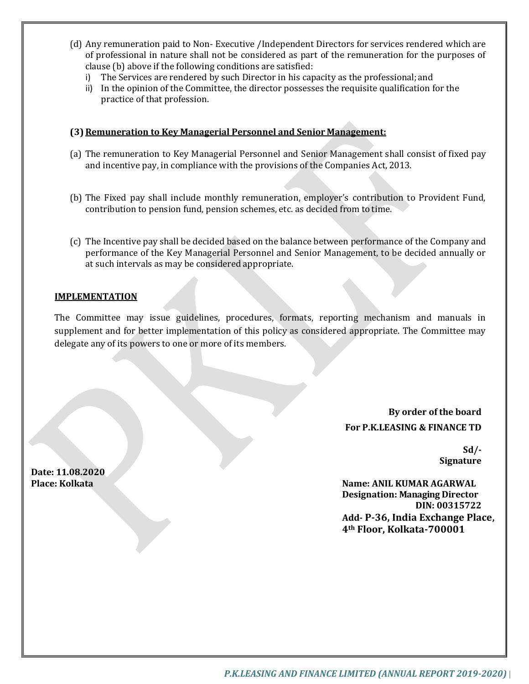- (d) Any remuneration paid to Non- Executive /Independent Directors for services rendered which are of professional in nature shall not be considered as part of the remuneration for the purposes of clause (b) above if the following conditions are satisfied:
	- i) The Services are rendered by such Director in his capacity as the professional;and
	- ii) In the opinion of the Committee, the director possesses the requisite qualification for the practice of that profession.

#### **(3)Remuneration to Key Managerial Personnel and Senior Management:**

- (a) The remuneration to Key Managerial Personnel and Senior Management shall consist of fixed pay and incentive pay, in compliance with the provisions of the Companies Act, 2013.
- (b) The Fixed pay shall include monthly remuneration, employer's contribution to Provident Fund, contribution to pension fund, pension schemes, etc. as decided from to time.
- (c) The Incentive pay shall be decided based on the balance between performance of the Company and performance of the Key Managerial Personnel and Senior Management, to be decided annually or at such intervals as may be considered appropriate.

#### **IMPLEMENTATION**

The Committee may issue guidelines, procedures, formats, reporting mechanism and manuals in supplement and for better implementation of this policy as considered appropriate. The Committee may delegate any of its powers to one or more of its members.

> **By order of the board For P.K.LEASING & FINANCE TD**

> > **Sd/- Signature**

**Place: Kolkata Name: ANIL KUMAR AGARWAL Designation: Managing Director DIN: 00315722 Add- P-36, India Exchange Place, 4th Floor, Kolkata-700001**

**Date: 11.08.2020**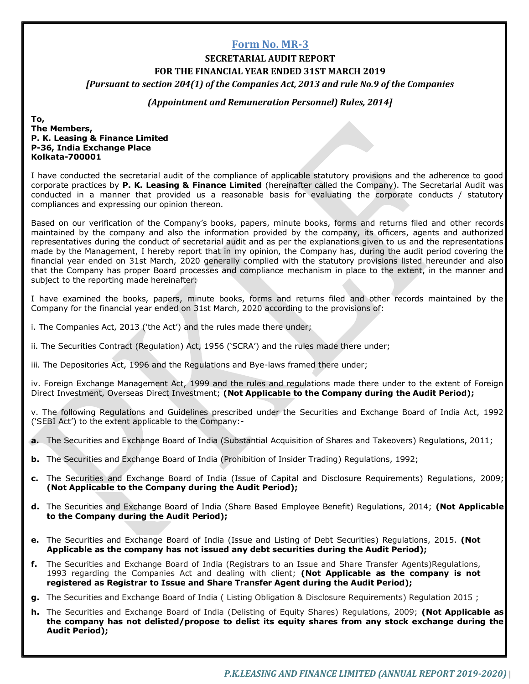#### **Form No. MR-3**

#### **SECRETARIAL AUDIT REPORT**

#### **FOR THE FINANCIAL YEAR ENDED 31ST MARCH 2019**

*[Pursuant to section 204(1) of the Companies Act, 2013 and rule No.9 of the Companies* 

#### *(Appointment and Remuneration Personnel) Rules, 2014]*

**To, The Members, P. K. Leasing & Finance Limited P-36, India Exchange Place Kolkata-700001**

I have conducted the secretarial audit of the compliance of applicable statutory provisions and the adherence to good corporate practices by **P. K. Leasing & Finance Limited** (hereinafter called the Company). The Secretarial Audit was conducted in a manner that provided us a reasonable basis for evaluating the corporate conducts / statutory compliances and expressing our opinion thereon.

Based on our verification of the Company's books, papers, minute books, forms and returns filed and other records maintained by the company and also the information provided by the company, its officers, agents and authorized representatives during the conduct of secretarial audit and as per the explanations given to us and the representations made by the Management, I hereby report that in my opinion, the Company has, during the audit period covering the financial year ended on 31st March, 2020 generally complied with the statutory provisions listed hereunder and also that the Company has proper Board processes and compliance mechanism in place to the extent, in the manner and subject to the reporting made hereinafter:

I have examined the books, papers, minute books, forms and returns filed and other records maintained by the Company for the financial year ended on 31st March, 2020 according to the provisions of:

- i. The Companies Act, 2013 ('the Act') and the rules made there under;
- ii. The Securities Contract (Regulation) Act, 1956 ('SCRA') and the rules made there under;

iii. The Depositories Act, 1996 and the Regulations and Bye-laws framed there under;

iv. Foreign Exchange Management Act, 1999 and the rules and regulations made there under to the extent of Foreign Direct Investment, Overseas Direct Investment; **(Not Applicable to the Company during the Audit Period);**

v. The following Regulations and Guidelines prescribed under the Securities and Exchange Board of India Act, 1992 ('SEBI Act') to the extent applicable to the Company:-

- **a.** The Securities and Exchange Board of India (Substantial Acquisition of Shares and Takeovers) Regulations, 2011;
- **b.** The Securities and Exchange Board of India (Prohibition of Insider Trading) Regulations, 1992;
- **c.** The Securities and Exchange Board of India (Issue of Capital and Disclosure Requirements) Regulations, 2009; **(Not Applicable to the Company during the Audit Period);**
- **d.** The Securities and Exchange Board of India (Share Based Employee Benefit) Regulations, 2014; **(Not Applicable to the Company during the Audit Period);**
- **e.** The Securities and Exchange Board of India (Issue and Listing of Debt Securities) Regulations, 2015. **(Not Applicable as the company has not issued any debt securities during the Audit Period);**
- **f.** The Securities and Exchange Board of India (Registrars to an Issue and Share Transfer Agents)Regulations, 1993 regarding the Companies Act and dealing with client; **(Not Applicable as the company is not registered as Registrar to Issue and Share Transfer Agent during the Audit Period);**
- **g.** The Securities and Exchange Board of India ( Listing Obligation & Disclosure Requirements) Regulation 2015 ;
- **h.** The Securities and Exchange Board of India (Delisting of Equity Shares) Regulations, 2009; **(Not Applicable as the company has not delisted/propose to delist its equity shares from any stock exchange during the Audit Period);**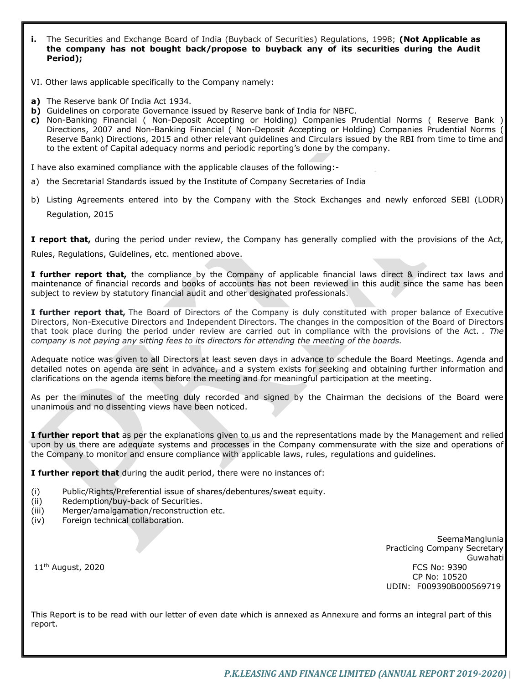- **i.** The Securities and Exchange Board of India (Buyback of Securities) Regulations, 1998; **(Not Applicable as the company has not bought back/propose to buyback any of its securities during the Audit Period);**
- VI. Other laws applicable specifically to the Company namely:
- **a)** The Reserve bank Of India Act 1934.
- **b)** Guidelines on corporate Governance issued by Reserve bank of India for NBFC.
- **c)** Non-Banking Financial ( Non-Deposit Accepting or Holding) Companies Prudential Norms ( Reserve Bank ) Directions, 2007 and Non-Banking Financial ( Non-Deposit Accepting or Holding) Companies Prudential Norms ( Reserve Bank) Directions, 2015 and other relevant guidelines and Circulars issued by the RBI from time to time and to the extent of Capital adequacy norms and periodic reporting's done by the company.

I have also examined compliance with the applicable clauses of the following:-

- a) the Secretarial Standards issued by the Institute of Company Secretaries of India
- b) Listing Agreements entered into by the Company with the Stock Exchanges and newly enforced SEBI (LODR) Regulation, 2015

**I report that,** during the period under review, the Company has generally complied with the provisions of the Act,

Rules, Regulations, Guidelines, etc. mentioned above.

**I further report that,** the compliance by the Company of applicable financial laws direct & indirect tax laws and maintenance of financial records and books of accounts has not been reviewed in this audit since the same has been subject to review by statutory financial audit and other designated professionals.

**I further report that,** The Board of Directors of the Company is duly constituted with proper balance of Executive Directors, Non-Executive Directors and Independent Directors. The changes in the composition of the Board of Directors that took place during the period under review are carried out in compliance with the provisions of the Act. *. The company is not paying any sitting fees to its directors for attending the meeting of the boards.*

Adequate notice was given to all Directors at least seven days in advance to schedule the Board Meetings. Agenda and detailed notes on agenda are sent in advance, and a system exists for seeking and obtaining further information and clarifications on the agenda items before the meeting and for meaningful participation at the meeting.

As per the minutes of the meeting duly recorded and signed by the Chairman the decisions of the Board were unanimous and no dissenting views have been noticed.

**I further report that** as per the explanations given to us and the representations made by the Management and relied upon by us there are adequate systems and processes in the Company commensurate with the size and operations of the Company to monitor and ensure compliance with applicable laws, rules, regulations and guidelines.

**I further report that** during the audit period, there were no instances of:

- (i) Public/Rights/Preferential issue of shares/debentures/sweat equity.
- (ii) Redemption/buy-back of Securities.
- (iii) Merger/amalgamation/reconstruction etc.
- (iv) Foreign technical collaboration.

SeemaManglunia Practicing Company Secretary Guwahati 11 th August, 2020 FCS No: 9390 CP No: 10520 UDIN: F009390B000569719

This Report is to be read with our letter of even date which is annexed as Annexure and forms an integral part of this report.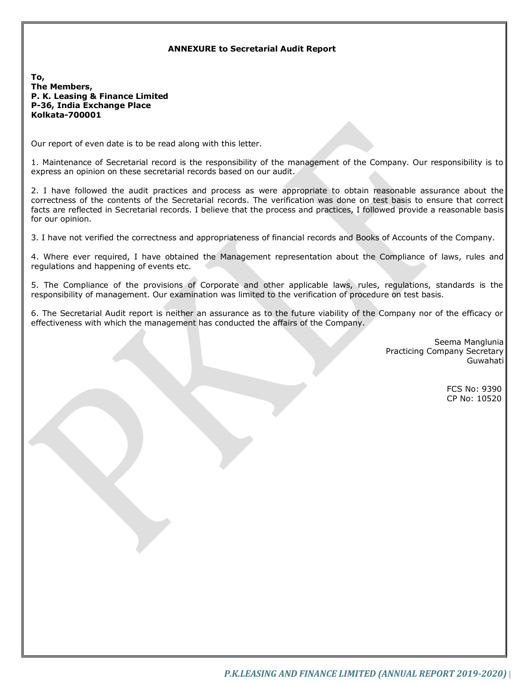#### **ANNEXURE to Secretarial Audit Report**

**To, The Members, P. K. Leasing & Finance Limited P-36, India Exchange Place Kolkata-700001**

Our report of even date is to be read along with this letter.

1. Maintenance of Secretarial record is the responsibility of the management of the Company. Our responsibility is to express an opinion on these secretarial records based on our audit.

2. I have followed the audit practices and process as were appropriate to obtain reasonable assurance about the correctness of the contents of the Secretarial records. The verification was done on test basis to ensure that correct facts are reflected in Secretarial records. I believe that the process and practices, I followed provide a reasonable basis for our opinion.

3. I have not verified the correctness and appropriateness of financial records and Books of Accounts of the Company.

4. Where ever required, I have obtained the Management representation about the Compliance of laws, rules and regulations and happening of events etc.

5. The Compliance of the provisions of Corporate and other applicable laws, rules, regulations, standards is the responsibility of management. Our examination was limited to the verification of procedure on test basis.

6. The Secretarial Audit report is neither an assurance as to the future viability of the Company nor of the efficacy or effectiveness with which the management has conducted the affairs of the Company.

> Seema Manglunia Practicing Company Secretary Guwahati

FCS No: 9390  $\blacksquare$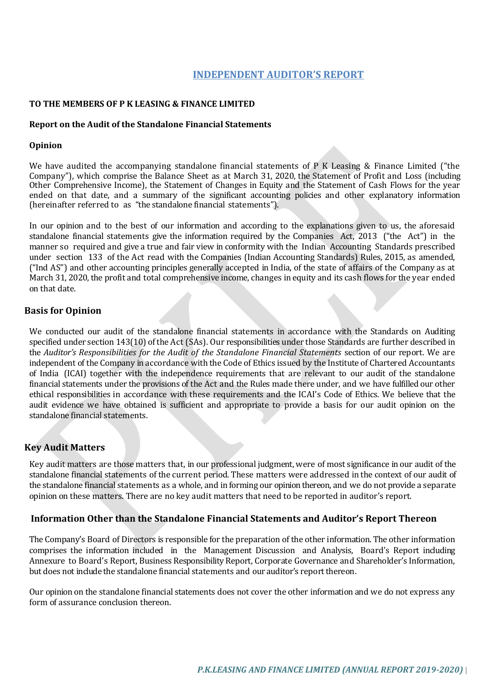## **INDEPENDENT AUDITOR'S REPORT**

#### **TO THE MEMBERS OF P K LEASING & FINANCE LIMITED**

#### **Report on the Audit of the Standalone Financial Statements**

#### **Opinion**

We have audited the accompanying standalone financial statements of P K Leasing & Finance Limited ("the Company"), which comprise the Balance Sheet as at March 31, 2020, the Statement of Profit and Loss (including Other Comprehensive Income), the Statement of Changes in Equity and the Statement of Cash Flows for the year ended on that date, and a summary of the significant accounting policies and other explanatory information (hereinafter referred to as "the standalone financial statements").

In our opinion and to the best of our information and according to the explanations given to us, the aforesaid standalone financial statements give the information required by the Companies Act, 2013 ("the Act") in the manner so required and give a true and fair view in conformity with the Indian Accounting Standards prescribed under section 133 of the Act read with the Companies (Indian Accounting Standards) Rules, 2015, as amended, ("Ind AS") and other accounting principles generally accepted in India, of the state of affairs of the Company as at March 31, 2020, the profit and total comprehensive income, changes in equity and its cash flows for the year ended on that date.

#### **Basis for Opinion**

We conducted our audit of the standalone financial statements in accordance with the Standards on Auditing specified under section 143(10) of the Act (SAs). Our responsibilities under those Standards are further described in the *Auditor's Responsibilities for the Audit of the Standalone Financial Statements* section of our report. We are independent of the Company in accordance with the Code of Ethics issued by the Institute of Chartered Accountants of India (ICAI) together with the independence requirements that are relevant to our audit of the standalone financial statements under the provisions of the Act and the Rules made there under, and we have fulfilled our other ethical responsibilities in accordance with these requirements and the ICAI's Code of Ethics. We believe that the audit evidence we have obtained is sufficient and appropriate to provide a basis for our audit opinion on the standalone financial statements.

#### **Key Audit Matters**

Key audit matters are those matters that, in our professional judgment, were of most significance in our audit of the standalone financial statements of the current period. These matters were addressed in the context of our audit of the standalone financial statements as a whole, and in forming our opinion thereon, and we do not provide a separate opinion on these matters. There are no key audit matters that need to be reported in auditor's report.

#### **Information Other than the Standalone Financial Statements and Auditor's Report Thereon**

The Company's Board of Directors is responsible for the preparation of the other information. The other information comprises the information included in the Management Discussion and Analysis, Board's Report including Annexure to Board's Report, Business Responsibility Report, Corporate Governance and Shareholder's Information, but does not include the standalone financial statements and our auditor's reportthereon.

Our opinion on the standalone financial statements does not cover the other information and we do not express any form of assurance conclusion thereon.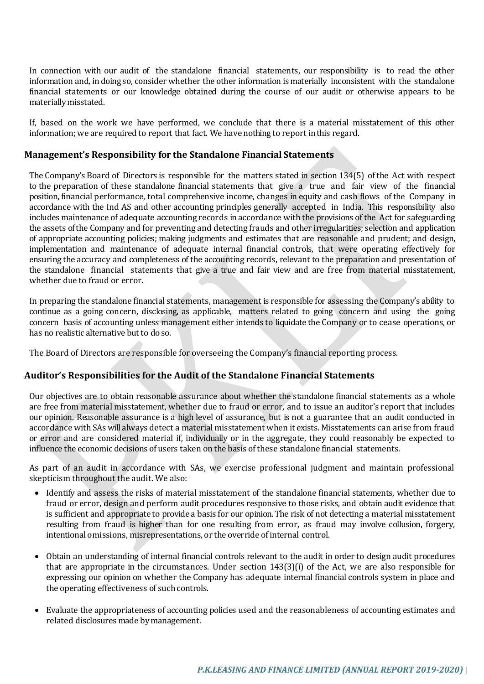In connection with our audit of the standalone financial statements, our responsibility is to read the other information and, in doing so, consider whether the other information is materially inconsistent with the standalone financial statements or our knowledge obtained during the course of our audit or otherwise appears to be materiallymisstated.

If, based on the work we have performed, we conclude that there is a material misstatement of this other information; we are required to report that fact. We have nothing to report in this regard.

#### **Management's Responsibility for the Standalone Financial Statements**

The Company's Board of Directors is responsible for the matters stated in section 134(5) of the Act with respect to the preparation of these standalone financial statements that give a true and fair view of the financial position, financial performance, total comprehensive income, changes in equity and cash flows of the Company in accordance with the Ind AS and other accounting principles generally accepted in India. This responsibility also includes maintenance of adequate accounting records in accordance with the provisions of the Act for safeguarding the assets of the Company and for preventing and detecting frauds and other irregularities; selection and application of appropriate accounting policies; making judgments and estimates that are reasonable and prudent; and design, implementation and maintenance of adequate internal financial controls, that were operating effectively for ensuring the accuracy and completeness of the accounting records, relevant to the preparation and presentation of the standalone financial statements that give a true and fair view and are free from material misstatement, whether due to fraud or error.

In preparing the standalone financial statements, management is responsible for assessing the Company's ability to continue as a going concern, disclosing, as applicable, matters related to going concern and using the going concern basis of accounting unless management either intends to liquidate the Company or to cease operations, or has no realistic alternative but to doso.

The Board of Directors are responsible for overseeing the Company's financial reporting process.

## **Auditor's Responsibilities for the Audit of the Standalone Financial Statements**

Our objectives are to obtain reasonable assurance about whether the standalone financial statements as a whole are free from material misstatement, whether due to fraud or error, and to issue an auditor's report that includes our opinion. Reasonable assurance is a high level of assurance, but is not a guarantee that an audit conducted in accordance with SAs will always detect a material misstatement when it exists. Misstatements can arise from fraud or error and are considered material if, individually or in the aggregate, they could reasonably be expected to influence the economic decisions of users taken on the basis of these standalone financial statements.

As part of an audit in accordance with SAs, we exercise professional judgment and maintain professional skepticism throughout the audit. We also:

- Identify and assess the risks of material misstatement of the standalone financial statements, whether due to fraud or error, design and perform audit procedures responsive to those risks, and obtain audit evidence that is sufficient and appropriate to provide a basis for our opinion. The risk of not detecting a material misstatement resulting from fraud is higher than for one resulting from error, as fraud may involve collusion, forgery, intentional omissions, misrepresentations, or the override of internal control.
- Obtain an understanding of internal financial controls relevant to the audit in order to design audit procedures that are appropriate in the circumstances. Under section 143(3)(i) of the Act, we are also responsible for expressing our opinion on whether the Company has adequate internal financial controls system in place and the operating effectiveness of such controls.
- Evaluate the appropriateness of accounting policies used and the reasonableness of accounting estimates and related disclosures made bymanagement.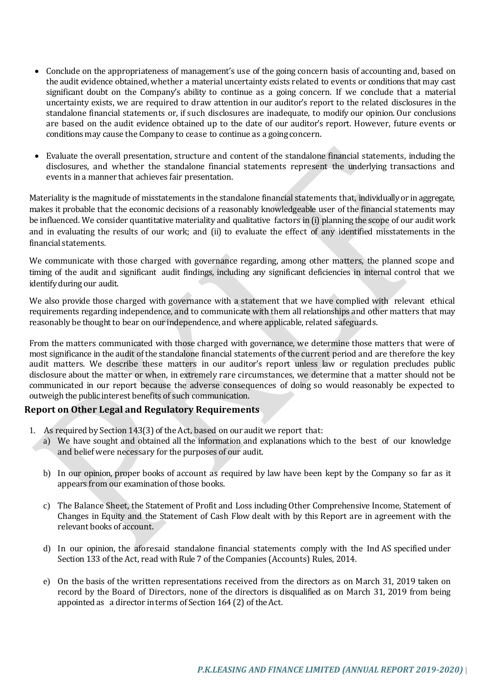- Conclude on the appropriateness of management's use of the going concern basis of accounting and, based on the audit evidence obtained, whether a material uncertainty exists related to events or conditions that may cast significant doubt on the Company's ability to continue as a going concern. If we conclude that a material uncertainty exists, we are required to draw attention in our auditor's report to the related disclosures in the standalone financial statements or, if such disclosures are inadequate, to modify our opinion. Our conclusions are based on the audit evidence obtained up to the date of our auditor's report. However, future events or conditions may cause the Company to cease to continue as a going concern.
- Evaluate the overall presentation, structure and content of the standalone financial statements, including the disclosures, and whether the standalone financial statements represent the underlying transactions and events in a manner that achieves fair presentation.

Materiality is the magnitude of misstatements in the standalone financial statements that, individually or in aggregate, makes it probable that the economic decisions of a reasonably knowledgeable user of the financial statements may be influenced. We consider quantitative materiality and qualitative factors in (i) planning the scope of our audit work and in evaluating the results of our work; and (ii) to evaluate the effect of any identified misstatements in the financial statements.

We communicate with those charged with governance regarding, among other matters, the planned scope and timing of the audit and significant audit findings, including any significant deficiencies in internal control that we identify during our audit.

We also provide those charged with governance with a statement that we have complied with relevant ethical requirements regarding independence, and to communicate with them all relationships and other matters that may reasonably be thought to bear on our independence, and where applicable, related safeguards.

From the matters communicated with those charged with governance, we determine those matters that were of most significance in the audit of the standalone financial statements of the current period and are therefore the key audit matters. We describe these matters in our auditor's report unless law or regulation precludes public disclosure about the matter or when, in extremely rare circumstances, we determine that a matter should not be communicated in our report because the adverse consequences of doing so would reasonably be expected to outweigh the public interest benefits of such communication.

## **Report on Other Legal and Regulatory Requirements**

- 1. As required by Section 143(3) of the Act, based on our audit we report that:
	- a) We have sought and obtained all the information and explanations which to the best of our knowledge and belief were necessary for the purposes of our audit.
	- b) In our opinion, proper books of account as required by law have been kept by the Company so far as it appears from our examination of those books.
	- c) The Balance Sheet, the Statement of Profit and Loss including Other Comprehensive Income, Statement of Changes in Equity and the Statement of Cash Flow dealt with by this Report are in agreement with the relevant books of account.
	- d) In our opinion, the aforesaid standalone financial statements comply with the Ind AS specified under Section 133 of the Act, read with Rule 7 of the Companies (Accounts) Rules, 2014.
	- e) On the basis of the written representations received from the directors as on March 31, 2019 taken on record by the Board of Directors, none of the directors is disqualified as on March 31, 2019 from being appointed as a director in terms of Section 164 (2) of theAct.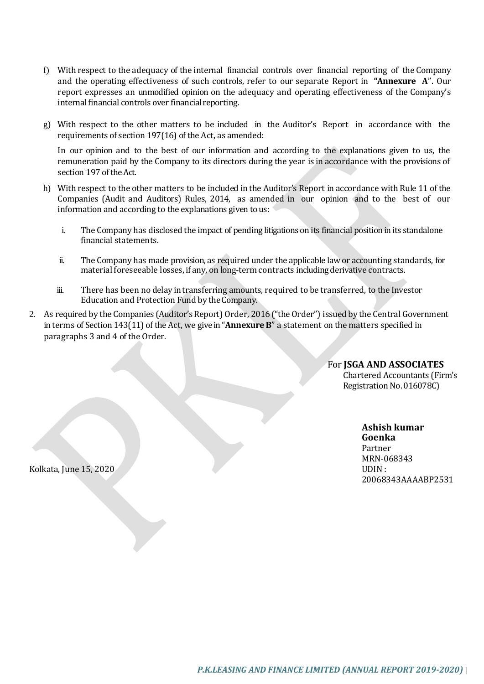- f) With respect to the adequacy of the internal financial controls over financial reporting of the Company and the operating effectiveness of such controls, refer to our separate Report in **"Annexure A**". Our report expresses an unmodified opinion on the adequacy and operating effectiveness of the Company's internal financial controls over financialreporting.
- g) With respect to the other matters to be included in the Auditor's Report in accordance with the requirements of section 197(16) of the Act, as amended:

In our opinion and to the best of our information and according to the explanations given to us, the remuneration paid by the Company to its directors during the year is in accordance with the provisions of section 197 of the Act.

- h) With respect to the other matters to be included in the Auditor's Report in accordance with Rule 11 of the Companies (Audit and Auditors) Rules, 2014, as amended in our opinion and to the best of our information and according to the explanations given tous:
	- i. The Company has disclosed the impact of pending litigations on its financial position in its standalone financial statements.
	- ii. The Company has made provision, as required under the applicable law or accounting standards, for material foreseeable losses, if any, on long-term contracts including derivative contracts.
	- iii. There has been no delay in transferring amounts, required to be transferred, to the Investor Education and Protection Fund by theCompany.
- 2. As required by the Companies (Auditor's Report) Order, 2016 ("the Order") issued by the Central Government in terms of Section 143(11) of the Act, we give in "**Annexure B**" a statement on the matters specified in paragraphs 3 and 4 of the Order.

For **JSGA AND ASSOCIATES** Chartered Accountants (Firm's

Registration No. 016078C)

**Ashish kumar Goenka**  Partner MRN-068343 UDIN : 20068343AAAABP2531

Kolkata, June 15, 2020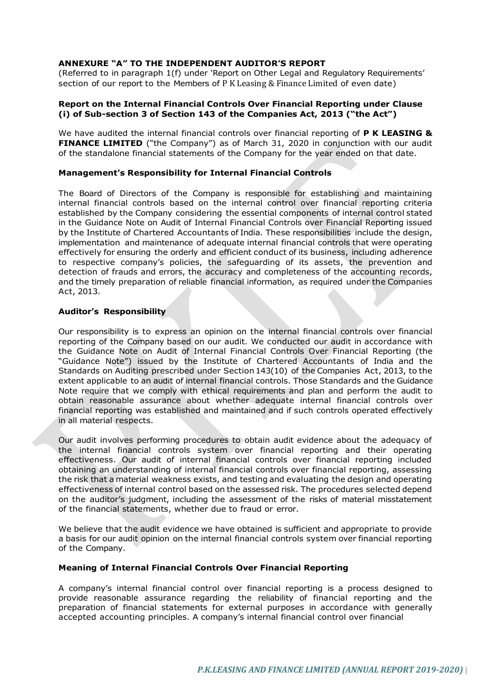#### **ANNEXURE "A" TO THE INDEPENDENT AUDITOR'S REPORT**

(Referred to in paragraph 1(f) under 'Report on Other Legal and Regulatory Requirements' section of our report to the Members of P K Leasing & Finance Limited of even date)

#### **Report on the Internal Financial Controls Over Financial Reporting under Clause (i) of Sub-section 3 of Section 143 of the Companies Act, 2013 ("the Act")**

We have audited the internal financial controls over financial reporting of **P K LEASING & FINANCE LIMITED** ("the Company") as of March 31, 2020 in conjunction with our audit of the standalone financial statements of the Company for the year ended on that date.

#### **Management's Responsibility for Internal Financial Controls**

The Board of Directors of the Company is responsible for establishing and maintaining internal financial controls based on the internal control over financial reporting criteria established by the Company considering the essential components of internal control stated in the Guidance Note on Audit of Internal Financial Controls over Financial Reporting issued by the Institute of Chartered Accountants of India. These responsibilities include the design, implementation and maintenance of adequate internal financial controls that were operating effectively for ensuring the orderly and efficient conduct of its business, including adherence to respective company's policies, the safeguarding of its assets, the prevention and detection of frauds and errors, the accuracy and completeness of the accounting records, and the timely preparation of reliable financial information, as required under the Companies Act, 2013.

#### **Auditor's Responsibility**

Our responsibility is to express an opinion on the internal financial controls over financial reporting of the Company based on our audit. We conducted our audit in accordance with the Guidance Note on Audit of Internal Financial Controls Over Financial Reporting (the "Guidance Note") issued by the Institute of Chartered Accountants of India and the Standards on Auditing prescribed under Section143(10) of the Companies Act, 2013, to the extent applicable to an audit of internal financial controls. Those Standards and the Guidance Note require that we comply with ethical requirements and plan and perform the audit to obtain reasonable assurance about whether adequate internal financial controls over financial reporting was established and maintained and if such controls operated effectively in all material respects.

Our audit involves performing procedures to obtain audit evidence about the adequacy of the internal financial controls system over financial reporting and their operating effectiveness. Our audit of internal financial controls over financial reporting included obtaining an understanding of internal financial controls over financial reporting, assessing the risk that a material weakness exists, and testing and evaluating the design and operating effectiveness of internal control based on the assessed risk. The procedures selected depend on the auditor's judgment, including the assessment of the risks of material misstatement of the financial statements, whether due to fraud or error.

We believe that the audit evidence we have obtained is sufficient and appropriate to provide a basis for our audit opinion on the internal financial controls system over financial reporting of the Company.

#### **Meaning of Internal Financial Controls Over Financial Reporting**

A company's internal financial control over financial reporting is a process designed to provide reasonable assurance regarding the reliability of financial reporting and the preparation of financial statements for external purposes in accordance with generally accepted accounting principles. A company's internal financial control over financial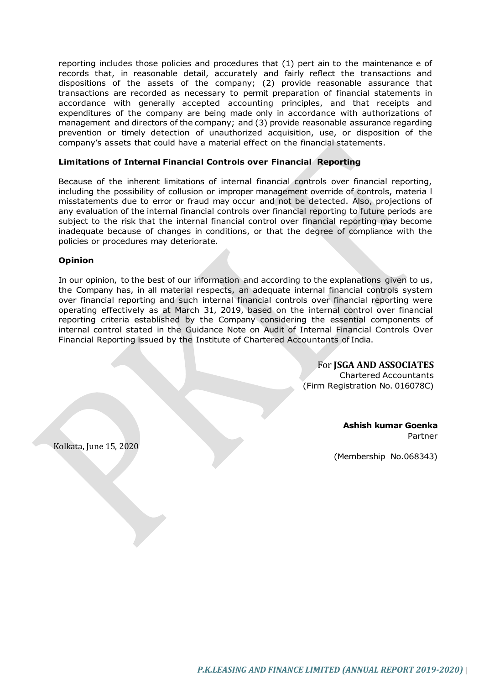reporting includes those policies and procedures that (1) pert ain to the maintenance e of records that, in reasonable detail, accurately and fairly reflect the transactions and dispositions of the assets of the company; (2) provide reasonable assurance that transactions are recorded as necessary to permit preparation of financial statements in accordance with generally accepted accounting principles, and that receipts and expenditures of the company are being made only in accordance with authorizations of management and directors of the company; and (3) provide reasonable assurance regarding prevention or timely detection of unauthorized acquisition, use, or disposition of the company's assets that could have a material effect on the financial statements.

#### **Limitations of Internal Financial Controls over Financial Reporting**

Because of the inherent limitations of internal financial controls over financial reporting, including the possibility of collusion or improper management override of controls, materia l misstatements due to error or fraud may occur and not be detected. Also, projections of any evaluation of the internal financial controls over financial reporting to future periods are subject to the risk that the internal financial control over financial reporting may become inadequate because of changes in conditions, or that the degree of compliance with the policies or procedures may deteriorate.

#### **Opinion**

In our opinion, to the best of our information and according to the explanations given to us, the Company has, in all material respects, an adequate internal financial controls system over financial reporting and such internal financial controls over financial reporting were operating effectively as at March 31, 2019, based on the internal control over financial reporting criteria established by the Company considering the essential components of internal control stated in the Guidance Note on Audit of Internal Financial Controls Over Financial Reporting issued by the Institute of Chartered Accountants of India.

For **JSGA AND ASSOCIATES**

Chartered Accountants (Firm Registration No. 016078C)

> **Ashish kumar Goenka** Partner

Kolkata, June 15, 2020

(Membership No.068343)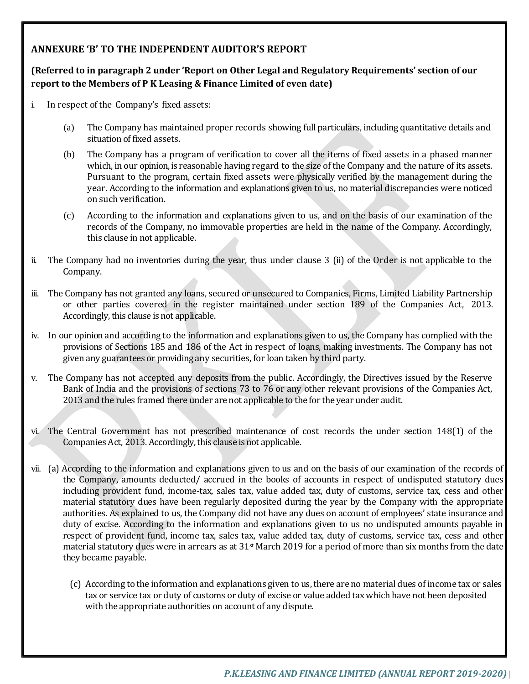## **ANNEXURE 'B' TO THE INDEPENDENT AUDITOR'S REPORT**

## **(Referred to in paragraph 2 under 'Report on Other Legal and Regulatory Requirements' section of our report to the Members of P K Leasing & Finance Limited of even date)**

- i. In respect of the Company's fixed assets:
	- (a) The Company has maintained proper records showing full particulars, including quantitative details and situation of fixed assets.
	- (b) The Company has a program of verification to cover all the items of fixed assets in a phased manner which, in our opinion, is reasonable having regard to the size of the Company and the nature of its assets. Pursuant to the program, certain fixed assets were physically verified by the management during the year. According to the information and explanations given to us, no material discrepancies were noticed on such verification.
	- (c) According to the information and explanations given to us, and on the basis of our examination of the records of the Company, no immovable properties are held in the name of the Company. Accordingly, this clause in not applicable.
- ii. The Company had no inventories during the year, thus under clause 3 (ii) of the Order is not applicable to the Company.
- iii. The Company has not granted any loans, secured or unsecured to Companies, Firms, Limited Liability Partnership or other parties covered in the register maintained under section 189 of the Companies Act, 2013. Accordingly, this clause is not applicable.
- iv. In our opinion and according to the information and explanations given to us, the Company has complied with the provisions of Sections 185 and 186 of the Act in respect of loans, making investments. The Company has not given any guarantees or providing any securities, for loan taken by third party.
- v. The Company has not accepted any deposits from the public. Accordingly, the Directives issued by the Reserve Bank of India and the provisions of sections 73 to 76 or any other relevant provisions of the Companies Act, 2013 and the rules framed there under are not applicable to the for the year under audit.
- vi. The Central Government has not prescribed maintenance of cost records the under section 148(1) of the Companies Act, 2013. Accordingly, this clause is not applicable.
- vii. (a) According to the information and explanations given to us and on the basis of our examination of the records of the Company, amounts deducted/ accrued in the books of accounts in respect of undisputed statutory dues including provident fund, income-tax, sales tax, value added tax, duty of customs, service tax, cess and other material statutory dues have been regularly deposited during the year by the Company with the appropriate authorities. As explained to us, the Company did not have any dues on account of employees' state insurance and duty of excise. According to the information and explanations given to us no undisputed amounts payable in respect of provident fund, income tax, sales tax, value added tax, duty of customs, service tax, cess and other material statutory dues were in arrears as at  $31<sup>st</sup>$  March 2019 for a period of more than six months from the date they became payable.
	- (c) According to the information and explanations given to us, there are no material dues of income tax or sales tax or service tax or duty of customs or duty of excise or value added tax which have not been deposited with the appropriate authorities on account of any dispute.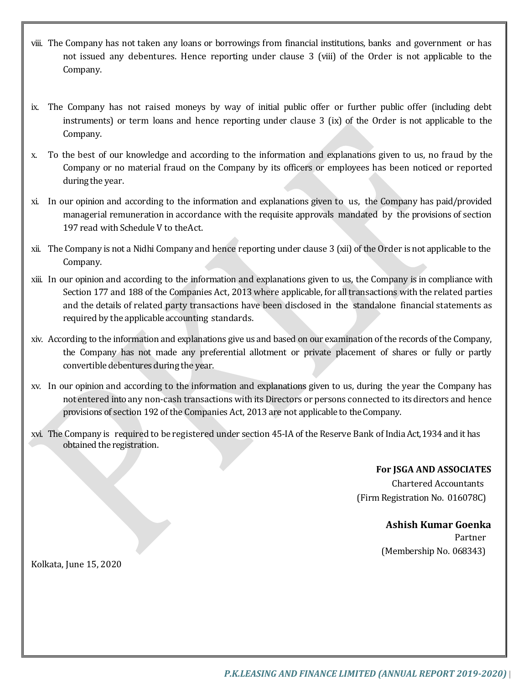- viii. The Company has not taken any loans or borrowings from financial institutions, banks and government or has not issued any debentures. Hence reporting under clause 3 (viii) of the Order is not applicable to the Company.
- ix. The Company has not raised moneys by way of initial public offer or further public offer (including debt instruments) or term loans and hence reporting under clause 3 (ix) of the Order is not applicable to the Company.
- x. To the best of our knowledge and according to the information and explanations given to us, no fraud by the Company or no material fraud on the Company by its officers or employees has been noticed or reported during the year.
- xi. In our opinion and according to the information and explanations given to us, the Company has paid/provided managerial remuneration in accordance with the requisite approvals mandated by the provisions of section 197 read with Schedule V to theAct.
- xii. The Company is not a Nidhi Company and hence reporting under clause 3 (xii) of the Order is not applicable to the Company.
- xiii. In our opinion and according to the information and explanations given to us, the Company is in compliance with Section 177 and 188 of the Companies Act, 2013 where applicable, for all transactions with the related parties and the details of related party transactions have been disclosed in the standalone financial statements as required by the applicable accounting standards.
- xiv. According to the information and explanations give us and based on our examination of the records of the Company, the Company has not made any preferential allotment or private placement of shares or fully or partly convertible debentures during the year.
- xv. In our opinion and according to the information and explanations given to us, during the year the Company has not entered into any non-cash transactions with its Directors or persons connected to its directors and hence provisions of section 192 of the Companies Act, 2013 are not applicable to theCompany.
- xvi. The Company is required to be registered under section 45-IA of the Reserve Bank of India Act,1934 and it has obtained the registration.

**For JSGA AND ASSOCIATES** Chartered Accountants (Firm Registration No. 016078C)

> **Ashish Kumar Goenka** Partner (Membership No. 068343)

Kolkata, June 15, 2020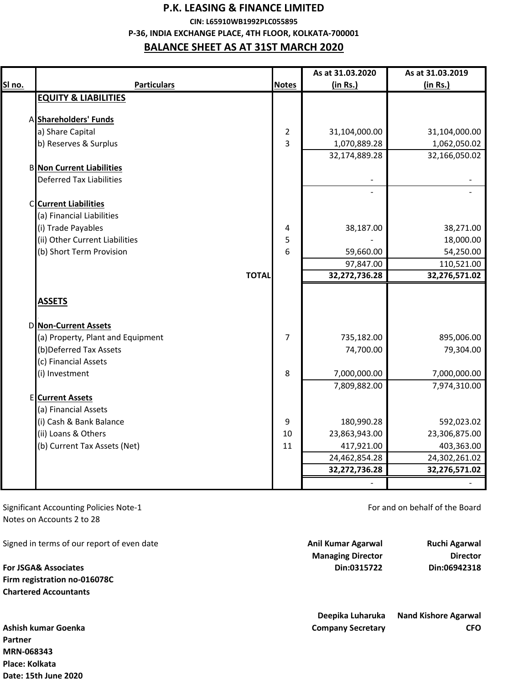#### **P.K. LEASING & FINANCE LIMITED**

## **CIN: L65910WB1992PLC055895 P-36, INDIA EXCHANGE PLACE, 4TH FLOOR, KOLKATA-700001 BALANCE SHEET AS AT 31ST MARCH 2020**

|               |                                   |                | As at 31.03.2020 | As at 31.03.2019 |
|---------------|-----------------------------------|----------------|------------------|------------------|
| <u>SI no.</u> | <b>Particulars</b>                | <b>Notes</b>   | (in Rs.)         | (in Rs.)         |
|               | <b>EQUITY &amp; LIABILITIES</b>   |                |                  |                  |
|               |                                   |                |                  |                  |
|               | A Shareholders' Funds             |                |                  |                  |
|               | a) Share Capital                  | $\overline{2}$ | 31,104,000.00    | 31,104,000.00    |
|               | b) Reserves & Surplus             | 3              | 1,070,889.28     | 1,062,050.02     |
|               |                                   |                | 32,174,889.28    | 32,166,050.02    |
|               | <b>B</b> Non Current Liabilities  |                |                  |                  |
|               | <b>Deferred Tax Liabilities</b>   |                |                  |                  |
|               | <b>C</b> Current Liabilities      |                |                  |                  |
|               | (a) Financial Liabilities         |                |                  |                  |
|               | (i) Trade Payables                | 4              | 38,187.00        | 38,271.00        |
|               | (ii) Other Current Liabilities    | 5              |                  | 18,000.00        |
|               | (b) Short Term Provision          | 6              | 59,660.00        | 54,250.00        |
|               |                                   |                | 97,847.00        | 110,521.00       |
|               | <b>TOTAL</b>                      |                | 32,272,736.28    | 32,276,571.02    |
|               |                                   |                |                  |                  |
|               | <b>ASSETS</b>                     |                |                  |                  |
|               | D Non-Current Assets              |                |                  |                  |
|               | (a) Property, Plant and Equipment | 7              | 735,182.00       | 895,006.00       |
|               | (b)Deferred Tax Assets            |                | 74,700.00        | 79,304.00        |
|               | (c) Financial Assets              |                |                  |                  |
|               | (i) Investment                    | 8              | 7,000,000.00     | 7,000,000.00     |
|               |                                   |                | 7,809,882.00     | 7,974,310.00     |
|               | <b>E</b> Current Assets           |                |                  |                  |
|               | (a) Financial Assets              |                |                  |                  |
|               | (i) Cash & Bank Balance           | 9              | 180,990.28       | 592,023.02       |
|               | (ii) Loans & Others               | 10             | 23,863,943.00    | 23,306,875.00    |
|               | (b) Current Tax Assets (Net)      | 11             | 417,921.00       | 403,363.00       |
|               |                                   |                | 24,462,854.28    | 24,302,261.02    |
|               |                                   |                | 32,272,736.28    | 32,276,571.02    |
|               |                                   |                |                  |                  |

Significant Accounting Policies Note-1 Notes on Accounts 2 to 28

Signed in terms of our report of even date **Anil Kumar Agarwal Anil Kumar Agarwal Ruchi Agarwal** 

**Firm registration no-016078C Chartered Accountants**

For and on behalf of the Board

| Signed in terms of our report of even date | Anil Kumar Agarwal       | Ruchi Agarwal   |
|--------------------------------------------|--------------------------|-----------------|
|                                            | <b>Managing Director</b> | <b>Director</b> |
| <b>For JSGA&amp; Associates</b>            | Din:0315722              | Din:06942318    |

| Deepika Luharuka  | <b>Nand Kishore Agarwal</b> |
|-------------------|-----------------------------|
| Company Secretary | <b>CFO</b>                  |

**Ashish kumar Goenka Company Secretary CFO Partner MRN-068343 Place: Kolkata Date: 15th June 2020**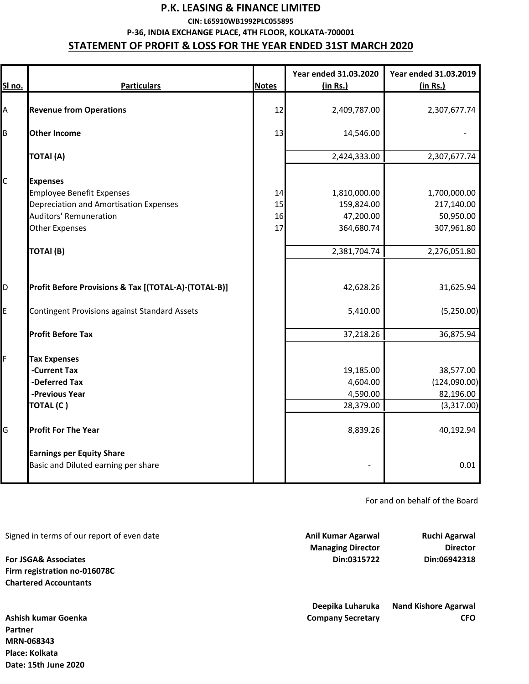#### **P.K. LEASING & FINANCE LIMITED**

#### **CIN: L65910WB1992PLC055895 P-36, INDIA EXCHANGE PLACE, 4TH FLOOR, KOLKATA-700001 STATEMENT OF PROFIT & LOSS FOR THE YEAR ENDED 31ST MARCH 2020**

|                |                                                      | <b>Notes</b> | <b>Year ended 31.03.2020</b> | <b>Year ended 31.03.2019</b> |
|----------------|------------------------------------------------------|--------------|------------------------------|------------------------------|
| SI no.         | <b>Particulars</b>                                   |              | (in Rs.)                     | (in Rs.)                     |
| А              | <b>Revenue from Operations</b>                       | 12           | 2,409,787.00                 | 2,307,677.74                 |
| $\overline{B}$ | <b>Other Income</b>                                  | 13           | 14,546.00                    |                              |
|                | <b>TOTAI (A)</b>                                     |              | 2,424,333.00                 | 2,307,677.74                 |
| C              | <b>Expenses</b>                                      |              |                              |                              |
|                | <b>Employee Benefit Expenses</b>                     | 14           | 1,810,000.00                 | 1,700,000.00                 |
|                | Depreciation and Amortisation Expenses               | 15           | 159,824.00                   | 217,140.00                   |
|                | <b>Auditors' Remuneration</b>                        | 16           | 47,200.00                    | 50,950.00                    |
|                | <b>Other Expenses</b>                                | 17           | 364,680.74                   | 307,961.80                   |
|                | <b>TOTAI (B)</b>                                     |              | 2,381,704.74                 | 2,276,051.80                 |
|                |                                                      |              |                              |                              |
| D              | Profit Before Provisions & Tax [(TOTAL-A)-(TOTAL-B)] |              | 42,628.26                    | 31,625.94                    |
| E              | Contingent Provisions against Standard Assets        |              | 5,410.00                     | (5,250.00)                   |
|                | <b>Profit Before Tax</b>                             |              | 37,218.26                    | 36,875.94                    |
| F              | <b>Tax Expenses</b>                                  |              |                              |                              |
|                | -Current Tax                                         |              | 19,185.00                    | 38,577.00                    |
|                | -Deferred Tax                                        |              | 4,604.00                     | (124,090.00)                 |
|                | -Previous Year                                       |              | 4,590.00                     | 82,196.00                    |
|                | TOTAL (C)                                            |              | 28,379.00                    | (3,317.00)                   |
| G              | <b>Profit For The Year</b>                           |              | 8,839.26                     | 40,192.94                    |
|                | <b>Earnings per Equity Share</b>                     |              |                              |                              |
|                | Basic and Diluted earning per share                  |              |                              | 0.01                         |

For and on behalf of the Board

Signed in terms of our report of even date **Anil Kumar Agarwal Anil Kumar Agarwal Ruchi Agarwal Managing Director Director For JSGA& Associates Din:0315722 Din:06942318 Firm registration no-016078C Chartered Accountants Deepika Luharuka Nand Kishore Agarwal Ashish kumar Goenka Company Secretary CFO Partner MRN-068343 Place: Kolkata**

**Date: 15th June 2020**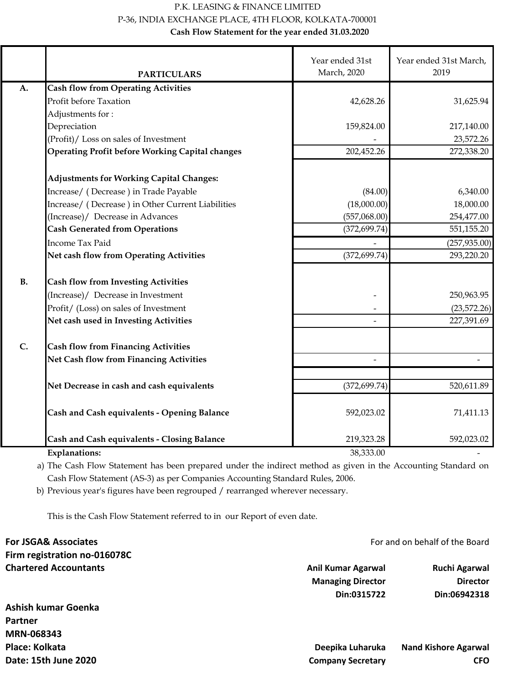#### P.K. LEASING & FINANCE LIMITED P-36, INDIA EXCHANGE PLACE, 4TH FLOOR, KOLKATA-700001 **Cash Flow Statement for the year ended 31.03.2020**

|           | <b>PARTICULARS</b>                                     | Year ended 31st<br>March, 2020 | Year ended 31st March,<br>2019 |
|-----------|--------------------------------------------------------|--------------------------------|--------------------------------|
| A.        | <b>Cash flow from Operating Activities</b>             |                                |                                |
|           | Profit before Taxation                                 | 42,628.26                      | 31,625.94                      |
|           | Adjustments for:                                       |                                |                                |
|           | Depreciation                                           | 159,824.00                     | 217,140.00                     |
|           | (Profit)/ Loss on sales of Investment                  |                                | 23,572.26                      |
|           | <b>Operating Profit before Working Capital changes</b> | 202,452.26                     | 272,338.20                     |
|           |                                                        |                                |                                |
|           | <b>Adjustments for Working Capital Changes:</b>        |                                |                                |
|           | Increase/ (Decrease) in Trade Payable                  | (84.00)                        | 6,340.00                       |
|           | Increase/ (Decrease) in Other Current Liabilities      | (18,000.00)                    | 18,000.00                      |
|           | (Increase)/ Decrease in Advances                       | (557,068.00)                   | 254,477.00                     |
|           | <b>Cash Generated from Operations</b>                  | (372, 699.74)                  | 551,155.20                     |
|           | <b>Income Tax Paid</b>                                 |                                | (257, 935.00)                  |
|           | Net cash flow from Operating Activities                | (372, 699.74)                  | 293,220.20                     |
| <b>B.</b> | <b>Cash flow from Investing Activities</b>             |                                |                                |
|           | (Increase)/ Decrease in Investment                     |                                | 250,963.95                     |
|           | Profit/ (Loss) on sales of Investment                  |                                | (23, 572.26)                   |
|           | Net cash used in Investing Activities                  |                                | 227,391.69                     |
| C.        | <b>Cash flow from Financing Activities</b>             |                                |                                |
|           | Net Cash flow from Financing Activities                |                                |                                |
|           | Net Decrease in cash and cash equivalents              | (372, 699.74)                  | 520,611.89                     |
|           |                                                        |                                |                                |
|           | <b>Cash and Cash equivalents - Opening Balance</b>     | 592,023.02                     | 71,411.13                      |
|           | <b>Cash and Cash equivalents - Closing Balance</b>     | 219,323.28                     | 592,023.02                     |
|           | <b>Explanations:</b>                                   | 38,333.00                      |                                |

a) The Cash Flow Statement has been prepared under the indirect method as given in the Accounting Standard on Cash Flow Statement (AS-3) as per Companies Accounting Standard Rules, 2006.

b) Previous year's figures have been regrouped / rearranged wherever necessary.

This is the Cash Flow Statement referred to in our Report of even date.

| <b>For JSGA&amp; Associates</b><br>Firm registration no-016078C |                           | For and on behalf of the Board |
|-----------------------------------------------------------------|---------------------------|--------------------------------|
| <b>Chartered Accountants</b>                                    | <b>Anil Kumar Agarwal</b> | Ruchi Agarwal                  |
|                                                                 | <b>Managing Director</b>  | <b>Director</b>                |
|                                                                 | Din:0315722               | Din:06942318                   |
| Ashish kumar Goenka                                             |                           |                                |
| <b>Partner</b>                                                  |                           |                                |
| MRN-068343                                                      |                           |                                |
| Place: Kolkata                                                  | Deepika Luharuka          | <b>Nand Kishore Agarwal</b>    |
| Date: 15th June 2020                                            | <b>Company Secretary</b>  | <b>CFO</b>                     |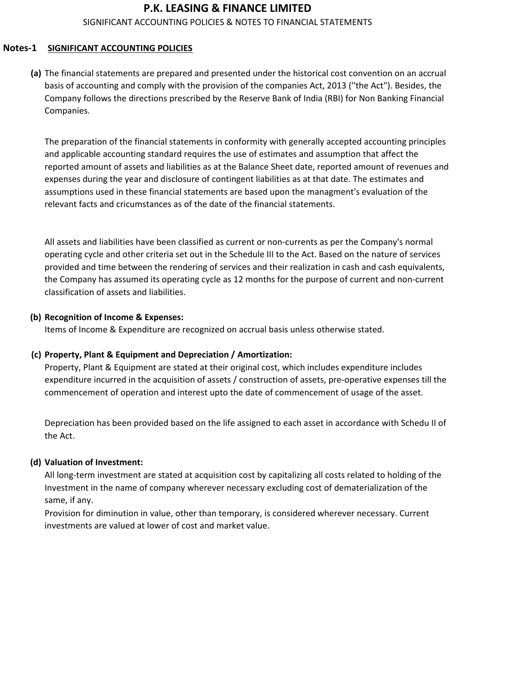## **P.K. LEASING & FINANCE LIMITED**

#### SIGNIFICANT ACCOUNTING POLICIES & NOTES TO FINANCIAL STATEMENTS

#### **Notes-1 SIGNIFICANT ACCOUNTING POLICIES**

**(a)** The financial statements are prepared and presented under the historical cost convention on an accrual basis of accounting and comply with the provision of the companies Act, 2013 (''the Act"). Besides, the Company follows the directions prescribed by the Reserve Bank of India (RBI) for Non Banking Financial Companies.

The preparation of the financial statements in conformity with generally accepted accounting principles and applicable accounting standard requires the use of estimates and assumption that affect the reported amount of assets and liabilities as at the Balance Sheet date, reported amount of revenues and expenses during the year and disclosure of contingent liabilities as at that date. The estimates and assumptions used in these financial statements are based upon the managment's evaluation of the relevant facts and cricumstances as of the date of the financial statements.

All assets and liabilities have been classified as current or non-currents as per the Company's normal operating cycle and other criteria set out in the Schedule III to the Act. Based on the nature of services provided and time between the rendering of services and their realization in cash and cash equivalents, the Company has assumed its operating cycle as 12 months for the purpose of current and non-current classification of assets and liabilities.

#### **(b) Recognition of Income & Expenses:**

Items of Income & Expenditure are recognized on accrual basis unless otherwise stated.

#### **(c) Property, Plant & Equipment and Depreciation / Amortization:**

Property, Plant & Equipment are stated at their original cost, which includes expenditure includes expenditure incurred in the acquisition of assets / construction of assets, pre-operative expenses till the commencement of operation and interest upto the date of commencement of usage of the asset.

Depreciation has been provided based on the life assigned to each asset in accordance with Schedu II of the Act.

#### **(d) Valuation of Investment:**

All long-term investment are stated at acquisition cost by capitalizing all costs related to holding of the Investment in the name of company wherever necessary excluding cost of dematerialization of the same, if any.

Provision for diminution in value, other than temporary, is considered wherever necessary. Current investments are valued at lower of cost and market value.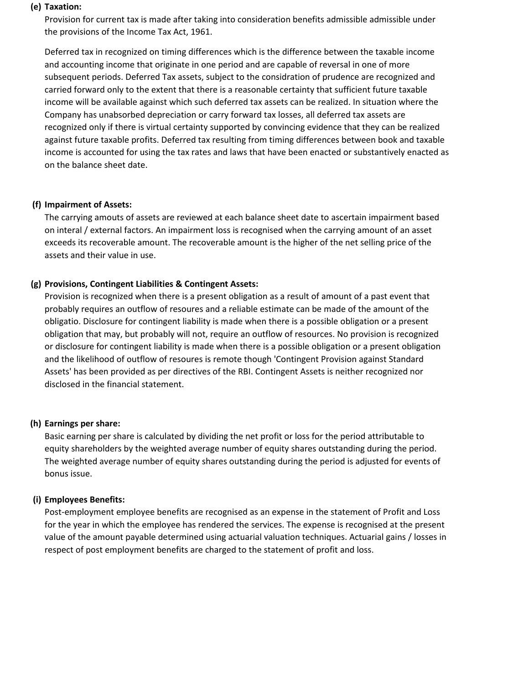#### **(e) Taxation:**

Provision for current tax is made after taking into consideration benefits admissible admissible under the provisions of the Income Tax Act, 1961.

Deferred tax in recognized on timing differences which is the difference between the taxable income and accounting income that originate in one period and are capable of reversal in one of more subsequent periods. Deferred Tax assets, subject to the considration of prudence are recognized and carried forward only to the extent that there is a reasonable certainty that sufficient future taxable income will be available against which such deferred tax assets can be realized. In situation where the Company has unabsorbed depreciation or carry forward tax losses, all deferred tax assets are recognized only if there is virtual certainty supported by convincing evidence that they can be realized against future taxable profits. Deferred tax resulting from timing differences between book and taxable income is accounted for using the tax rates and laws that have been enacted or substantively enacted as on the balance sheet date.

#### **(f) Impairment of Assets:**

The carrying amouts of assets are reviewed at each balance sheet date to ascertain impairment based on interal / external factors. An impairment loss is recognised when the carrying amount of an asset exceeds its recoverable amount. The recoverable amount is the higher of the net selling price of the assets and their value in use.

#### **(g) Provisions, Contingent Liabilities & Contingent Assets:**

Provision is recognized when there is a present obligation as a result of amount of a past event that probably requires an outflow of resoures and a reliable estimate can be made of the amount of the obligatio. Disclosure for contingent liability is made when there is a possible obligation or a present obligation that may, but probably will not, require an outflow of resources. No provision is recognized or disclosure for contingent liability is made when there is a possible obligation or a present obligation and the likelihood of outflow of resoures is remote though 'Contingent Provision against Standard Assets' has been provided as per directives of the RBI. Contingent Assets is neither recognized nor disclosed in the financial statement.

#### **(h) Earnings per share:**

Basic earning per share is calculated by dividing the net profit or loss for the period attributable to equity shareholders by the weighted average number of equity shares outstanding during the period. The weighted average number of equity shares outstanding during the period is adjusted for events of bonus issue.

#### **(i) Employees Benefits:**

Post-employment employee benefits are recognised as an expense in the statement of Profit and Loss for the year in which the employee has rendered the services. The expense is recognised at the present value of the amount payable determined using actuarial valuation techniques. Actuarial gains / losses in respect of post employment benefits are charged to the statement of profit and loss.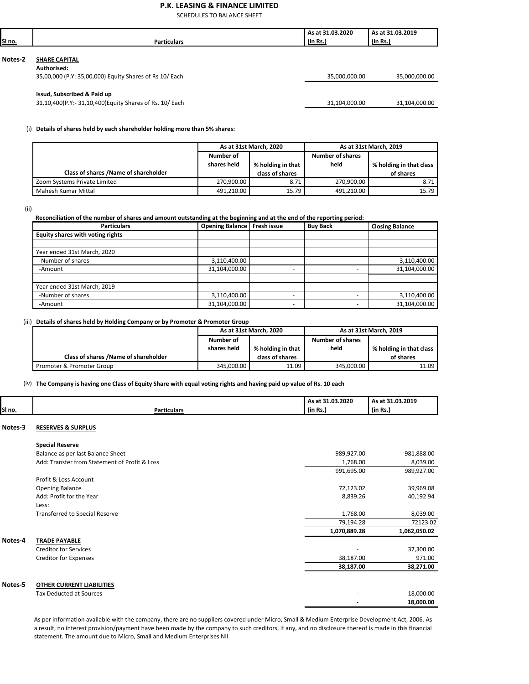#### **P.K. LEASING & FINANCE LIMITED**

SCHEDULES TO BALANCE SHEET

| Sl no.  | <b>Particulars</b>                                                                             | As at 31.03.2020<br>(in Rs.) | As at 31.03.2019<br>(in Rs.) |
|---------|------------------------------------------------------------------------------------------------|------------------------------|------------------------------|
| Notes-2 | <b>SHARE CAPITAL</b><br>Authorised:<br>35,00,000 (P.Y: 35,00,000) Equity Shares of Rs 10/ Each | 35,000,000.00                | 35,000,000.00                |
|         | Issud, Subscribed & Paid up                                                                    |                              |                              |

31,10,400(P.Y:- 31,10,400)Equity Shares of Rs. 10/ Each

31,104,000.00 31,104,000.00

#### (i) **Details of shares held by each shareholder holding more than 5% shares:**

|                                      | As at 31st March, 2020 |                   | As at 31st March, 2019  |                         |
|--------------------------------------|------------------------|-------------------|-------------------------|-------------------------|
|                                      | Number of              |                   | <b>Number of shares</b> |                         |
|                                      | shares held            | % holding in that | held                    | % holding in that class |
| Class of shares /Name of shareholder |                        | class of shares   |                         | of shares               |
| Zoom Systems Private Limited         | 270,900.00             | 8.71              | 270,900.00              | 8.71                    |
| Mahesh Kumar Mittal                  | 491,210.00             | 15.79             | 491.210.00              | 15.79                   |

(ii)

#### **Reconciliation of the number of shares and amount outstanding at the beginning and at the end of the reporting period:**

| <b>Particulars</b>               | <b>Opening Balance</b> | <b>Fresh issue</b>       | <b>Buy Back</b>          | <b>Closing Balance</b> |
|----------------------------------|------------------------|--------------------------|--------------------------|------------------------|
| Equity shares with voting rights |                        |                          |                          |                        |
|                                  |                        |                          |                          |                        |
| Year ended 31st March, 2020      |                        |                          |                          |                        |
| -Number of shares                | 3,110,400.00           | -                        | $\overline{\phantom{a}}$ | 3,110,400.00           |
| -Amount                          | 31,104,000.00          | -                        | $\overline{\phantom{a}}$ | 31,104,000.00          |
|                                  |                        |                          |                          |                        |
| Year ended 31st March, 2019      |                        |                          |                          |                        |
| -Number of shares                | 3,110,400.00           | $\overline{\phantom{a}}$ | $\overline{\phantom{a}}$ | 3,110,400.00           |
| -Amount                          | 31,104,000.00          | -                        | $\overline{\phantom{a}}$ | 31,104,000.00          |

#### (iii) **Details of shares held by Holding Company or by Promoter & Promoter Group**

|                                      | As at 31st March, 2020 |                   | As at 31st March, 2019  |                         |
|--------------------------------------|------------------------|-------------------|-------------------------|-------------------------|
|                                      | Number of              |                   | <b>Number of shares</b> |                         |
|                                      | shares held            | % holding in that | held                    | % holding in that class |
| Class of shares /Name of shareholder |                        | class of shares   |                         | of shares               |
| Promoter & Promoter Group            | 345.000.00             | 11.09             | 345.000.00              | 11.09                   |

(iv) **The Company is having one Class of Equity Share with equal voting rights and having paid up value of Rs. 10 each**

|         |                                               | As at 31.03.2020 | As at 31.03.2019 |
|---------|-----------------------------------------------|------------------|------------------|
| SI no.  | <b>Particulars</b>                            | (in Rs.)         | (in Rs.)         |
| Notes-3 | <b>RESERVES &amp; SURPLUS</b>                 |                  |                  |
|         | <b>Special Reserve</b>                        |                  |                  |
|         | Balance as per last Balance Sheet             | 989,927.00       | 981,888.00       |
|         | Add: Transfer from Statement of Profit & Loss | 1,768.00         | 8,039.00         |
|         |                                               | 991,695.00       | 989,927.00       |
|         | Profit & Loss Account                         |                  |                  |
|         | <b>Opening Balance</b>                        | 72,123.02        | 39,969.08        |
|         | Add: Profit for the Year                      | 8,839.26         | 40,192.94        |
|         | Less:                                         |                  |                  |
|         | <b>Transferred to Special Reserve</b>         | 1,768.00         | 8,039.00         |
|         |                                               | 79,194.28        | 72123.02         |
|         |                                               | 1,070,889.28     | 1,062,050.02     |
| Notes-4 | <b>TRADE PAYABLE</b>                          |                  |                  |
|         | <b>Creditor for Services</b>                  |                  | 37,300.00        |
|         | <b>Creditor for Expenses</b>                  | 38,187.00        | 971.00           |
|         |                                               | 38,187.00        | 38,271.00        |
|         |                                               |                  |                  |
| Notes-5 | OTHER CURRENT LIABILITIES                     |                  |                  |
|         | <b>Tax Deducted at Sources</b>                |                  | 18,000.00        |
|         |                                               | $\frac{1}{2}$    | 18,000.00        |

As per information available with the company, there are no suppliers covered under Micro, Small & Medium Enterprise Development Act, 2006. As a result, no interest provision/payment have been made by the company to such creditors, if any, and no disclosure thereof is made in this financial statement. The amount due to Micro, Small and Medium Enterprises Nil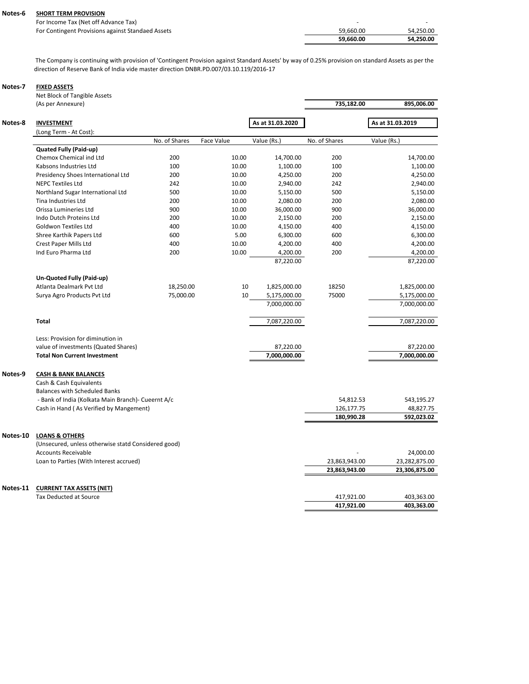#### **Notes-6 SHORT TERM PROVISION**

| For Income Tax (Net off Advance Tax)              |           |           |
|---------------------------------------------------|-----------|-----------|
| For Contingent Provisions against Standaed Assets | 59.660.00 | 54.250.00 |
|                                                   | 59.660.00 | 54.250.00 |

 The Company is continuing with provision of 'Contingent Provision against Standard Assets' by way of 0.25% provision on standard Assets as per the direction of Reserve Bank of India vide master direction DNBR.PD.007/03.10.119/2016-17

#### **Notes-7 FIXED ASSETS**

Net Block of Tangible Assets

|          | (As per Annexure)                                          |               |                   |                              | 735,182.00    | 895,006.00                   |
|----------|------------------------------------------------------------|---------------|-------------------|------------------------------|---------------|------------------------------|
| Notes-8  | <b>INVESTMENT</b>                                          |               |                   | As at 31.03.2020             |               | As at 31.03.2019             |
|          | (Long Term - At Cost):                                     |               |                   |                              |               |                              |
|          |                                                            | No. of Shares | <b>Face Value</b> | Value (Rs.)                  | No. of Shares | Value (Rs.)                  |
|          | Quated Fully (Paid-up)                                     |               |                   |                              |               |                              |
|          | Chemox Chemical ind Ltd                                    | 200           | 10.00             | 14,700.00                    | 200           | 14,700.00                    |
|          | Kabsons Industries Ltd                                     | 100           | 10.00             | 1,100.00                     | 100           | 1,100.00                     |
|          | Presidency Shoes International Ltd                         | 200           | 10.00             | 4,250.00                     | 200           | 4,250.00                     |
|          | <b>NEPC Textiles Ltd</b>                                   | 242           | 10.00             | 2,940.00                     | 242           | 2,940.00                     |
|          | Northland Sugar International Ltd                          | 500           | 10.00             | 5,150.00                     | 500           | 5,150.00                     |
|          | Tina Industries Ltd                                        | 200           | 10.00             | 2,080.00                     | 200           | 2,080.00                     |
|          | Orissa Lumineries Ltd                                      | 900           | 10.00             | 36,000.00                    | 900           | 36,000.00                    |
|          | Indo Dutch Proteins Ltd                                    | 200           | 10.00             | 2,150.00                     | 200           | 2,150.00                     |
|          | Goldwon Textiles Ltd                                       | 400           | 10.00             | 4,150.00                     | 400           | 4,150.00                     |
|          | Shree Karthik Papers Ltd                                   | 600           | 5.00              | 6,300.00                     | 600           | 6,300.00                     |
|          | Crest Paper Mills Ltd                                      | 400           | 10.00             | 4,200.00                     | 400           | 4,200.00                     |
|          | Ind Euro Pharma Ltd                                        | 200           | 10.00             | 4,200.00                     | 200           | 4,200.00                     |
|          |                                                            |               |                   | 87,220.00                    |               | 87,220.00                    |
|          |                                                            |               |                   |                              |               |                              |
|          | Un-Quoted Fully (Paid-up)                                  |               |                   |                              |               |                              |
|          | Atlanta Dealmark Pvt Ltd                                   | 18,250.00     | 10                | 1,825,000.00                 | 18250         | 1,825,000.00                 |
|          | Surya Agro Products Pvt Ltd                                | 75,000.00     | 10                | 5,175,000.00<br>7,000,000.00 | 75000         | 5,175,000.00<br>7,000,000.00 |
|          |                                                            |               |                   |                              |               |                              |
|          | <b>Total</b>                                               |               |                   | 7,087,220.00                 |               | 7,087,220.00                 |
|          | Less: Provision for diminution in                          |               |                   |                              |               |                              |
|          | value of investments (Quated Shares)                       |               |                   | 87,220.00                    |               | 87,220.00                    |
|          | <b>Total Non Current Investment</b>                        |               |                   | 7,000,000.00                 |               | 7,000,000.00                 |
| Notes-9  |                                                            |               |                   |                              |               |                              |
|          | <b>CASH &amp; BANK BALANCES</b><br>Cash & Cash Equivalents |               |                   |                              |               |                              |
|          | <b>Balances with Scheduled Banks</b>                       |               |                   |                              |               |                              |
|          |                                                            |               |                   |                              |               |                              |
|          | - Bank of India (Kolkata Main Branch)- Cueernt A/c         |               |                   |                              | 54,812.53     | 543,195.27                   |
|          | Cash in Hand (As Verified by Mangement)                    |               |                   |                              | 126,177.75    | 48,827.75                    |
|          |                                                            |               |                   |                              | 180,990.28    | 592,023.02                   |
| Notes-10 | <b>LOANS &amp; OTHERS</b>                                  |               |                   |                              |               |                              |
|          | (Unsecured, unless otherwise statd Considered good)        |               |                   |                              |               |                              |
|          | <b>Accounts Receivable</b>                                 |               |                   |                              |               | 24,000.00                    |
|          | Loan to Parties (With Interest accrued)                    |               |                   |                              | 23,863,943.00 | 23,282,875.00                |
|          |                                                            |               |                   |                              | 23,863,943.00 | 23,306,875.00                |
| Notes-11 | <b>CURRENT TAX ASSETS (NET)</b>                            |               |                   |                              |               |                              |
|          | Tax Deducted at Source                                     |               |                   |                              | 417,921.00    | 403,363.00                   |
|          |                                                            |               |                   |                              | 417,921.00    | 403,363.00                   |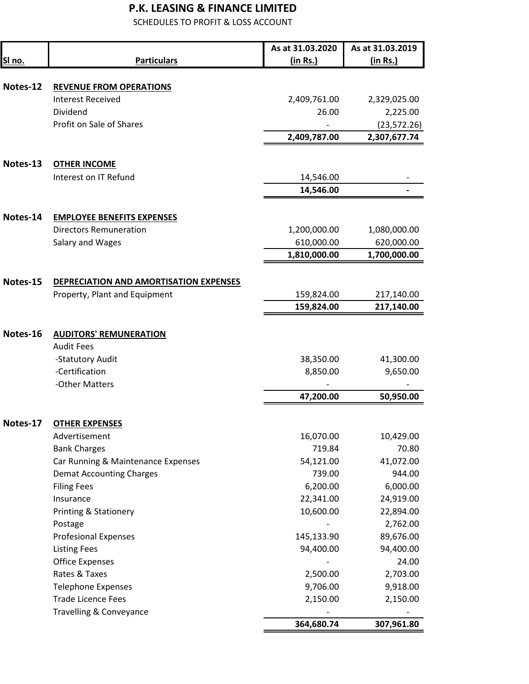## **P.K. LEASING & FINANCE LIMITED**

SCHEDULES TO PROFIT & LOSS ACCOUNT

|          |                                        | As at 31.03.2020 | As at 31.03.2019         |
|----------|----------------------------------------|------------------|--------------------------|
| Sl no.   | <b>Particulars</b>                     | (in Rs.)         | (in Rs.)                 |
|          |                                        |                  |                          |
| Notes-12 | <b>REVENUE FROM OPERATIONS</b>         |                  |                          |
|          | <b>Interest Received</b>               | 2,409,761.00     | 2,329,025.00             |
|          | Dividend<br>Profit on Sale of Shares   | 26.00            | 2,225.00<br>(23, 572.26) |
|          |                                        | 2,409,787.00     | 2,307,677.74             |
|          |                                        |                  |                          |
| Notes-13 | <b>OTHER INCOME</b>                    |                  |                          |
|          | Interest on IT Refund                  | 14,546.00        |                          |
|          |                                        | 14,546.00        |                          |
|          |                                        |                  |                          |
| Notes-14 | <b>EMPLOYEE BENEFITS EXPENSES</b>      |                  |                          |
|          | <b>Directors Remuneration</b>          | 1,200,000.00     | 1,080,000.00             |
|          | Salary and Wages                       | 610,000.00       | 620,000.00               |
|          |                                        | 1,810,000.00     | 1,700,000.00             |
|          |                                        |                  |                          |
| Notes-15 | DEPRECIATION AND AMORTISATION EXPENSES |                  |                          |
|          | Property, Plant and Equipment          | 159,824.00       | 217,140.00               |
|          |                                        | 159,824.00       | 217,140.00               |
|          |                                        |                  |                          |
| Notes-16 | <b>AUDITORS' REMUNERATION</b>          |                  |                          |
|          | <b>Audit Fees</b>                      |                  |                          |
|          | -Statutory Audit                       | 38,350.00        | 41,300.00                |
|          | -Certification                         | 8,850.00         | 9,650.00                 |
|          | -Other Matters                         |                  |                          |
|          |                                        | 47,200.00        | 50,950.00                |
| Notes-17 | <b>OTHER EXPENSES</b>                  |                  |                          |
|          | Advertisement                          | 16,070.00        | 10,429.00                |
|          | <b>Bank Charges</b>                    | 719.84           | 70.80                    |
|          | Car Running & Maintenance Expenses     | 54,121.00        | 41,072.00                |
|          | <b>Demat Accounting Charges</b>        | 739.00           | 944.00                   |
|          | <b>Filing Fees</b>                     | 6,200.00         | 6,000.00                 |
|          | Insurance                              | 22,341.00        | 24,919.00                |
|          | <b>Printing &amp; Stationery</b>       | 10,600.00        | 22,894.00                |
|          | Postage                                |                  | 2,762.00                 |
|          | <b>Profesional Expenses</b>            | 145,133.90       | 89,676.00                |
|          | <b>Listing Fees</b>                    | 94,400.00        | 94,400.00                |
|          | <b>Office Expenses</b>                 |                  | 24.00                    |
|          | Rates & Taxes                          | 2,500.00         | 2,703.00                 |
|          | <b>Telephone Expenses</b>              | 9,706.00         | 9,918.00                 |
|          | <b>Trade Licence Fees</b>              | 2,150.00         | 2,150.00                 |
|          | Travelling & Conveyance                |                  |                          |
|          |                                        | 364,680.74       | 307,961.80               |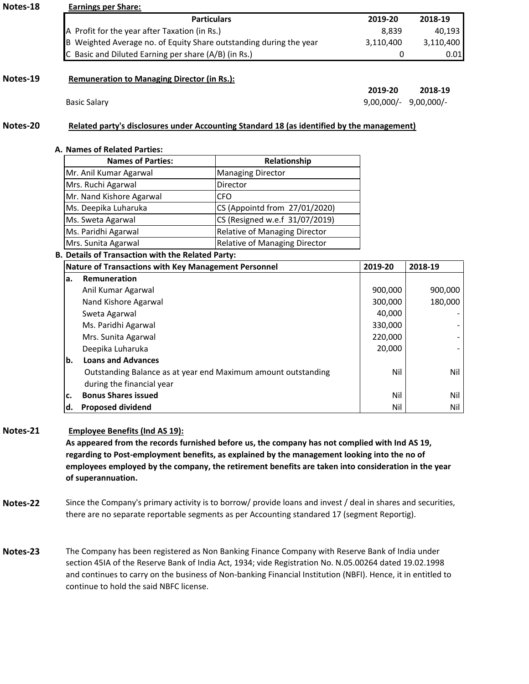| Notes-18 | <b>Earnings per Share:</b>                                         |                                                                                                              |                         |                         |
|----------|--------------------------------------------------------------------|--------------------------------------------------------------------------------------------------------------|-------------------------|-------------------------|
|          |                                                                    | <b>Particulars</b>                                                                                           | 2019-20                 | 2018-19                 |
|          |                                                                    | A Profit for the year after Taxation (in Rs.)                                                                |                         |                         |
|          | B Weighted Average no. of Equity Share outstanding during the year |                                                                                                              | 3,110,400               | 3,110,400               |
|          | Basic and Diluted Earning per share (A/B) (in Rs.)                 |                                                                                                              | 0                       | 0.01                    |
| Notes-19 | <b>Remuneration to Managing Director (in Rs.):</b>                 |                                                                                                              |                         |                         |
|          | <b>Basic Salary</b>                                                |                                                                                                              | 2019-20<br>$9,00,000/-$ | 2018-19<br>$9,00,000/-$ |
| Notes-20 |                                                                    | Related party's disclosures under Accounting Standard 18 (as identified by the management)                   |                         |                         |
|          | A. Names of Related Parties:                                       |                                                                                                              |                         |                         |
|          | <b>Names of Parties:</b>                                           | Relationship                                                                                                 |                         |                         |
|          | Mr. Anil Kumar Agarwal                                             | <b>Managing Director</b>                                                                                     |                         |                         |
|          | Mrs. Ruchi Agarwal                                                 | Director                                                                                                     |                         |                         |
|          | Mr. Nand Kishore Agarwal                                           | <b>CFO</b>                                                                                                   |                         |                         |
|          | Ms. Deepika Luharuka                                               | CS (Appointd from 27/01/2020)                                                                                |                         |                         |
|          | Ms. Sweta Agarwal                                                  | CS (Resigned w.e.f 31/07/2019)                                                                               |                         |                         |
|          | Ms. Paridhi Agarwal                                                | <b>Relative of Managing Director</b>                                                                         |                         |                         |
|          | Mrs. Sunita Agarwal                                                | <b>Relative of Managing Director</b>                                                                         |                         |                         |
|          | B. Details of Transaction with the Related Party:                  |                                                                                                              |                         |                         |
|          | <b>Nature of Transactions with Key Management Personnel</b>        |                                                                                                              | 2019-20                 | 2018-19                 |
|          | Remuneration<br>a.                                                 |                                                                                                              |                         |                         |
|          | Anil Kumar Agarwal                                                 |                                                                                                              | 900,000                 | 900,000                 |
|          | Nand Kishore Agarwal                                               |                                                                                                              | 300,000                 | 180,000                 |
|          | Sweta Agarwal                                                      |                                                                                                              | 40,000                  |                         |
|          | Ms. Paridhi Agarwal                                                |                                                                                                              | 330,000                 |                         |
|          | Mrs. Sunita Agarwal                                                |                                                                                                              | 220,000                 |                         |
|          | Deepika Luharuka                                                   |                                                                                                              | 20,000                  |                         |
|          | <b>Loans and Advances</b><br>D.                                    |                                                                                                              |                         |                         |
|          |                                                                    | Outstanding Balance as at year end Maximum amount outstanding                                                | Nil                     | Nil                     |
|          | during the financial year                                          |                                                                                                              |                         |                         |
|          | <b>Bonus Shares issued</b><br>c.                                   |                                                                                                              | Nil                     | Nil                     |
|          | <b>Proposed dividend</b><br>ld.                                    |                                                                                                              | Nil                     | Nil                     |
| Notes-21 | <b>Employee Benefits (Ind AS 19):</b>                              |                                                                                                              |                         |                         |
|          |                                                                    | As appeared from the records furnished before us, the company has not complied with Ind AS 19,               |                         |                         |
|          |                                                                    | regarding to Post-employment benefits, as explained by the management looking into the no of                 |                         |                         |
|          |                                                                    | employees employed by the company, the retirement benefits are taken into consideration in the year          |                         |                         |
|          | of superannuation.                                                 |                                                                                                              |                         |                         |
| Notes-22 |                                                                    | Since the Company's primary activity is to borrow/ provide loans and invest / deal in shares and securities, |                         |                         |
|          |                                                                    | there are no separate reportable segments as per Accounting standared 17 (segment Reportig).                 |                         |                         |
|          |                                                                    |                                                                                                              |                         |                         |
| Notes-23 |                                                                    | The Company has been registered as Non Banking Finance Company with Reserve Bank of India under              |                         |                         |

section 45IA of the Reserve Bank of India Act, 1934; vide Registration No. N.05.00264 dated 19.02.1998 and continues to carry on the business of Non-banking Financial Institution (NBFI). Hence, it in entitled to continue to hold the said NBFC license.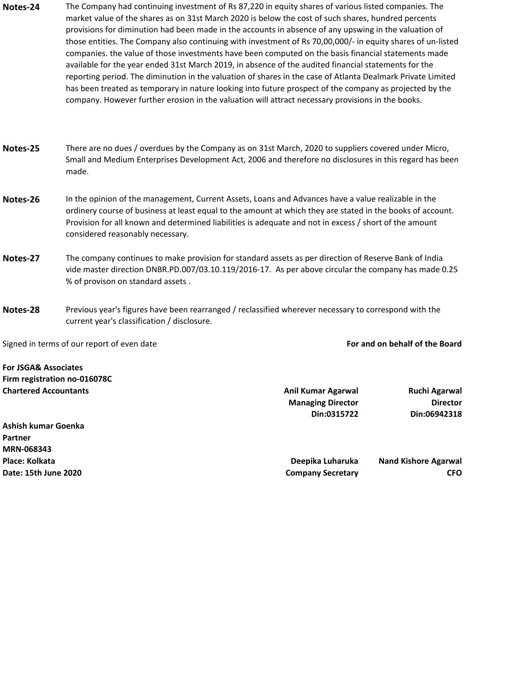- **Notes-24** The Company had continuing investment of Rs 87,220 in equity shares of various listed companies. The market value of the shares as on 31st March 2020 is below the cost of such shares, hundred percents provisions for diminution had been made in the accounts in absence of any upswing in the valuation of those entities. The Company also continuing with investment of Rs 70,00,000/- in equity shares of un-listed companies. the value of those investments have been computed on the basis financial statements made available for the year ended 31st March 2019, in absence of the audited financial statements for the reporting period. The diminution in the valuation of shares in the case of Atlanta Dealmark Private Limited has been treated as temporary in nature looking into future prospect of the company as projected by the company. However further erosion in the valuation will attract necessary provisions in the books.
- **Notes-25** There are no dues / overdues by the Company as on 31st March, 2020 to suppliers covered under Micro, Small and Medium Enterprises Development Act, 2006 and therefore no disclosures in this regard has been made.
- **Notes-26** In the opinion of the management, Current Assets, Loans and Advances have a value realizable in the ordinery course of business at least equal to the amount at which they are stated in the books of account. Provision for all known and determined liabilities is adequate and not in excess / short of the amount considered reasonably necessary.
- **Notes-27** The company continues to make provision for standard assets as per direction of Reserve Bank of India vide master direction DNBR.PD.007/03.10.119/2016-17. As per above circular the company has made 0.25 % of provison on standard assets .
- **Notes-28** Previous year's figures have been rearranged / reclassified wherever necessary to correspond with the current year's classification / disclosure.

Signed in terms of our report of even date

**For JSGA& Associates Firm registration no-016078C Chartered Accountants**

**Ashish kumar Goenka Partner MRN-068343 Place: Kolkata Date: 15th June 2020**

**Anil Kumar Agarwal Managing Director Din:0315722** **Ruchi Agarwal Director Din:06942318**

**For and on behalf of the Board**

**Company Secretary CFO Deepika Luharuka Nand Kishore Agarwal**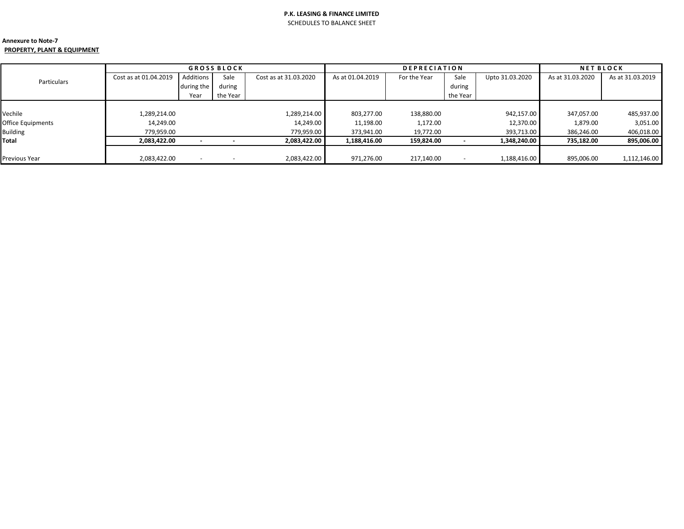#### **P.K. LEASING & FINANCE LIMITED** SCHEDULES TO BALANCE SHEET

#### **Annexure to Note-7 PROPERTY, PLANT & EQUIPMENT**

|                          | <b>GROSS BLOCK</b>    |                          |          |                       | <b>DEPRECIATION</b> |              |          |                 | <b>NET BLOCK</b> |                  |
|--------------------------|-----------------------|--------------------------|----------|-----------------------|---------------------|--------------|----------|-----------------|------------------|------------------|
| Particulars              | Cost as at 01.04.2019 | <b>Additions</b>         | Sale     | Cost as at 31.03.2020 | As at 01.04.2019    | For the Year | Sale     | Upto 31.03.2020 | As at 31.03.2020 | As at 31.03.2019 |
|                          |                       | during the               | during   |                       |                     |              | during   |                 |                  |                  |
|                          |                       | Year                     | the Year |                       |                     |              | the Year |                 |                  |                  |
|                          |                       |                          |          |                       |                     |              |          |                 |                  |                  |
| Vechile                  | 1,289,214.00          |                          |          | 1,289,214.00          | 803,277.00          | 138,880.00   |          | 942,157.00      | 347,057.00       | 485,937.00       |
| <b>Office Equipments</b> | 14,249.00             |                          |          | 14,249.00             | 11,198.00           | 1,172.00     |          | 12,370.00       | 1,879.00         | 3,051.00         |
| <b>Building</b>          | 779,959.00            |                          |          | 779,959.00            | 373,941.00          | 19,772.00    |          | 393,713.00      | 386,246.00       | 406,018.00       |
| <b>Total</b>             | 2,083,422.00          |                          |          | 2,083,422.00          | 1,188,416.00        | 159,824.00   |          | 1,348,240.00    | 735,182.00       | 895,006.00       |
|                          |                       |                          |          |                       |                     |              |          |                 |                  |                  |
| Previous Year            | 2,083,422.00          | $\overline{\phantom{0}}$ |          | 2,083,422.00          | 971,276.00          | 217,140.00   |          | 1,188,416.00    | 895,006.00       | 1,112,146.00     |